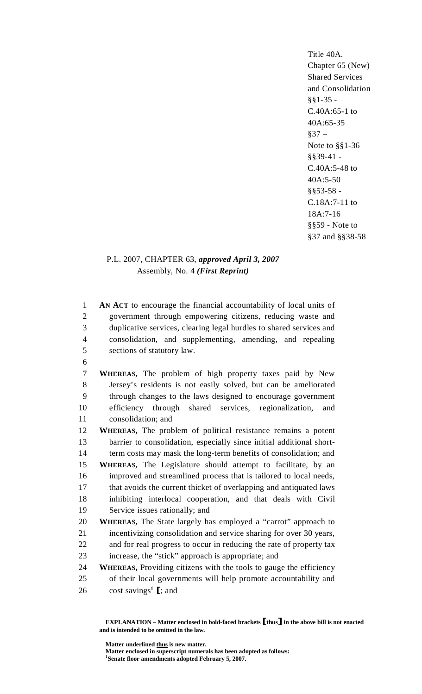Title 40A. Chapter 65 (New) Shared Services and Consolidation §§1-35 - C.40A:65-1 to 40A:65-35  $§37 -$ Note to §§1-36 §§39-41 - C.40A:5-48 to 40A:5-50 §§53-58 - C.18A:7-11 to 18A:7-16 §§59 - Note to §37 and §§38-58

# P.L. 2007, CHAPTER 63, *approved April 3, 2007* Assembly, No. 4 *(First Reprint)*

1 **AN ACT** to encourage the financial accountability of local units of 2 government through empowering citizens, reducing waste and 3 duplicative services, clearing legal hurdles to shared services and 4 consolidation, and supplementing, amending, and repealing 5 sections of statutory law. 6 7 **WHEREAS,** The problem of high property taxes paid by New 8 Jersey's residents is not easily solved, but can be ameliorated 9 through changes to the laws designed to encourage government 10 efficiency through shared services, regionalization, and 11 consolidation; and 12 **WHEREAS,** The problem of political resistance remains a potent 13 barrier to consolidation, especially since initial additional short-14 term costs may mask the long-term benefits of consolidation; and 15 **WHEREAS,** The Legislature should attempt to facilitate, by an 16 improved and streamlined process that is tailored to local needs, 17 that avoids the current thicket of overlapping and antiquated laws 18 inhibiting interlocal cooperation, and that deals with Civil 19 Service issues rationally; and 20 **WHEREAS,** The State largely has employed a "carrot" approach to 21 incentivizing consolidation and service sharing for over 30 years, 22 and for real progress to occur in reducing the rate of property tax 23 increase, the "stick" approach is appropriate; and 24 **WHEREAS,** Providing citizens with the tools to gauge the efficiency 25 of their local governments will help promote accountability and 26 cost savings<sup>1</sup> [; and

 **EXPLANATION – Matter enclosed in bold-faced brackets** [**thus**] **in the above bill is not enacted and is intended to be omitted in the law.** 

 **Matter underlined thus is new matter.** 

 **Matter enclosed in superscript numerals has been adopted as follows: 1 Senate floor amendments adopted February 5, 2007.**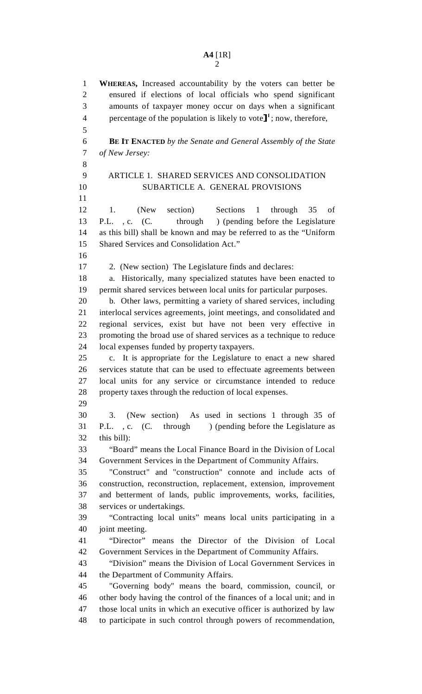1 **WHEREAS,** Increased accountability by the voters can better be 2 ensured if elections of local officials who spend significant 3 amounts of taxpayer money occur on days when a significant 4 percentage of the population is likely to vote  $\mathbf{I}^1$ ; now, therefore, 5 6 **BE IT ENACTED** *by the Senate and General Assembly of the State*  7 *of New Jersey:* 8 9 ARTICLE 1. SHARED SERVICES AND CONSOLIDATION 10 SUBARTICLE A. GENERAL PROVISIONS 11 12 1. (New section) Sections 1 through 35 of 13 P.L. , c. (C. through ) (pending before the Legislature 14 as this bill) shall be known and may be referred to as the "Uniform 15 Shared Services and Consolidation Act." 16 17 2. (New section) The Legislature finds and declares: 18 a. Historically, many specialized statutes have been enacted to 19 permit shared services between local units for particular purposes. 20 b. Other laws, permitting a variety of shared services, including 21 interlocal services agreements, joint meetings, and consolidated and 22 regional services, exist but have not been very effective in 23 promoting the broad use of shared services as a technique to reduce 24 local expenses funded by property taxpayers. 25 c. It is appropriate for the Legislature to enact a new shared 26 services statute that can be used to effectuate agreements between 27 local units for any service or circumstance intended to reduce 28 property taxes through the reduction of local expenses. 29 30 3. (New section) As used in sections 1 through 35 of 31 P.L., c. (C. through ) (pending before the Legislature as 32 this bill): 33 "Board" means the Local Finance Board in the Division of Local 34 Government Services in the Department of Community Affairs. 35 "Construct" and "construction" connote and include acts of 36 construction, reconstruction, replacement, extension, improvement 37 and betterment of lands, public improvements, works, facilities, 38 services or undertakings. 39 "Contracting local units" means local units participating in a 40 joint meeting. 41 "Director" means the Director of the Division of Local 42 Government Services in the Department of Community Affairs. 43 "Division" means the Division of Local Government Services in 44 the Department of Community Affairs. 45 "Governing body" means the board, commission, council, or 46 other body having the control of the finances of a local unit; and in 47 those local units in which an executive officer is authorized by law 48 to participate in such control through powers of recommendation,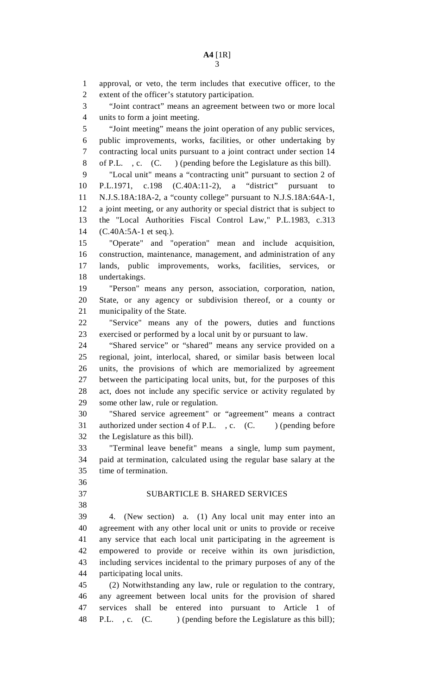1 approval, or veto, the term includes that executive officer, to the 2 extent of the officer's statutory participation. 3 "Joint contract" means an agreement between two or more local 4 units to form a joint meeting. 5 "Joint meeting" means the joint operation of any public services, 6 public improvements, works, facilities, or other undertaking by 7 contracting local units pursuant to a joint contract under section 14 8 of P.L. , c. (C. ) (pending before the Legislature as this bill). 9 "Local unit" means a "contracting unit" pursuant to section 2 of 10 P.L.1971, c.198 (C.40A:11-2), a "district" pursuant to 11 N.J.S.18A:18A-2, a "county college" pursuant to N.J.S.18A:64A-1, 12 a joint meeting, or any authority or special district that is subject to 13 the "Local Authorities Fiscal Control Law," P.L.1983, c.313 14 (C.40A:5A-1 et seq.). 15 "Operate" and "operation" mean and include acquisition, 16 construction, maintenance, management, and administration of any 17 lands, public improvements, works, facilities, services, or 18 undertakings. 19 "Person" means any person, association, corporation, nation, 20 State, or any agency or subdivision thereof, or a county or 21 municipality of the State. 22 "Service" means any of the powers, duties and functions 23 exercised or performed by a local unit by or pursuant to law. 24 "Shared service" or "shared" means any service provided on a 25 regional, joint, interlocal, shared, or similar basis between local 26 units, the provisions of which are memorialized by agreement 27 between the participating local units, but, for the purposes of this 28 act, does not include any specific service or activity regulated by 29 some other law, rule or regulation. 30 "Shared service agreement" or "agreement" means a contract 31 authorized under section 4 of P.L., c. (C. ) (pending before 32 the Legislature as this bill). 33 "Terminal leave benefit" means a single, lump sum payment, 34 paid at termination, calculated using the regular base salary at the 35 time of termination. 36 37 SUBARTICLE B. SHARED SERVICES 38 39 4. (New section) a. (1) Any local unit may enter into an 40 agreement with any other local unit or units to provide or receive 41 any service that each local unit participating in the agreement is 42 empowered to provide or receive within its own jurisdiction, 43 including services incidental to the primary purposes of any of the 44 participating local units. 45 (2) Notwithstanding any law, rule or regulation to the contrary, 46 any agreement between local units for the provision of shared 47 services shall be entered into pursuant to Article 1 of

48 P.L., c. (C. ) (pending before the Legislature as this bill);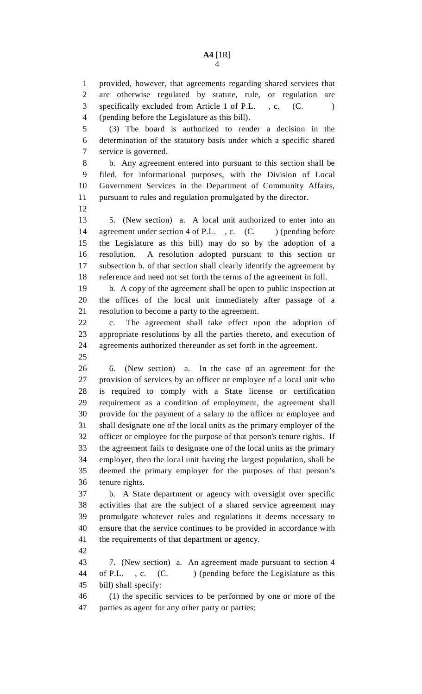1 provided, however, that agreements regarding shared services that 2 are otherwise regulated by statute, rule, or regulation are 3 specifically excluded from Article 1 of P.L., c. (C. 4 (pending before the Legislature as this bill). 5 (3) The board is authorized to render a decision in the 6 determination of the statutory basis under which a specific shared 7 service is governed. 8 b. Any agreement entered into pursuant to this section shall be 9 filed, for informational purposes, with the Division of Local 10 Government Services in the Department of Community Affairs, 11 pursuant to rules and regulation promulgated by the director. 12 13 5. (New section) a. A local unit authorized to enter into an 14 agreement under section 4 of P.L., c. (C.) (pending before 15 the Legislature as this bill) may do so by the adoption of a 16 resolution. A resolution adopted pursuant to this section or 17 subsection b. of that section shall clearly identify the agreement by 18 reference and need not set forth the terms of the agreement in full. 19 b. A copy of the agreement shall be open to public inspection at 20 the offices of the local unit immediately after passage of a 21 resolution to become a party to the agreement. 22 c. The agreement shall take effect upon the adoption of 23 appropriate resolutions by all the parties thereto, and execution of 24 agreements authorized thereunder as set forth in the agreement. 25 26 6. (New section) a. In the case of an agreement for the 27 provision of services by an officer or employee of a local unit who 28 is required to comply with a State license or certification 29 requirement as a condition of employment, the agreement shall 30 provide for the payment of a salary to the officer or employee and 31 shall designate one of the local units as the primary employer of the 32 officer or employee for the purpose of that person's tenure rights. If 33 the agreement fails to designate one of the local units as the primary 34 employer, then the local unit having the largest population, shall be 35 deemed the primary employer for the purposes of that person's 36 tenure rights. 37 b. A State department or agency with oversight over specific 38 activities that are the subject of a shared service agreement may 39 promulgate whatever rules and regulations it deems necessary to 40 ensure that the service continues to be provided in accordance with 41 the requirements of that department or agency. 42 43 7. (New section) a. An agreement made pursuant to section 4 44 of P.L., c. (C.) (pending before the Legislature as this 45 bill) shall specify: 46 (1) the specific services to be performed by one or more of the 47 parties as agent for any other party or parties;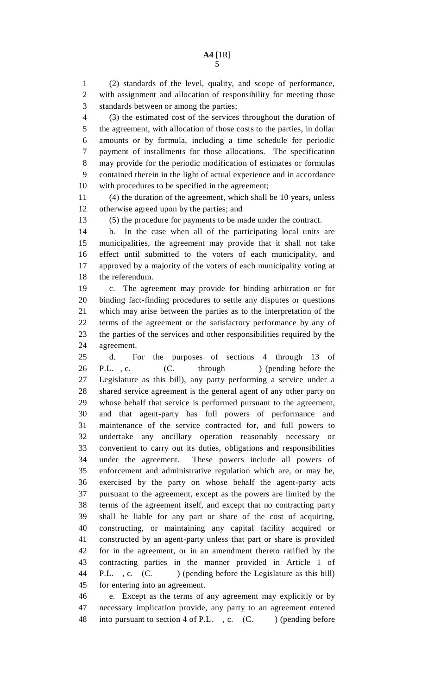1 (2) standards of the level, quality, and scope of performance, 2 with assignment and allocation of responsibility for meeting those 3 standards between or among the parties;

4 (3) the estimated cost of the services throughout the duration of 5 the agreement, with allocation of those costs to the parties, in dollar 6 amounts or by formula, including a time schedule for periodic 7 payment of installments for those allocations. The specification 8 may provide for the periodic modification of estimates or formulas 9 contained therein in the light of actual experience and in accordance 10 with procedures to be specified in the agreement;

11 (4) the duration of the agreement, which shall be 10 years, unless 12 otherwise agreed upon by the parties; and

13 (5) the procedure for payments to be made under the contract.

14 b. In the case when all of the participating local units are 15 municipalities, the agreement may provide that it shall not take 16 effect until submitted to the voters of each municipality, and 17 approved by a majority of the voters of each municipality voting at 18 the referendum.

19 c. The agreement may provide for binding arbitration or for 20 binding fact-finding procedures to settle any disputes or questions 21 which may arise between the parties as to the interpretation of the 22 terms of the agreement or the satisfactory performance by any of 23 the parties of the services and other responsibilities required by the 24 agreement.

25 d. For the purposes of sections 4 through 13 of 26 P.L., c. (C. through ) (pending before the 27 Legislature as this bill), any party performing a service under a 28 shared service agreement is the general agent of any other party on 29 whose behalf that service is performed pursuant to the agreement, 30 and that agent-party has full powers of performance and 31 maintenance of the service contracted for, and full powers to 32 undertake any ancillary operation reasonably necessary or 33 convenient to carry out its duties, obligations and responsibilities 34 under the agreement. These powers include all powers of 35 enforcement and administrative regulation which are, or may be, 36 exercised by the party on whose behalf the agent-party acts 37 pursuant to the agreement, except as the powers are limited by the 38 terms of the agreement itself, and except that no contracting party 39 shall be liable for any part or share of the cost of acquiring, 40 constructing, or maintaining any capital facility acquired or 41 constructed by an agent-party unless that part or share is provided 42 for in the agreement, or in an amendment thereto ratified by the 43 contracting parties in the manner provided in Article 1 of 44 P.L., c. (C. ) (pending before the Legislature as this bill) 45 for entering into an agreement.

46 e. Except as the terms of any agreement may explicitly or by 47 necessary implication provide, any party to an agreement entered 48 into pursuant to section 4 of P.L., c. (C. ) (pending before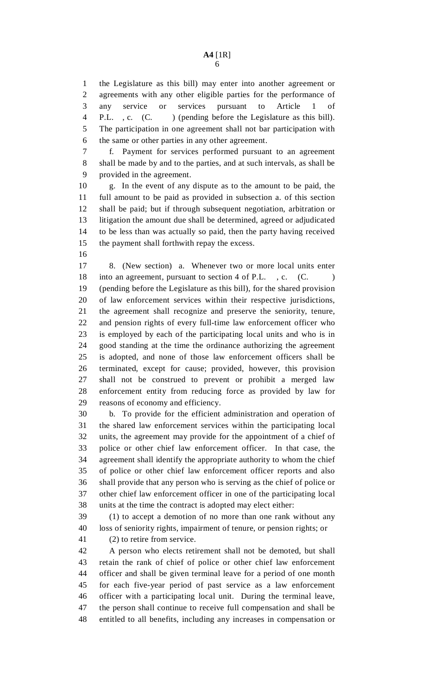1 the Legislature as this bill) may enter into another agreement or 2 agreements with any other eligible parties for the performance of 3 any service or services pursuant to Article 1 of 4 P.L. , c. (C. ) (pending before the Legislature as this bill). 5 The participation in one agreement shall not bar participation with 6 the same or other parties in any other agreement.

7 f. Payment for services performed pursuant to an agreement 8 shall be made by and to the parties, and at such intervals, as shall be 9 provided in the agreement.

10 g. In the event of any dispute as to the amount to be paid, the 11 full amount to be paid as provided in subsection a. of this section 12 shall be paid; but if through subsequent negotiation, arbitration or 13 litigation the amount due shall be determined, agreed or adjudicated 14 to be less than was actually so paid, then the party having received 15 the payment shall forthwith repay the excess.

16

17 8. (New section) a. Whenever two or more local units enter 18 into an agreement, pursuant to section 4 of P.L., c. (C. 19 (pending before the Legislature as this bill), for the shared provision 20 of law enforcement services within their respective jurisdictions, 21 the agreement shall recognize and preserve the seniority, tenure, 22 and pension rights of every full-time law enforcement officer who 23 is employed by each of the participating local units and who is in 24 good standing at the time the ordinance authorizing the agreement 25 is adopted, and none of those law enforcement officers shall be 26 terminated, except for cause; provided, however, this provision 27 shall not be construed to prevent or prohibit a merged law 28 enforcement entity from reducing force as provided by law for 29 reasons of economy and efficiency.

30 b. To provide for the efficient administration and operation of 31 the shared law enforcement services within the participating local 32 units, the agreement may provide for the appointment of a chief of 33 police or other chief law enforcement officer. In that case, the 34 agreement shall identify the appropriate authority to whom the chief 35 of police or other chief law enforcement officer reports and also 36 shall provide that any person who is serving as the chief of police or 37 other chief law enforcement officer in one of the participating local 38 units at the time the contract is adopted may elect either:

39 (1) to accept a demotion of no more than one rank without any 40 loss of seniority rights, impairment of tenure, or pension rights; or

41 (2) to retire from service.

42 A person who elects retirement shall not be demoted, but shall 43 retain the rank of chief of police or other chief law enforcement 44 officer and shall be given terminal leave for a period of one month 45 for each five-year period of past service as a law enforcement 46 officer with a participating local unit. During the terminal leave, 47 the person shall continue to receive full compensation and shall be 48 entitled to all benefits, including any increases in compensation or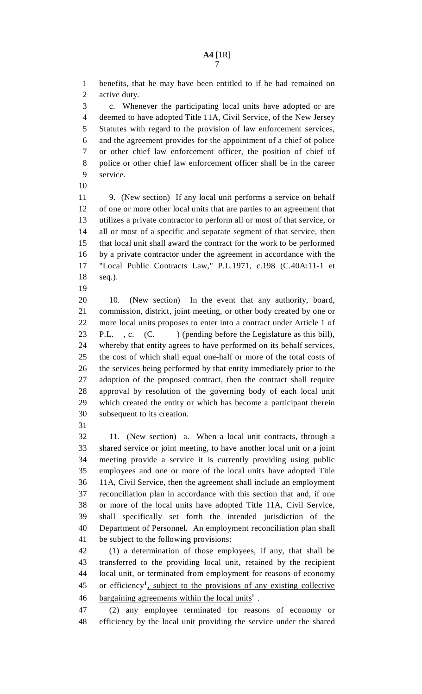1 benefits, that he may have been entitled to if he had remained on 2 active duty.

3 c. Whenever the participating local units have adopted or are 4 deemed to have adopted Title 11A, Civil Service, of the New Jersey 5 Statutes with regard to the provision of law enforcement services, 6 and the agreement provides for the appointment of a chief of police 7 or other chief law enforcement officer, the position of chief of 8 police or other chief law enforcement officer shall be in the career 9 service.

10

11 9. (New section) If any local unit performs a service on behalf 12 of one or more other local units that are parties to an agreement that 13 utilizes a private contractor to perform all or most of that service, or 14 all or most of a specific and separate segment of that service, then 15 that local unit shall award the contract for the work to be performed 16 by a private contractor under the agreement in accordance with the 17 "Local Public Contracts Law," P.L.1971, c.198 (C.40A:11-1 et 18 seq.).

19

20 10. (New section) In the event that any authority, board, 21 commission, district, joint meeting, or other body created by one or 22 more local units proposes to enter into a contract under Article 1 of 23 P.L., c. (C. ) (pending before the Legislature as this bill), 24 whereby that entity agrees to have performed on its behalf services, 25 the cost of which shall equal one-half or more of the total costs of 26 the services being performed by that entity immediately prior to the 27 adoption of the proposed contract, then the contract shall require 28 approval by resolution of the governing body of each local unit 29 which created the entity or which has become a participant therein 30 subsequent to its creation.

31

32 11. (New section) a. When a local unit contracts, through a 33 shared service or joint meeting, to have another local unit or a joint 34 meeting provide a service it is currently providing using public 35 employees and one or more of the local units have adopted Title 36 11A, Civil Service, then the agreement shall include an employment 37 reconciliation plan in accordance with this section that and, if one 38 or more of the local units have adopted Title 11A, Civil Service, 39 shall specifically set forth the intended jurisdiction of the 40 Department of Personnel. An employment reconciliation plan shall 41 be subject to the following provisions:

42 (1) a determination of those employees, if any, that shall be 43 transferred to the providing local unit, retained by the recipient 44 local unit, or terminated from employment for reasons of economy 45 or efficiency<sup>1</sup>, subject to the provisions of any existing collective 46 bargaining agreements within the local units<sup>1</sup>.

47 (2) any employee terminated for reasons of economy or 48 efficiency by the local unit providing the service under the shared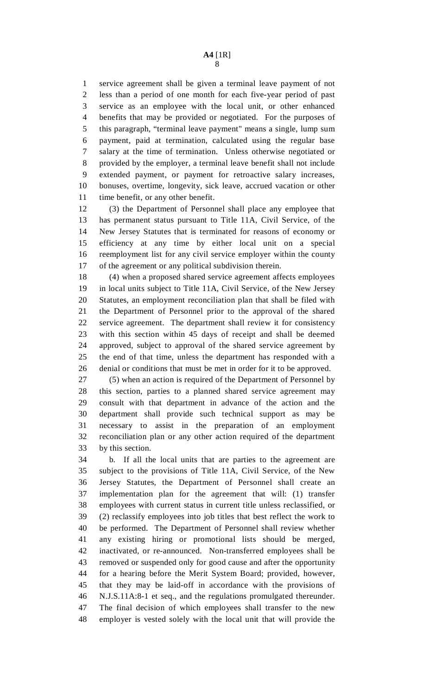1 service agreement shall be given a terminal leave payment of not 2 less than a period of one month for each five-year period of past 3 service as an employee with the local unit, or other enhanced 4 benefits that may be provided or negotiated. For the purposes of 5 this paragraph, "terminal leave payment" means a single, lump sum 6 payment, paid at termination, calculated using the regular base 7 salary at the time of termination. Unless otherwise negotiated or 8 provided by the employer, a terminal leave benefit shall not include 9 extended payment, or payment for retroactive salary increases, 10 bonuses, overtime, longevity, sick leave, accrued vacation or other 11 time benefit, or any other benefit.

12 (3) the Department of Personnel shall place any employee that 13 has permanent status pursuant to Title 11A, Civil Service, of the 14 New Jersey Statutes that is terminated for reasons of economy or 15 efficiency at any time by either local unit on a special 16 reemployment list for any civil service employer within the county 17 of the agreement or any political subdivision therein.

18 (4) when a proposed shared service agreement affects employees 19 in local units subject to Title 11A, Civil Service, of the New Jersey 20 Statutes, an employment reconciliation plan that shall be filed with 21 the Department of Personnel prior to the approval of the shared 22 service agreement. The department shall review it for consistency 23 with this section within 45 days of receipt and shall be deemed 24 approved, subject to approval of the shared service agreement by 25 the end of that time, unless the department has responded with a 26 denial or conditions that must be met in order for it to be approved.

27 (5) when an action is required of the Department of Personnel by 28 this section, parties to a planned shared service agreement may 29 consult with that department in advance of the action and the 30 department shall provide such technical support as may be 31 necessary to assist in the preparation of an employment 32 reconciliation plan or any other action required of the department 33 by this section.

34 b. If all the local units that are parties to the agreement are 35 subject to the provisions of Title 11A, Civil Service, of the New 36 Jersey Statutes, the Department of Personnel shall create an 37 implementation plan for the agreement that will: (1) transfer 38 employees with current status in current title unless reclassified, or 39 (2) reclassify employees into job titles that best reflect the work to 40 be performed. The Department of Personnel shall review whether 41 any existing hiring or promotional lists should be merged, 42 inactivated, or re-announced. Non-transferred employees shall be 43 removed or suspended only for good cause and after the opportunity 44 for a hearing before the Merit System Board; provided, however, 45 that they may be laid-off in accordance with the provisions of 46 N.J.S.11A:8-1 et seq., and the regulations promulgated thereunder. 47 The final decision of which employees shall transfer to the new 48 employer is vested solely with the local unit that will provide the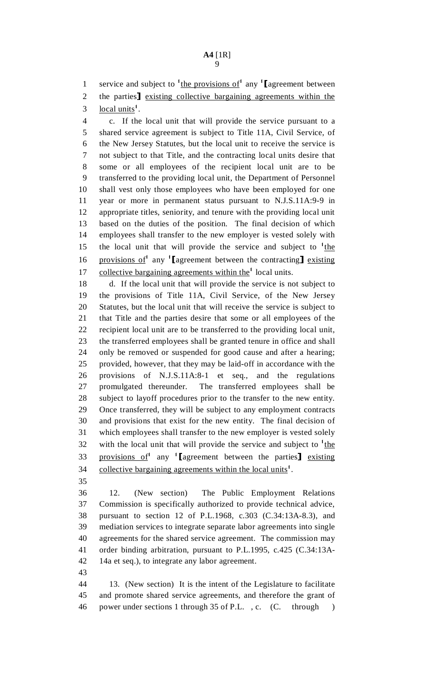1 service and subject to  $\frac{1}{2}$  the provisions of any  $\frac{1}{2}$  agreement between 2 the parties] existing collective bargaining agreements within the local units<sup>1</sup>. local units<sup>1</sup>.

4 c. If the local unit that will provide the service pursuant to a 5 shared service agreement is subject to Title 11A, Civil Service, of 6 the New Jersey Statutes, but the local unit to receive the service is 7 not subject to that Title, and the contracting local units desire that 8 some or all employees of the recipient local unit are to be 9 transferred to the providing local unit, the Department of Personnel 10 shall vest only those employees who have been employed for one 11 year or more in permanent status pursuant to N.J.S.11A:9-9 in 12 appropriate titles, seniority, and tenure with the providing local unit 13 based on the duties of the position. The final decision of which 14 employees shall transfer to the new employer is vested solely with 15 the local unit that will provide the service and subject to  $\frac{1}{1}$ the 16 **provisions of** any  $\text{T}$  agreement between the contracting **existing** 17 collective bargaining agreements within the<sup>1</sup> local units.

18 d. If the local unit that will provide the service is not subject to 19 the provisions of Title 11A, Civil Service, of the New Jersey 20 Statutes, but the local unit that will receive the service is subject to 21 that Title and the parties desire that some or all employees of the 22 recipient local unit are to be transferred to the providing local unit, 23 the transferred employees shall be granted tenure in office and shall 24 only be removed or suspended for good cause and after a hearing; 25 provided, however, that they may be laid-off in accordance with the 26 provisions of N.J.S.11A:8-1 et seq., and the regulations 27 promulgated thereunder. The transferred employees shall be 28 subject to layoff procedures prior to the transfer to the new entity. 29 Once transferred, they will be subject to any employment contracts 30 and provisions that exist for the new entity. The final decision of 31 which employees shall transfer to the new employer is vested solely 32 with the local unit that will provide the service and subject to  $\frac{1}{1}$ the 33 provisions of any lagreement between the parties] existing 34 collective bargaining agreements within the local units<sup>1</sup>.

35

36 12. (New section) The Public Employment Relations 37 Commission is specifically authorized to provide technical advice, 38 pursuant to section 12 of P.L.1968, c.303 (C.34:13A-8.3), and 39 mediation services to integrate separate labor agreements into single 40 agreements for the shared service agreement. The commission may 41 order binding arbitration, pursuant to P.L.1995, c.425 (C.34:13A-42 14a et seq.), to integrate any labor agreement.

43

44 13. (New section) It is the intent of the Legislature to facilitate 45 and promote shared service agreements, and therefore the grant of 46 power under sections 1 through 35 of P.L. , c. (C. through )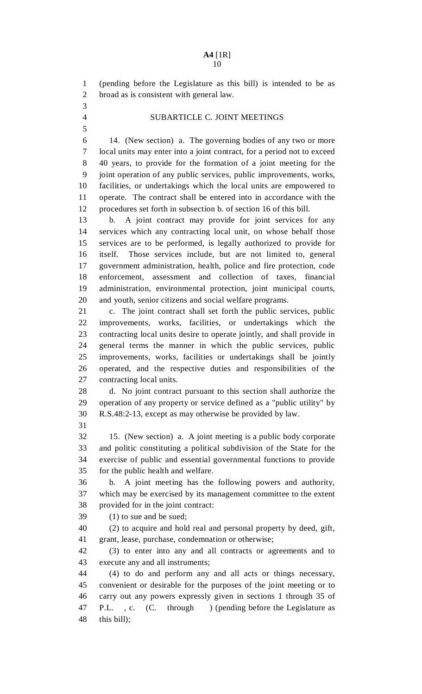1 (pending before the Legislature as this bill) is intended to be as 2 broad as is consistent with general law. 3 4 SUBARTICLE C. JOINT MEETINGS 5 6 14. (New section) a. The governing bodies of any two or more 7 local units may enter into a joint contract, for a period not to exceed 8 40 years, to provide for the formation of a joint meeting for the 9 joint operation of any public services, public improvements, works, 10 facilities, or undertakings which the local units are empowered to 11 operate. The contract shall be entered into in accordance with the 12 procedures set forth in subsection b. of section 16 of this bill. 13 b. A joint contract may provide for joint services for any 14 services which any contracting local unit, on whose behalf those 15 services are to be performed, is legally authorized to provide for 16 itself. Those services include, but are not limited to, general 17 government administration, health, police and fire protection, code 18 enforcement, assessment and collection of taxes, financial 19 administration, environmental protection, joint municipal courts, 20 and youth, senior citizens and social welfare programs. 21 c. The joint contract shall set forth the public services, public 22 improvements, works, facilities, or undertakings which the 23 contracting local units desire to operate jointly, and shall provide in 24 general terms the manner in which the public services, public 25 improvements, works, facilities or undertakings shall be jointly 26 operated, and the respective duties and responsibilities of the 27 contracting local units. 28 d. No joint contract pursuant to this section shall authorize the 29 operation of any property or service defined as a "public utility" by 30 R.S.48:2-13, except as may otherwise be provided by law. 31 32 15. (New section) a. A joint meeting is a public body corporate 33 and politic constituting a political subdivision of the State for the 34 exercise of public and essential governmental functions to provide 35 for the public health and welfare. 36 b. A joint meeting has the following powers and authority, 37 which may be exercised by its management committee to the extent 38 provided for in the joint contract: 39 (1) to sue and be sued; 40 (2) to acquire and hold real and personal property by deed, gift, 41 grant, lease, purchase, condemnation or otherwise; 42 (3) to enter into any and all contracts or agreements and to 43 execute any and all instruments; 44 (4) to do and perform any and all acts or things necessary, 45 convenient or desirable for the purposes of the joint meeting or to 46 carry out any powers expressly given in sections 1 through 35 of 47 P.L., c. (C. through ) (pending before the Legislature as 48 this bill);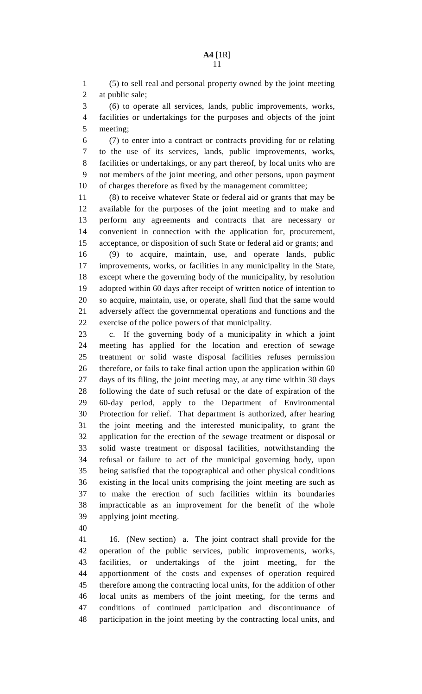1 (5) to sell real and personal property owned by the joint meeting 2 at public sale;

3 (6) to operate all services, lands, public improvements, works, 4 facilities or undertakings for the purposes and objects of the joint 5 meeting;

6 (7) to enter into a contract or contracts providing for or relating 7 to the use of its services, lands, public improvements, works, 8 facilities or undertakings, or any part thereof, by local units who are 9 not members of the joint meeting, and other persons, upon payment 10 of charges therefore as fixed by the management committee;

11 (8) to receive whatever State or federal aid or grants that may be 12 available for the purposes of the joint meeting and to make and 13 perform any agreements and contracts that are necessary or 14 convenient in connection with the application for, procurement, 15 acceptance, or disposition of such State or federal aid or grants; and 16 (9) to acquire, maintain, use, and operate lands, public 17 improvements, works, or facilities in any municipality in the State, 18 except where the governing body of the municipality, by resolution 19 adopted within 60 days after receipt of written notice of intention to 20 so acquire, maintain, use, or operate, shall find that the same would 21 adversely affect the governmental operations and functions and the 22 exercise of the police powers of that municipality.

23 c. If the governing body of a municipality in which a joint 24 meeting has applied for the location and erection of sewage 25 treatment or solid waste disposal facilities refuses permission 26 therefore, or fails to take final action upon the application within 60 27 days of its filing, the joint meeting may, at any time within 30 days 28 following the date of such refusal or the date of expiration of the 29 60-day period, apply to the Department of Environmental 30 Protection for relief. That department is authorized, after hearing 31 the joint meeting and the interested municipality, to grant the 32 application for the erection of the sewage treatment or disposal or 33 solid waste treatment or disposal facilities, notwithstanding the 34 refusal or failure to act of the municipal governing body, upon 35 being satisfied that the topographical and other physical conditions 36 existing in the local units comprising the joint meeting are such as 37 to make the erection of such facilities within its boundaries 38 impracticable as an improvement for the benefit of the whole 39 applying joint meeting.

40

41 16. (New section) a. The joint contract shall provide for the 42 operation of the public services, public improvements, works, 43 facilities, or undertakings of the joint meeting, for the 44 apportionment of the costs and expenses of operation required 45 therefore among the contracting local units, for the addition of other 46 local units as members of the joint meeting, for the terms and 47 conditions of continued participation and discontinuance of 48 participation in the joint meeting by the contracting local units, and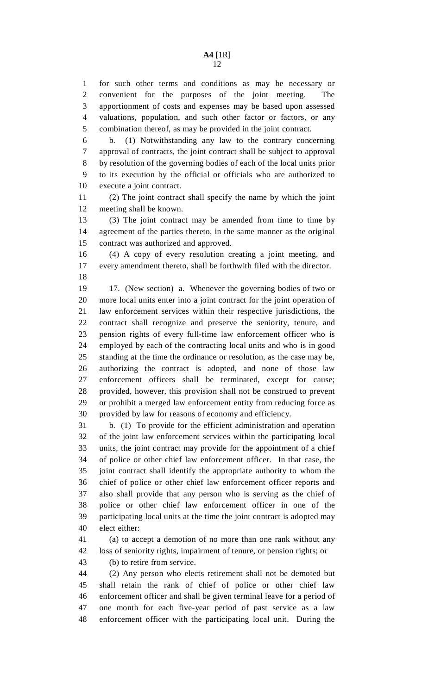1 for such other terms and conditions as may be necessary or 2 convenient for the purposes of the joint meeting. The 3 apportionment of costs and expenses may be based upon assessed 4 valuations, population, and such other factor or factors, or any 5 combination thereof, as may be provided in the joint contract.

6 b. (1) Notwithstanding any law to the contrary concerning 7 approval of contracts, the joint contract shall be subject to approval 8 by resolution of the governing bodies of each of the local units prior 9 to its execution by the official or officials who are authorized to 10 execute a joint contract.

11 (2) The joint contract shall specify the name by which the joint 12 meeting shall be known.

13 (3) The joint contract may be amended from time to time by 14 agreement of the parties thereto, in the same manner as the original 15 contract was authorized and approved.

16 (4) A copy of every resolution creating a joint meeting, and 17 every amendment thereto, shall be forthwith filed with the director. 18

19 17. (New section) a. Whenever the governing bodies of two or 20 more local units enter into a joint contract for the joint operation of 21 law enforcement services within their respective jurisdictions, the 22 contract shall recognize and preserve the seniority, tenure, and 23 pension rights of every full-time law enforcement officer who is 24 employed by each of the contracting local units and who is in good 25 standing at the time the ordinance or resolution, as the case may be, 26 authorizing the contract is adopted, and none of those law 27 enforcement officers shall be terminated, except for cause; 28 provided, however, this provision shall not be construed to prevent 29 or prohibit a merged law enforcement entity from reducing force as 30 provided by law for reasons of economy and efficiency.

31 b. (1) To provide for the efficient administration and operation 32 of the joint law enforcement services within the participating local 33 units, the joint contract may provide for the appointment of a chief 34 of police or other chief law enforcement officer. In that case, the 35 joint contract shall identify the appropriate authority to whom the 36 chief of police or other chief law enforcement officer reports and 37 also shall provide that any person who is serving as the chief of 38 police or other chief law enforcement officer in one of the 39 participating local units at the time the joint contract is adopted may 40 elect either:

41 (a) to accept a demotion of no more than one rank without any 42 loss of seniority rights, impairment of tenure, or pension rights; or

43 (b) to retire from service.

44 (2) Any person who elects retirement shall not be demoted but 45 shall retain the rank of chief of police or other chief law 46 enforcement officer and shall be given terminal leave for a period of 47 one month for each five-year period of past service as a law 48 enforcement officer with the participating local unit. During the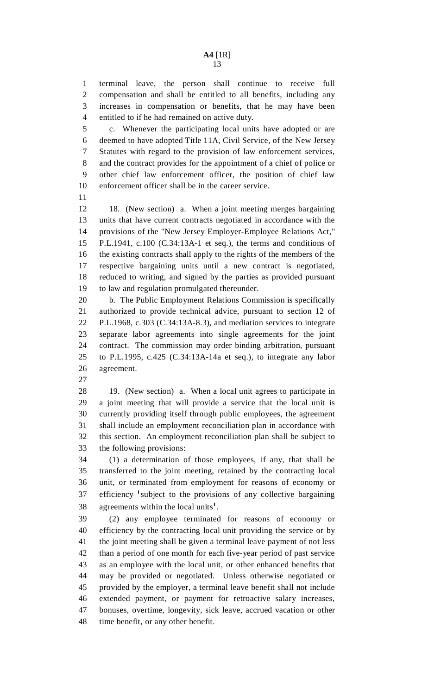1 terminal leave, the person shall continue to receive full 2 compensation and shall be entitled to all benefits, including any 3 increases in compensation or benefits, that he may have been 4 entitled to if he had remained on active duty.

5 c. Whenever the participating local units have adopted or are 6 deemed to have adopted Title 11A, Civil Service, of the New Jersey 7 Statutes with regard to the provision of law enforcement services, 8 and the contract provides for the appointment of a chief of police or 9 other chief law enforcement officer, the position of chief law 10 enforcement officer shall be in the career service.

11

12 18. (New section) a. When a joint meeting merges bargaining 13 units that have current contracts negotiated in accordance with the 14 provisions of the "New Jersey Employer-Employee Relations Act,"

15 P.L.1941, c.100 (C.34:13A-1 et seq.), the terms and conditions of 16 the existing contracts shall apply to the rights of the members of the 17 respective bargaining units until a new contract is negotiated, 18 reduced to writing, and signed by the parties as provided pursuant 19 to law and regulation promulgated thereunder.

20 b. The Public Employment Relations Commission is specifically 21 authorized to provide technical advice, pursuant to section 12 of 22 P.L.1968, c.303 (C.34:13A-8.3), and mediation services to integrate 23 separate labor agreements into single agreements for the joint 24 contract. The commission may order binding arbitration, pursuant 25 to P.L.1995, c.425 (C.34:13A-14a et seq.), to integrate any labor 26 agreement.

27

28 19. (New section) a. When a local unit agrees to participate in 29 a joint meeting that will provide a service that the local unit is 30 currently providing itself through public employees, the agreement 31 shall include an employment reconciliation plan in accordance with 32 this section. An employment reconciliation plan shall be subject to 33 the following provisions:

34 (1) a determination of those employees, if any, that shall be 35 transferred to the joint meeting, retained by the contracting local 36 unit, or terminated from employment for reasons of economy or  $37$  efficiency  $\frac{1}{2}$  subject to the provisions of any collective bargaining 38 agreements within the local units<sup>1</sup>.

39 (2) any employee terminated for reasons of economy or 40 efficiency by the contracting local unit providing the service or by 41 the joint meeting shall be given a terminal leave payment of not less 42 than a period of one month for each five-year period of past service 43 as an employee with the local unit, or other enhanced benefits that 44 may be provided or negotiated. Unless otherwise negotiated or 45 provided by the employer, a terminal leave benefit shall not include 46 extended payment, or payment for retroactive salary increases, 47 bonuses, overtime, longevity, sick leave, accrued vacation or other 48 time benefit, or any other benefit.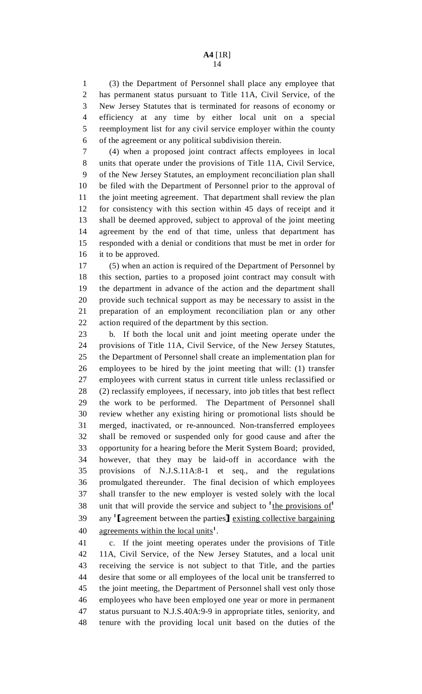1 (3) the Department of Personnel shall place any employee that 2 has permanent status pursuant to Title 11A, Civil Service, of the 3 New Jersey Statutes that is terminated for reasons of economy or 4 efficiency at any time by either local unit on a special 5 reemployment list for any civil service employer within the county 6 of the agreement or any political subdivision therein.

7 (4) when a proposed joint contract affects employees in local 8 units that operate under the provisions of Title 11A, Civil Service, 9 of the New Jersey Statutes, an employment reconciliation plan shall 10 be filed with the Department of Personnel prior to the approval of 11 the joint meeting agreement. That department shall review the plan 12 for consistency with this section within 45 days of receipt and it 13 shall be deemed approved, subject to approval of the joint meeting 14 agreement by the end of that time, unless that department has 15 responded with a denial or conditions that must be met in order for 16 it to be approved.

17 (5) when an action is required of the Department of Personnel by 18 this section, parties to a proposed joint contract may consult with 19 the department in advance of the action and the department shall 20 provide such technical support as may be necessary to assist in the 21 preparation of an employment reconciliation plan or any other 22 action required of the department by this section.

23 b. If both the local unit and joint meeting operate under the 24 provisions of Title 11A, Civil Service, of the New Jersey Statutes, 25 the Department of Personnel shall create an implementation plan for 26 employees to be hired by the joint meeting that will: (1) transfer 27 employees with current status in current title unless reclassified or 28 (2) reclassify employees, if necessary, into job titles that best reflect 29 the work to be performed. The Department of Personnel shall 30 review whether any existing hiring or promotional lists should be 31 merged, inactivated, or re-announced. Non-transferred employees 32 shall be removed or suspended only for good cause and after the 33 opportunity for a hearing before the Merit System Board; provided, 34 however, that they may be laid-off in accordance with the 35 provisions of N.J.S.11A:8-1 et seq., and the regulations 36 promulgated thereunder. The final decision of which employees 37 shall transfer to the new employer is vested solely with the local 38 unit that will provide the service and subject to <sup>1</sup>the provisions of<sup>1</sup> 39 any  $\text{1}$  [agreement between the parties] existing collective bargaining 40 agreements within the local units<sup>1</sup>. agreements within the local units<sup>1</sup>.

41 c. If the joint meeting operates under the provisions of Title 42 11A, Civil Service, of the New Jersey Statutes, and a local unit 43 receiving the service is not subject to that Title, and the parties 44 desire that some or all employees of the local unit be transferred to 45 the joint meeting, the Department of Personnel shall vest only those 46 employees who have been employed one year or more in permanent 47 status pursuant to N.J.S.40A:9-9 in appropriate titles, seniority, and 48 tenure with the providing local unit based on the duties of the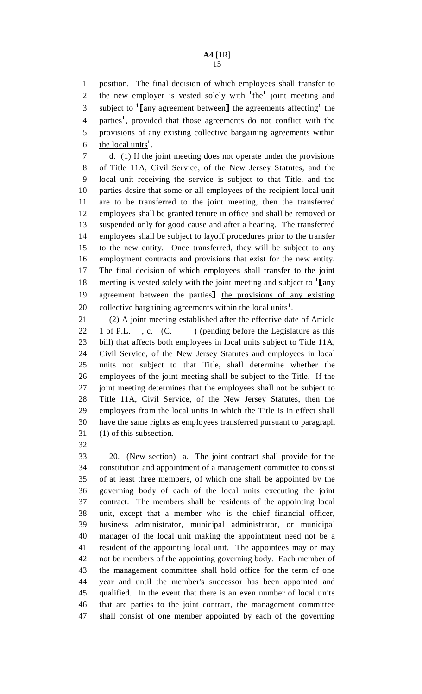1 position. The final decision of which employees shall transfer to 2 the new employer is vested solely with <sup>1</sup>the<sup>1</sup> joint meeting and subject to '[any agreement between] the agreements affecting' the 4 parties<sup>1</sup>, provided that those agreements do not conflict with the 5 provisions of any existing collective bargaining agreements within 6 the local units<sup>1</sup>.

7 d. (1) If the joint meeting does not operate under the provisions 8 of Title 11A, Civil Service, of the New Jersey Statutes, and the 9 local unit receiving the service is subject to that Title, and the 10 parties desire that some or all employees of the recipient local unit 11 are to be transferred to the joint meeting, then the transferred 12 employees shall be granted tenure in office and shall be removed or 13 suspended only for good cause and after a hearing. The transferred 14 employees shall be subject to layoff procedures prior to the transfer 15 to the new entity. Once transferred, they will be subject to any 16 employment contracts and provisions that exist for the new entity. 17 The final decision of which employees shall transfer to the joint 18 meeting is vested solely with the joint meeting and subject to  $\frac{1}{\text{[any}}$ <br>19 agreement between the parties  $\frac{1}{\text{[any)}}$  the provisions of any existing 19 agreement between the parties  $\frac{1}{2}$  the provisions of any existing 20 collective bargaining agreements within the local units<sup>1</sup>. collective bargaining agreements within the local units<sup>1</sup>.

21 (2) A joint meeting established after the effective date of Article 22 1 of P.L., c. (C.) (pending before the Legislature as this 23 bill) that affects both employees in local units subject to Title 11A, 24 Civil Service, of the New Jersey Statutes and employees in local 25 units not subject to that Title, shall determine whether the 26 employees of the joint meeting shall be subject to the Title. If the 27 joint meeting determines that the employees shall not be subject to 28 Title 11A, Civil Service, of the New Jersey Statutes, then the 29 employees from the local units in which the Title is in effect shall 30 have the same rights as employees transferred pursuant to paragraph 31 (1) of this subsection.

32

33 20. (New section) a. The joint contract shall provide for the 34 constitution and appointment of a management committee to consist 35 of at least three members, of which one shall be appointed by the 36 governing body of each of the local units executing the joint 37 contract. The members shall be residents of the appointing local 38 unit, except that a member who is the chief financial officer, 39 business administrator, municipal administrator, or municipal 40 manager of the local unit making the appointment need not be a 41 resident of the appointing local unit. The appointees may or may 42 not be members of the appointing governing body. Each member of 43 the management committee shall hold office for the term of one 44 year and until the member's successor has been appointed and 45 qualified. In the event that there is an even number of local units 46 that are parties to the joint contract, the management committee 47 shall consist of one member appointed by each of the governing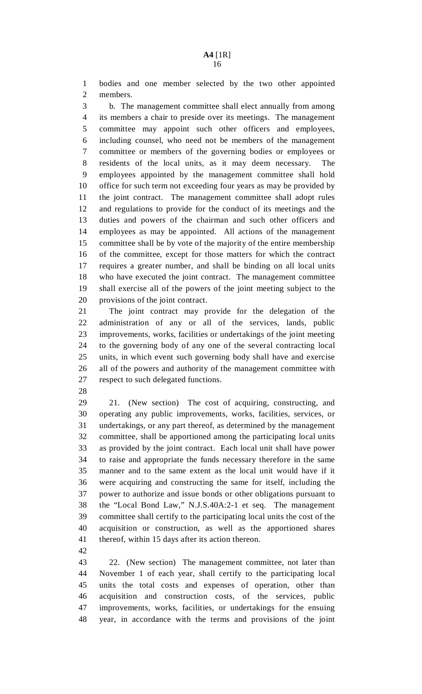1 bodies and one member selected by the two other appointed 2 members.

3 b. The management committee shall elect annually from among 4 its members a chair to preside over its meetings. The management 5 committee may appoint such other officers and employees, 6 including counsel, who need not be members of the management 7 committee or members of the governing bodies or employees or 8 residents of the local units, as it may deem necessary. The 9 employees appointed by the management committee shall hold 10 office for such term not exceeding four years as may be provided by 11 the joint contract. The management committee shall adopt rules 12 and regulations to provide for the conduct of its meetings and the 13 duties and powers of the chairman and such other officers and 14 employees as may be appointed. All actions of the management 15 committee shall be by vote of the majority of the entire membership 16 of the committee, except for those matters for which the contract 17 requires a greater number, and shall be binding on all local units 18 who have executed the joint contract. The management committee 19 shall exercise all of the powers of the joint meeting subject to the 20 provisions of the joint contract.

21 The joint contract may provide for the delegation of the 22 administration of any or all of the services, lands, public 23 improvements, works, facilities or undertakings of the joint meeting 24 to the governing body of any one of the several contracting local 25 units, in which event such governing body shall have and exercise 26 all of the powers and authority of the management committee with 27 respect to such delegated functions.

28

29 21. (New section) The cost of acquiring, constructing, and 30 operating any public improvements, works, facilities, services, or 31 undertakings, or any part thereof, as determined by the management 32 committee, shall be apportioned among the participating local units 33 as provided by the joint contract. Each local unit shall have power 34 to raise and appropriate the funds necessary therefore in the same 35 manner and to the same extent as the local unit would have if it 36 were acquiring and constructing the same for itself, including the 37 power to authorize and issue bonds or other obligations pursuant to 38 the "Local Bond Law," N.J.S.40A:2-1 et seq. The management 39 committee shall certify to the participating local units the cost of the 40 acquisition or construction, as well as the apportioned shares 41 thereof, within 15 days after its action thereon.

42

43 22. (New section) The management committee, not later than 44 November 1 of each year, shall certify to the participating local 45 units the total costs and expenses of operation, other than 46 acquisition and construction costs, of the services, public 47 improvements, works, facilities, or undertakings for the ensuing 48 year, in accordance with the terms and provisions of the joint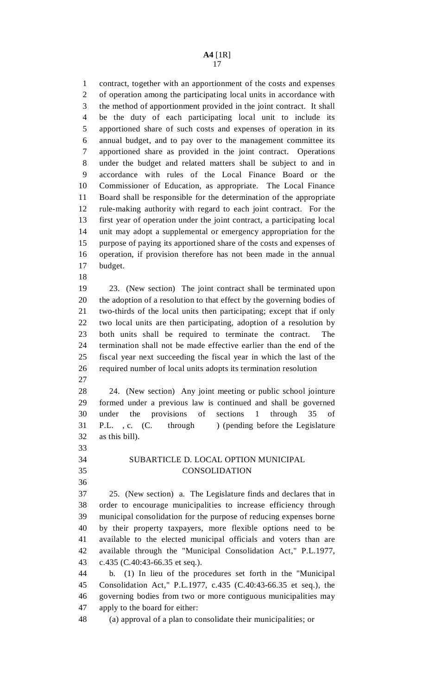1 contract, together with an apportionment of the costs and expenses 2 of operation among the participating local units in accordance with 3 the method of apportionment provided in the joint contract. It shall 4 be the duty of each participating local unit to include its 5 apportioned share of such costs and expenses of operation in its 6 annual budget, and to pay over to the management committee its 7 apportioned share as provided in the joint contract. Operations 8 under the budget and related matters shall be subject to and in 9 accordance with rules of the Local Finance Board or the 10 Commissioner of Education, as appropriate. The Local Finance 11 Board shall be responsible for the determination of the appropriate 12 rule-making authority with regard to each joint contract. For the 13 first year of operation under the joint contract, a participating local 14 unit may adopt a supplemental or emergency appropriation for the 15 purpose of paying its apportioned share of the costs and expenses of 16 operation, if provision therefore has not been made in the annual 17 budget.

18

19 23. (New section) The joint contract shall be terminated upon 20 the adoption of a resolution to that effect by the governing bodies of 21 two-thirds of the local units then participating; except that if only 22 two local units are then participating, adoption of a resolution by 23 both units shall be required to terminate the contract. The 24 termination shall not be made effective earlier than the end of the 25 fiscal year next succeeding the fiscal year in which the last of the 26 required number of local units adopts its termination resolution

27

28 24. (New section) Any joint meeting or public school jointure 29 formed under a previous law is continued and shall be governed 30 under the provisions of sections 1 through 35 of 31 P.L. , c. (C. through ) (pending before the Legislature 32 as this bill).

# 34 SUBARTICLE D. LOCAL OPTION MUNICIPAL 35 CONSOLIDATION

36

33

37 25. (New section) a. The Legislature finds and declares that in 38 order to encourage municipalities to increase efficiency through 39 municipal consolidation for the purpose of reducing expenses borne 40 by their property taxpayers, more flexible options need to be 41 available to the elected municipal officials and voters than are 42 available through the "Municipal Consolidation Act," P.L.1977, 43 c.435 (C.40:43-66.35 et seq.).

44 b. (1) In lieu of the procedures set forth in the "Municipal 45 Consolidation Act," P.L.1977, c.435 (C.40:43-66.35 et seq.), the 46 governing bodies from two or more contiguous municipalities may 47 apply to the board for either:

48 (a) approval of a plan to consolidate their municipalities; or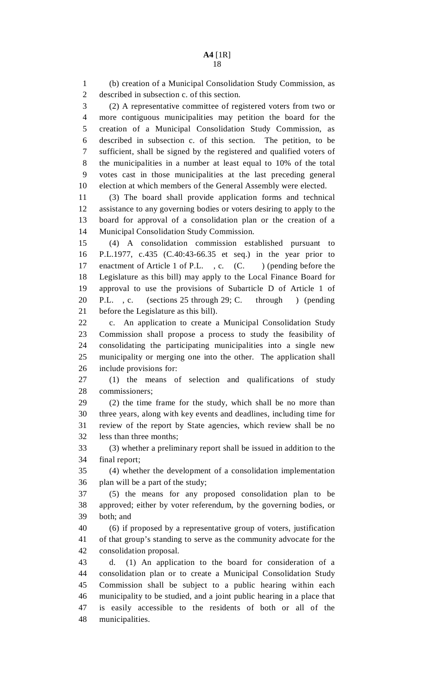1 (b) creation of a Municipal Consolidation Study Commission, as 2 described in subsection c. of this section. 3 (2) A representative committee of registered voters from two or 4 more contiguous municipalities may petition the board for the 5 creation of a Municipal Consolidation Study Commission, as 6 described in subsection c. of this section. The petition, to be 7 sufficient, shall be signed by the registered and qualified voters of 8 the municipalities in a number at least equal to 10% of the total 9 votes cast in those municipalities at the last preceding general 10 election at which members of the General Assembly were elected. 11 (3) The board shall provide application forms and technical 12 assistance to any governing bodies or voters desiring to apply to the 13 board for approval of a consolidation plan or the creation of a 14 Municipal Consolidation Study Commission. 15 (4) A consolidation commission established pursuant to 16 P.L.1977, c.435 (C.40:43-66.35 et seq.) in the year prior to 17 enactment of Article 1 of P.L., c. (C.) (pending before the 18 Legislature as this bill) may apply to the Local Finance Board for 19 approval to use the provisions of Subarticle D of Article 1 of 20 P.L. , c. (sections 25 through 29; C. through ) (pending 21 before the Legislature as this bill). 22 c. An application to create a Municipal Consolidation Study 23 Commission shall propose a process to study the feasibility of 24 consolidating the participating municipalities into a single new 25 municipality or merging one into the other. The application shall 26 include provisions for: 27 (1) the means of selection and qualifications of study 28 commissioners; 29 (2) the time frame for the study, which shall be no more than 30 three years, along with key events and deadlines, including time for 31 review of the report by State agencies, which review shall be no 32 less than three months; 33 (3) whether a preliminary report shall be issued in addition to the 34 final report; 35 (4) whether the development of a consolidation implementation 36 plan will be a part of the study; 37 (5) the means for any proposed consolidation plan to be 38 approved; either by voter referendum, by the governing bodies, or 39 both; and 40 (6) if proposed by a representative group of voters, justification 41 of that group's standing to serve as the community advocate for the 42 consolidation proposal. 43 d. (1) An application to the board for consideration of a 44 consolidation plan or to create a Municipal Consolidation Study 45 Commission shall be subject to a public hearing within each 46 municipality to be studied, and a joint public hearing in a place that 47 is easily accessible to the residents of both or all of the 48 municipalities.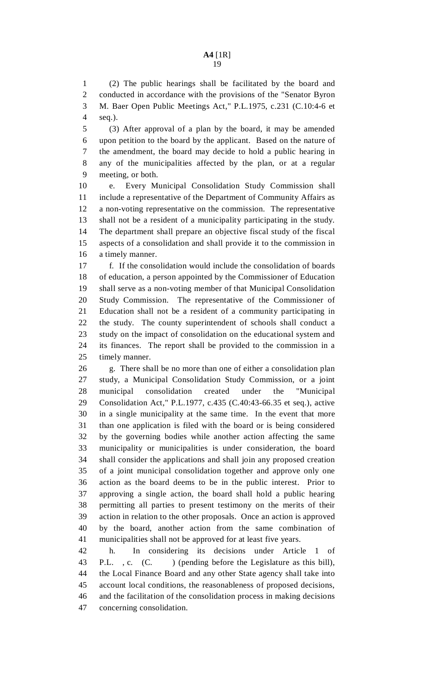1 (2) The public hearings shall be facilitated by the board and 2 conducted in accordance with the provisions of the "Senator Byron 3 M. Baer Open Public Meetings Act," P.L.1975, c.231 (C.10:4-6 et 4 seq.).

5 (3) After approval of a plan by the board, it may be amended 6 upon petition to the board by the applicant. Based on the nature of 7 the amendment, the board may decide to hold a public hearing in 8 any of the municipalities affected by the plan, or at a regular 9 meeting, or both.

10 e. Every Municipal Consolidation Study Commission shall 11 include a representative of the Department of Community Affairs as 12 a non-voting representative on the commission. The representative 13 shall not be a resident of a municipality participating in the study. 14 The department shall prepare an objective fiscal study of the fiscal 15 aspects of a consolidation and shall provide it to the commission in 16 a timely manner.

17 f. If the consolidation would include the consolidation of boards 18 of education, a person appointed by the Commissioner of Education 19 shall serve as a non-voting member of that Municipal Consolidation 20 Study Commission. The representative of the Commissioner of 21 Education shall not be a resident of a community participating in 22 the study. The county superintendent of schools shall conduct a 23 study on the impact of consolidation on the educational system and 24 its finances. The report shall be provided to the commission in a 25 timely manner.

26 g. There shall be no more than one of either a consolidation plan 27 study, a Municipal Consolidation Study Commission, or a joint 28 municipal consolidation created under the "Municipal 29 Consolidation Act," P.L.1977, c.435 (C.40:43-66.35 et seq.), active 30 in a single municipality at the same time. In the event that more 31 than one application is filed with the board or is being considered 32 by the governing bodies while another action affecting the same 33 municipality or municipalities is under consideration, the board 34 shall consider the applications and shall join any proposed creation 35 of a joint municipal consolidation together and approve only one 36 action as the board deems to be in the public interest. Prior to 37 approving a single action, the board shall hold a public hearing 38 permitting all parties to present testimony on the merits of their 39 action in relation to the other proposals. Once an action is approved 40 by the board, another action from the same combination of 41 municipalities shall not be approved for at least five years.

42 h. In considering its decisions under Article 1 of 43 P.L., c. (C. ) (pending before the Legislature as this bill), 44 the Local Finance Board and any other State agency shall take into 45 account local conditions, the reasonableness of proposed decisions, 46 and the facilitation of the consolidation process in making decisions 47 concerning consolidation.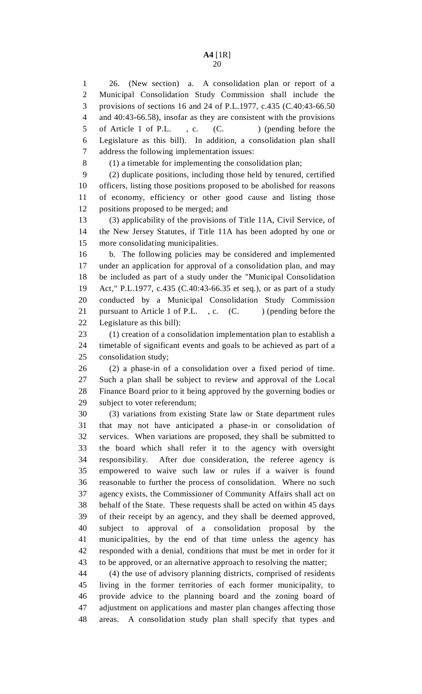6 Legislature as this bill). In addition, a consolidation plan shall 7 address the following implementation issues:

8 (1) a timetable for implementing the consolidation plan;

9 (2) duplicate positions, including those held by tenured, certified 10 officers, listing those positions proposed to be abolished for reasons 11 of economy, efficiency or other good cause and listing those 12 positions proposed to be merged; and

13 (3) applicability of the provisions of Title 11A, Civil Service, of 14 the New Jersey Statutes, if Title 11A has been adopted by one or 15 more consolidating municipalities.

16 b. The following policies may be considered and implemented 17 under an application for approval of a consolidation plan, and may 18 be included as part of a study under the "Municipal Consolidation 19 Act," P.L.1977, c.435 (C.40:43-66.35 et seq.), or as part of a study 20 conducted by a Municipal Consolidation Study Commission 21 pursuant to Article 1 of P.L., c. (C. ) (pending before the 22 Legislature as this bill):

23 (1) creation of a consolidation implementation plan to establish a 24 timetable of significant events and goals to be achieved as part of a 25 consolidation study;

26 (2) a phase-in of a consolidation over a fixed period of time. 27 Such a plan shall be subject to review and approval of the Local 28 Finance Board prior to it being approved by the governing bodies or 29 subject to voter referendum;

30 (3) variations from existing State law or State department rules 31 that may not have anticipated a phase-in or consolidation of 32 services. When variations are proposed, they shall be submitted to 33 the board which shall refer it to the agency with oversight 34 responsibility. After due consideration, the referee agency is 35 empowered to waive such law or rules if a waiver is found 36 reasonable to further the process of consolidation. Where no such 37 agency exists, the Commissioner of Community Affairs shall act on 38 behalf of the State. These requests shall be acted on within 45 days 39 of their receipt by an agency, and they shall be deemed approved, 40 subject to approval of a consolidation proposal by the 41 municipalities, by the end of that time unless the agency has 42 responded with a denial, conditions that must be met in order for it 43 to be approved, or an alternative approach to resolving the matter;

44 (4) the use of advisory planning districts, comprised of residents 45 living in the former territories of each former municipality, to 46 provide advice to the planning board and the zoning board of 47 adjustment on applications and master plan changes affecting those 48 areas. A consolidation study plan shall specify that types and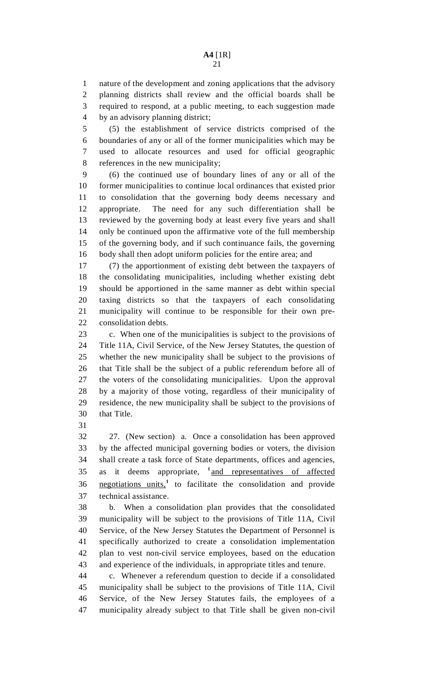1 nature of the development and zoning applications that the advisory 2 planning districts shall review and the official boards shall be 3 required to respond, at a public meeting, to each suggestion made 4 by an advisory planning district;

5 (5) the establishment of service districts comprised of the 6 boundaries of any or all of the former municipalities which may be 7 used to allocate resources and used for official geographic 8 references in the new municipality;

9 (6) the continued use of boundary lines of any or all of the 10 former municipalities to continue local ordinances that existed prior 11 to consolidation that the governing body deems necessary and 12 appropriate. The need for any such differentiation shall be 13 reviewed by the governing body at least every five years and shall 14 only be continued upon the affirmative vote of the full membership 15 of the governing body, and if such continuance fails, the governing 16 body shall then adopt uniform policies for the entire area; and

17 (7) the apportionment of existing debt between the taxpayers of 18 the consolidating municipalities, including whether existing debt 19 should be apportioned in the same manner as debt within special 20 taxing districts so that the taxpayers of each consolidating 21 municipality will continue to be responsible for their own pre-22 consolidation debts.

23 c. When one of the municipalities is subject to the provisions of 24 Title 11A, Civil Service, of the New Jersey Statutes, the question of 25 whether the new municipality shall be subject to the provisions of 26 that Title shall be the subject of a public referendum before all of 27 the voters of the consolidating municipalities. Upon the approval 28 by a majority of those voting, regardless of their municipality of 29 residence, the new municipality shall be subject to the provisions of 30 that Title.

31

32 27. (New section) a. Once a consolidation has been approved 33 by the affected municipal governing bodies or voters, the division 34 shall create a task force of State departments, offices and agencies, 35 as it deems appropriate, <sup>1</sup> and representatives of affected 36 negotiations units,<sup>1</sup> to facilitate the consolidation and provide 37 technical assistance.

38 b. When a consolidation plan provides that the consolidated 39 municipality will be subject to the provisions of Title 11A, Civil 40 Service, of the New Jersey Statutes the Department of Personnel is 41 specifically authorized to create a consolidation implementation 42 plan to vest non-civil service employees, based on the education 43 and experience of the individuals, in appropriate titles and tenure.

44 c. Whenever a referendum question to decide if a consolidated 45 municipality shall be subject to the provisions of Title 11A, Civil 46 Service, of the New Jersey Statutes fails, the employees of a 47 municipality already subject to that Title shall be given non-civil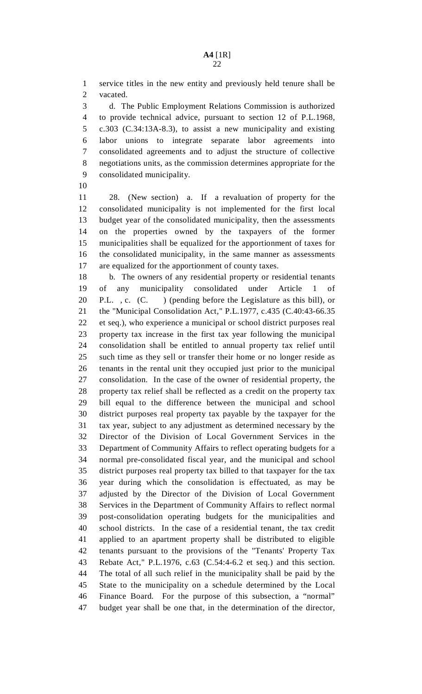1 service titles in the new entity and previously held tenure shall be 2 vacated.

3 d. The Public Employment Relations Commission is authorized 4 to provide technical advice, pursuant to section 12 of P.L.1968, 5 c.303 (C.34:13A-8.3), to assist a new municipality and existing 6 labor unions to integrate separate labor agreements into 7 consolidated agreements and to adjust the structure of collective 8 negotiations units, as the commission determines appropriate for the 9 consolidated municipality.

10

11 28. (New section) a. If a revaluation of property for the 12 consolidated municipality is not implemented for the first local 13 budget year of the consolidated municipality, then the assessments 14 on the properties owned by the taxpayers of the former 15 municipalities shall be equalized for the apportionment of taxes for 16 the consolidated municipality, in the same manner as assessments 17 are equalized for the apportionment of county taxes.

18 b. The owners of any residential property or residential tenants 19 of any municipality consolidated under Article 1 of 20 P.L. , c. (C. ) (pending before the Legislature as this bill), or 21 the "Municipal Consolidation Act," P.L.1977, c.435 (C.40:43-66.35 22 et seq.), who experience a municipal or school district purposes real 23 property tax increase in the first tax year following the municipal 24 consolidation shall be entitled to annual property tax relief until 25 such time as they sell or transfer their home or no longer reside as 26 tenants in the rental unit they occupied just prior to the municipal 27 consolidation. In the case of the owner of residential property, the 28 property tax relief shall be reflected as a credit on the property tax 29 bill equal to the difference between the municipal and school 30 district purposes real property tax payable by the taxpayer for the 31 tax year, subject to any adjustment as determined necessary by the 32 Director of the Division of Local Government Services in the 33 Department of Community Affairs to reflect operating budgets for a 34 normal pre-consolidated fiscal year, and the municipal and school 35 district purposes real property tax billed to that taxpayer for the tax 36 year during which the consolidation is effectuated, as may be 37 adjusted by the Director of the Division of Local Government 38 Services in the Department of Community Affairs to reflect normal 39 post-consolidation operating budgets for the municipalities and 40 school districts. In the case of a residential tenant, the tax credit 41 applied to an apartment property shall be distributed to eligible 42 tenants pursuant to the provisions of the "Tenants' Property Tax 43 Rebate Act," P.L.1976, c.63 (C.54:4-6.2 et seq.) and this section. 44 The total of all such relief in the municipality shall be paid by the 45 State to the municipality on a schedule determined by the Local 46 Finance Board. For the purpose of this subsection, a "normal" 47 budget year shall be one that, in the determination of the director,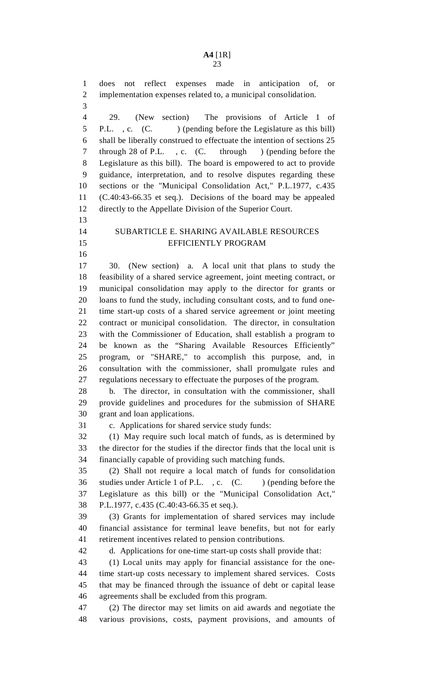1 does not reflect expenses made in anticipation of, or 2 implementation expenses related to, a municipal consolidation.

3

13

16

4 29. (New section) The provisions of Article 1 of 5 P.L., c. (C. ) (pending before the Legislature as this bill) 6 shall be liberally construed to effectuate the intention of sections 25 7 through 28 of P.L. , c. (C. through ) (pending before the 8 Legislature as this bill). The board is empowered to act to provide 9 guidance, interpretation, and to resolve disputes regarding these 10 sections or the "Municipal Consolidation Act," P.L.1977, c.435 11 (C.40:43-66.35 et seq.). Decisions of the board may be appealed 12 directly to the Appellate Division of the Superior Court.

## 14 SUBARTICLE E. SHARING AVAILABLE RESOURCES 15 EFFICIENTLY PROGRAM

17 30. (New section) a. A local unit that plans to study the 18 feasibility of a shared service agreement, joint meeting contract, or 19 municipal consolidation may apply to the director for grants or 20 loans to fund the study, including consultant costs, and to fund one-21 time start-up costs of a shared service agreement or joint meeting 22 contract or municipal consolidation. The director, in consultation 23 with the Commissioner of Education, shall establish a program to 24 be known as the "Sharing Available Resources Efficiently" 25 program, or "SHARE," to accomplish this purpose, and, in 26 consultation with the commissioner, shall promulgate rules and 27 regulations necessary to effectuate the purposes of the program.

28 b. The director, in consultation with the commissioner, shall 29 provide guidelines and procedures for the submission of SHARE 30 grant and loan applications.

31 c. Applications for shared service study funds:

32 (1) May require such local match of funds, as is determined by 33 the director for the studies if the director finds that the local unit is 34 financially capable of providing such matching funds.

35 (2) Shall not require a local match of funds for consolidation 36 studies under Article 1 of P.L., c. (C. ) (pending before the 37 Legislature as this bill) or the "Municipal Consolidation Act," 38 P.L.1977, c.435 (C.40:43-66.35 et seq.).

39 (3) Grants for implementation of shared services may include 40 financial assistance for terminal leave benefits, but not for early 41 retirement incentives related to pension contributions.

42 d. Applications for one-time start-up costs shall provide that:

43 (1) Local units may apply for financial assistance for the one-44 time start-up costs necessary to implement shared services. Costs 45 that may be financed through the issuance of debt or capital lease 46 agreements shall be excluded from this program.

47 (2) The director may set limits on aid awards and negotiate the 48 various provisions, costs, payment provisions, and amounts of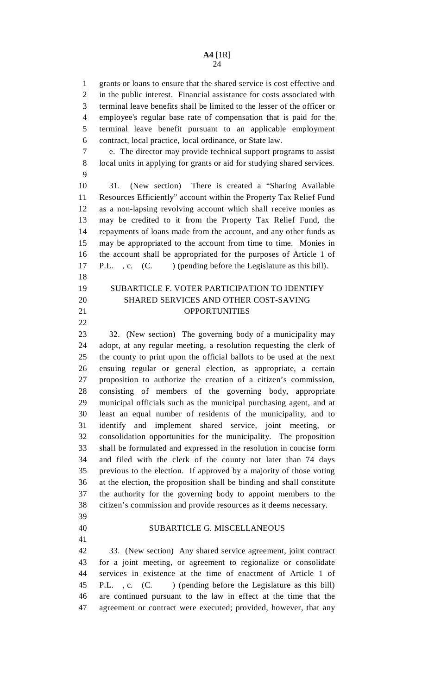1 grants or loans to ensure that the shared service is cost effective and 2 in the public interest. Financial assistance for costs associated with 3 terminal leave benefits shall be limited to the lesser of the officer or 4 employee's regular base rate of compensation that is paid for the 5 terminal leave benefit pursuant to an applicable employment 6 contract, local practice, local ordinance, or State law.

7 e. The director may provide technical support programs to assist 8 local units in applying for grants or aid for studying shared services. 9

10 31. (New section) There is created a "Sharing Available 11 Resources Efficiently" account within the Property Tax Relief Fund 12 as a non-lapsing revolving account which shall receive monies as 13 may be credited to it from the Property Tax Relief Fund, the 14 repayments of loans made from the account, and any other funds as 15 may be appropriated to the account from time to time. Monies in 16 the account shall be appropriated for the purposes of Article 1 of 17 P.L., c. (C. ) (pending before the Legislature as this bill).

# 19 SUBARTICLE F. VOTER PARTICIPATION TO IDENTIFY 20 SHARED SERVICES AND OTHER COST-SAVING 21 OPPORTUNITIES

23 32. (New section) The governing body of a municipality may 24 adopt, at any regular meeting, a resolution requesting the clerk of 25 the county to print upon the official ballots to be used at the next 26 ensuing regular or general election, as appropriate, a certain 27 proposition to authorize the creation of a citizen's commission, 28 consisting of members of the governing body, appropriate 29 municipal officials such as the municipal purchasing agent, and at 30 least an equal number of residents of the municipality, and to 31 identify and implement shared service, joint meeting, or 32 consolidation opportunities for the municipality. The proposition 33 shall be formulated and expressed in the resolution in concise form 34 and filed with the clerk of the county not later than 74 days 35 previous to the election. If approved by a majority of those voting 36 at the election, the proposition shall be binding and shall constitute 37 the authority for the governing body to appoint members to the 38 citizen's commission and provide resources as it deems necessary.

39

18

22

41

## 40 SUBARTICLE G. MISCELLANEOUS

42 33. (New section) Any shared service agreement, joint contract 43 for a joint meeting, or agreement to regionalize or consolidate 44 services in existence at the time of enactment of Article 1 of 45 P.L. , c. (C. ) (pending before the Legislature as this bill) 46 are continued pursuant to the law in effect at the time that the 47 agreement or contract were executed; provided, however, that any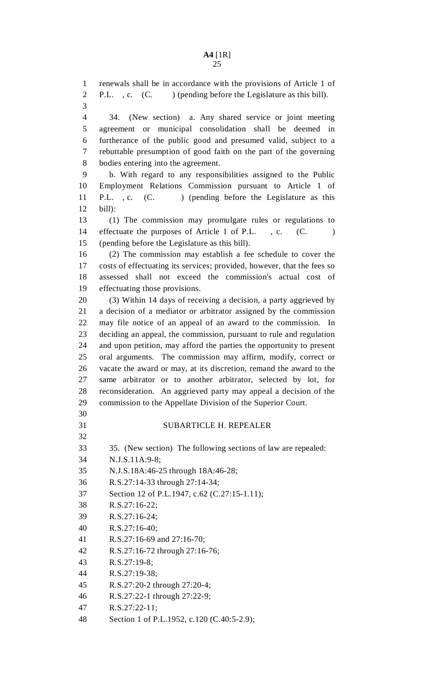1 renewals shall be in accordance with the provisions of Article 1 of 2 P.L., c. (C. ) (pending before the Legislature as this bill).

3

4 34. (New section) a. Any shared service or joint meeting 5 agreement or municipal consolidation shall be deemed in 6 furtherance of the public good and presumed valid, subject to a 7 rebuttable presumption of good faith on the part of the governing 8 bodies entering into the agreement.

9 b. With regard to any responsibilities assigned to the Public 10 Employment Relations Commission pursuant to Article 1 of 11 P.L., c. (C. ) (pending before the Legislature as this 12 bill):

13 (1) The commission may promulgate rules or regulations to 14 effectuate the purposes of Article 1 of P.L., c. (C.) 15 (pending before the Legislature as this bill).

16 (2) The commission may establish a fee schedule to cover the 17 costs of effectuating its services; provided, however, that the fees so 18 assessed shall not exceed the commission's actual cost of 19 effectuating those provisions.

20 (3) Within 14 days of receiving a decision, a party aggrieved by 21 a decision of a mediator or arbitrator assigned by the commission 22 may file notice of an appeal of an award to the commission. In 23 deciding an appeal, the commission, pursuant to rule and regulation 24 and upon petition, may afford the parties the opportunity to present 25 oral arguments. The commission may affirm, modify, correct or 26 vacate the award or may, at its discretion, remand the award to the 27 same arbitrator or to another arbitrator, selected by lot, for 28 reconsideration. An aggrieved party may appeal a decision of the 29 commission to the Appellate Division of the Superior Court.

30

32

## 31 SUBARTICLE H. REPEALER

33 35. (New section) The following sections of law are repealed:

- 34 N.J.S.11A:9-8;
- 35 N.J.S.18A:46-25 through 18A:46-28;
- 36 R.S.27:14-33 through 27:14-34;
- 37 Section 12 of P.L.1947, c.62 (C.27:15-1.11);
- 38 R.S.27:16-22;
- 39 R.S.27:16-24;
- 40 R.S.27:16-40;
- 41 R.S.27:16-69 and 27:16-70;
- 42 R.S.27:16-72 through 27:16-76;
- 43 R.S.27:19-8;
- 44 R.S.27:19-38;

45 R.S.27:20-2 through 27:20-4;

- 46 R.S.27:22-1 through 27:22-9;
- 47 R.S.27:22-11;
- 48 Section 1 of P.L.1952, c.120 (C.40:5-2.9);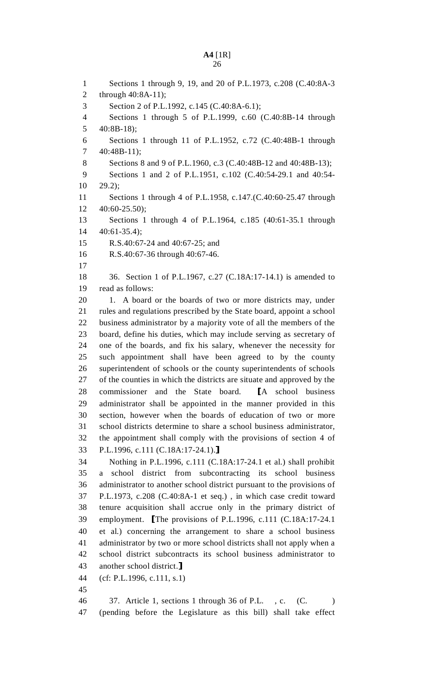1 Sections 1 through 9, 19, and 20 of P.L.1973, c.208 (C.40:8A-3 2 through 40:8A-11); 3 Section 2 of P.L.1992, c.145 (C.40:8A-6.1); 4 Sections 1 through 5 of P.L.1999, c.60 (C.40:8B-14 through 5  $40:8B-18$ ; 6 Sections 1 through 11 of P.L.1952, c.72 (C.40:48B-1 through 7 40:48B-11); 8 Sections 8 and 9 of P.L.1960, c.3 (C.40:48B-12 and 40:48B-13); 9 Sections 1 and 2 of P.L.1951, c.102 (C.40:54-29.1 and 40:54- 10 29.2); 11 Sections 1 through 4 of P.L.1958, c.147.(C.40:60-25.47 through 12 40:60-25.50); 13 Sections 1 through 4 of P.L.1964, c.185 (40:61-35.1 through 14 40:61-35.4); 15 R.S.40:67-24 and 40:67-25; and 16 R.S.40:67-36 through 40:67-46. 17 18 36. Section 1 of P.L.1967, c.27 (C.18A:17-14.1) is amended to 19 read as follows: 20 1. A board or the boards of two or more districts may, under 21 rules and regulations prescribed by the State board, appoint a school 22 business administrator by a majority vote of all the members of the 23 board, define his duties, which may include serving as secretary of 24 one of the boards, and fix his salary, whenever the necessity for 25 such appointment shall have been agreed to by the county 26 superintendent of schools or the county superintendents of schools 27 of the counties in which the districts are situate and approved by the 28 commissioner and the State board. [A school business administrator shall be appointed in the manner provided in this administrator shall be appointed in the manner provided in this 30 section, however when the boards of education of two or more 31 school districts determine to share a school business administrator, 32 the appointment shall comply with the provisions of section 4 of 33 P.L.1996, c.111 (C.18A:17-24.1).]<br>34 Nothing in P.L.1996, c.111 (C.1 34 Nothing in P.L.1996, c.111 (C.18A:17-24.1 et al.) shall prohibit 35 a school district from subcontracting its school business 36 administrator to another school district pursuant to the provisions of 37 P.L.1973, c.208 (C.40:8A-1 et seq.) , in which case credit toward 38 tenure acquisition shall accrue only in the primary district of 39 employment. The provisions of P.L.1996, c.111 (C.18A:17-24.1 et al.) concerning the arrangement to share a school business et al.) concerning the arrangement to share a school business 41 administrator by two or more school districts shall not apply when a 42 school district subcontracts its school business administrator to 43 another school district.]<br>44 (cf: P.L.1996, c.111, s.1)  $(cf: P.L.1996, c.111, s.1)$ 45 46 37. Article 1, sections 1 through 36 of P.L. , c. (C. ) 47 (pending before the Legislature as this bill) shall take effect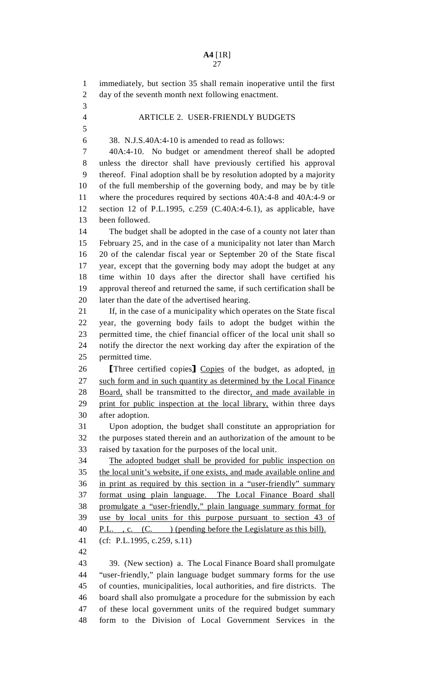1 immediately, but section 35 shall remain inoperative until the first 2 day of the seventh month next following enactment. 3 4 ARTICLE 2. USER-FRIENDLY BUDGETS 5 6 38. N.J.S.40A:4-10 is amended to read as follows: 7 40A:4-10. No budget or amendment thereof shall be adopted 8 unless the director shall have previously certified his approval 9 thereof. Final adoption shall be by resolution adopted by a majority 10 of the full membership of the governing body, and may be by title 11 where the procedures required by sections 40A:4-8 and 40A:4-9 or 12 section 12 of P.L.1995, c.259 (C.40A:4-6.1), as applicable, have 13 been followed. 14 The budget shall be adopted in the case of a county not later than 15 February 25, and in the case of a municipality not later than March 16 20 of the calendar fiscal year or September 20 of the State fiscal 17 year, except that the governing body may adopt the budget at any 18 time within 10 days after the director shall have certified his 19 approval thereof and returned the same, if such certification shall be 20 later than the date of the advertised hearing. 21 If, in the case of a municipality which operates on the State fiscal 22 year, the governing body fails to adopt the budget within the 23 permitted time, the chief financial officer of the local unit shall so 24 notify the director the next working day after the expiration of the 25 permitted time. 26 [Three certified copies] Copies of the budget, as adopted, in 27 such form and in such quantity as determined by the Local Finance such form and in such quantity as determined by the Local Finance 28 Board, shall be transmitted to the director, and made available in 29 print for public inspection at the local library, within three days 30 after adoption. 31 Upon adoption, the budget shall constitute an appropriation for 32 the purposes stated therein and an authorization of the amount to be 33 raised by taxation for the purposes of the local unit. 34 The adopted budget shall be provided for public inspection on 35 the local unit's website, if one exists, and made available online and 36 in print as required by this section in a "user-friendly" summary 37 format using plain language. The Local Finance Board shall 38 promulgate a "user-friendly," plain language summary format for 39 use by local units for this purpose pursuant to section 43 of 40 P.L., c. (C. ) (pending before the Legislature as this bill). 41 (cf: P.L.1995, c.259, s.11) 42 43 39. (New section) a. The Local Finance Board shall promulgate 44 "user-friendly," plain language budget summary forms for the use 45 of counties, municipalities, local authorities, and fire districts. The 46 board shall also promulgate a procedure for the submission by each 47 of these local government units of the required budget summary 48 form to the Division of Local Government Services in the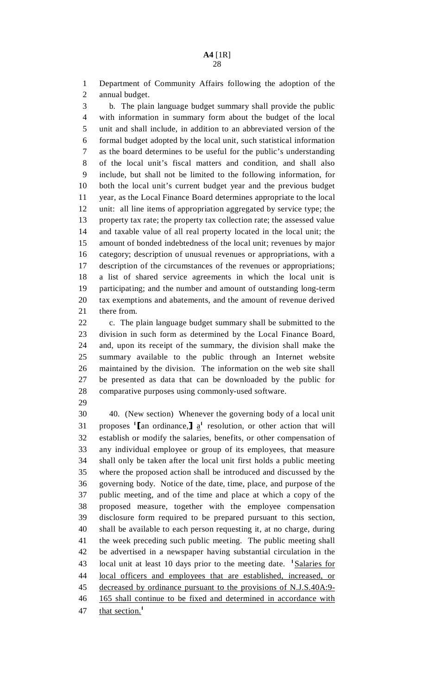1 Department of Community Affairs following the adoption of the 2 annual budget.

3 b. The plain language budget summary shall provide the public 4 with information in summary form about the budget of the local 5 unit and shall include, in addition to an abbreviated version of the 6 formal budget adopted by the local unit, such statistical information 7 as the board determines to be useful for the public's understanding 8 of the local unit's fiscal matters and condition, and shall also 9 include, but shall not be limited to the following information, for 10 both the local unit's current budget year and the previous budget 11 year, as the Local Finance Board determines appropriate to the local 12 unit: all line items of appropriation aggregated by service type; the 13 property tax rate; the property tax collection rate; the assessed value 14 and taxable value of all real property located in the local unit; the 15 amount of bonded indebtedness of the local unit; revenues by major 16 category; description of unusual revenues or appropriations, with a 17 description of the circumstances of the revenues or appropriations; 18 a list of shared service agreements in which the local unit is 19 participating; and the number and amount of outstanding long-term 20 tax exemptions and abatements, and the amount of revenue derived 21 there from.

22 c. The plain language budget summary shall be submitted to the 23 division in such form as determined by the Local Finance Board, 24 and, upon its receipt of the summary, the division shall make the 25 summary available to the public through an Internet website 26 maintained by the division. The information on the web site shall 27 be presented as data that can be downloaded by the public for 28 comparative purposes using commonly-used software.

29

30 40. (New section) Whenever the governing body of a local unit 31 proposes  $[\text{tan} \text{ ordiance},] \underline{a}^{\dagger}$  resolution, or other action that will 32 establish or modify the salaries, benefits, or other compensation of 33 any individual employee or group of its employees, that measure 34 shall only be taken after the local unit first holds a public meeting 35 where the proposed action shall be introduced and discussed by the 36 governing body. Notice of the date, time, place, and purpose of the 37 public meeting, and of the time and place at which a copy of the 38 proposed measure, together with the employee compensation 39 disclosure form required to be prepared pursuant to this section, 40 shall be available to each person requesting it, at no charge, during 41 the week preceding such public meeting. The public meeting shall 42 be advertised in a newspaper having substantial circulation in the 43 local unit at least 10 days prior to the meeting date. <sup>1</sup>Salaries for 44 local officers and employees that are established, increased, or 45 decreased by ordinance pursuant to the provisions of N.J.S.40A:9- 46 165 shall continue to be fixed and determined in accordance with 47 that section.<sup>1</sup>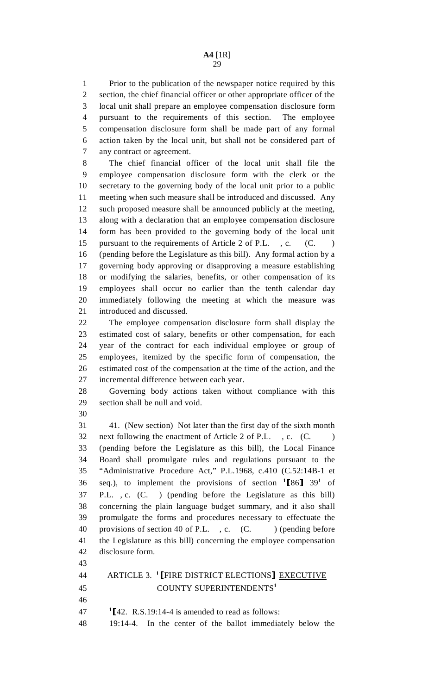1 Prior to the publication of the newspaper notice required by this 2 section, the chief financial officer or other appropriate officer of the 3 local unit shall prepare an employee compensation disclosure form 4 pursuant to the requirements of this section. The employee 5 compensation disclosure form shall be made part of any formal 6 action taken by the local unit, but shall not be considered part of 7 any contract or agreement.

8 The chief financial officer of the local unit shall file the 9 employee compensation disclosure form with the clerk or the 10 secretary to the governing body of the local unit prior to a public 11 meeting when such measure shall be introduced and discussed. Any 12 such proposed measure shall be announced publicly at the meeting, 13 along with a declaration that an employee compensation disclosure 14 form has been provided to the governing body of the local unit 15 pursuant to the requirements of Article 2 of P.L., c. (C. ) 16 (pending before the Legislature as this bill). Any formal action by a 17 governing body approving or disapproving a measure establishing 18 or modifying the salaries, benefits, or other compensation of its 19 employees shall occur no earlier than the tenth calendar day 20 immediately following the meeting at which the measure was 21 introduced and discussed.

22 The employee compensation disclosure form shall display the 23 estimated cost of salary, benefits or other compensation, for each 24 year of the contract for each individual employee or group of 25 employees, itemized by the specific form of compensation, the 26 estimated cost of the compensation at the time of the action, and the 27 incremental difference between each year.

28 Governing body actions taken without compliance with this 29 section shall be null and void.

30

31 41. (New section) Not later than the first day of the sixth month 32 next following the enactment of Article 2 of P.L. , c. (C. ) 33 (pending before the Legislature as this bill), the Local Finance 34 Board shall promulgate rules and regulations pursuant to the 35 "Administrative Procedure Act," P.L.1968, c.410 (C.52:14B-1 et  $\frac{36}{186}$  seq.), to implement the provisions of section  $\frac{186}{39}$  of 37 P.L. , c. (C. ) (pending before the Legislature as this bill) 38 concerning the plain language budget summary, and it also shall 39 promulgate the forms and procedures necessary to effectuate the 40 provisions of section 40 of P.L., c. (C. ) (pending before 41 the Legislature as this bill) concerning the employee compensation 42 disclosure form.

43

44 ARTICLE 3. <sup>1</sup>[FIRE DISTRICT ELECTIONS] <u>EXECUTIVE</u><br>45 COUNTY SUPERINTENDENTS<sup>1</sup> COUNTY SUPERINTENDENTS<sup>1</sup>

46

47  $\text{I}$ [42. R.S.19:14-4 is amended to read as follows:<br>48 19:14-4. In the center of the ballot immedia 19:14-4. In the center of the ballot immediately below the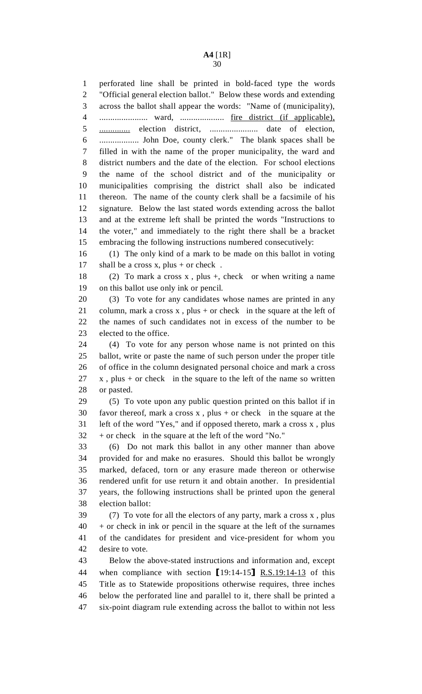1 perforated line shall be printed in bold-faced type the words 2 "Official general election ballot." Below these words and extending 3 across the ballot shall appear the words: "Name of (municipality), 4 ...................... ward, .................... fire district (if applicable), 5 .............. election district, ...................... date of election, 6 .................. John Doe, county clerk." The blank spaces shall be 7 filled in with the name of the proper municipality, the ward and 8 district numbers and the date of the election. For school elections 9 the name of the school district and of the municipality or 10 municipalities comprising the district shall also be indicated 11 thereon. The name of the county clerk shall be a facsimile of his 12 signature. Below the last stated words extending across the ballot 13 and at the extreme left shall be printed the words "Instructions to 14 the voter," and immediately to the right there shall be a bracket 15 embracing the following instructions numbered consecutively:

16 (1) The only kind of a mark to be made on this ballot in voting 17 shall be a cross x, plus + or check.

18 (2) To mark a cross x , plus +, check or when writing a name 19 on this ballot use only ink or pencil.

20 (3) To vote for any candidates whose names are printed in any 21 column, mark a cross  $x$ , plus + or check in the square at the left of 22 the names of such candidates not in excess of the number to be 23 elected to the office.

24 (4) To vote for any person whose name is not printed on this 25 ballot, write or paste the name of such person under the proper title 26 of office in the column designated personal choice and mark a cross  $27 \times x$ , plus + or check in the square to the left of the name so written 28 or pasted.

29 (5) To vote upon any public question printed on this ballot if in 30 favor thereof, mark a cross  $x$ , plus + or check in the square at the 31 left of the word "Yes," and if opposed thereto, mark a cross x , plus 32 + or check in the square at the left of the word "No."

33 (6) Do not mark this ballot in any other manner than above 34 provided for and make no erasures. Should this ballot be wrongly 35 marked, defaced, torn or any erasure made thereon or otherwise 36 rendered unfit for use return it and obtain another. In presidential 37 years, the following instructions shall be printed upon the general 38 election ballot:

39 (7) To vote for all the electors of any party, mark a cross x , plus  $40$  + or check in ink or pencil in the square at the left of the surnames 41 of the candidates for president and vice-president for whom you 42 desire to vote.

43 Below the above-stated instructions and information and, except 44 when compliance with section  $[19:14-15]$  R.S.19:14-13 of this<br>45 Title as to Statewide propositions otherwise requires, three inches Title as to Statewide propositions otherwise requires, three inches 46 below the perforated line and parallel to it, there shall be printed a 47 six-point diagram rule extending across the ballot to within not less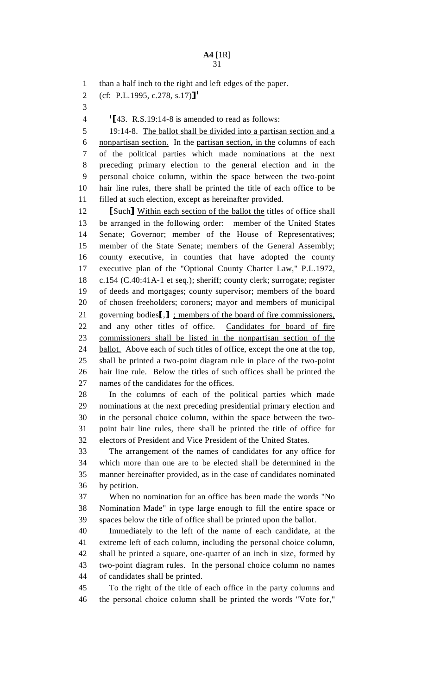1 than a half inch to the right and left edges of the paper.

- 2 (cf: P.L.1995, c.278, s.17)]<sup>1</sup>
- 3

<sup>1</sup>[43. R.S.19:14-8 is amended to read as follows:<br>5 19:14-8. The ballot shall be divided into a partisa

19:14-8. The ballot shall be divided into a partisan section and a 6 nonpartisan section. In the partisan section, in the columns of each 7 of the political parties which made nominations at the next 8 preceding primary election to the general election and in the 9 personal choice column, within the space between the two-point 10 hair line rules, there shall be printed the title of each office to be 11 filled at such election, except as hereinafter provided.

12 [Such] Within each section of the ballot the titles of office shall<br>13 be arranged in the following order: member of the United States be arranged in the following order: member of the United States 14 Senate; Governor; member of the House of Representatives; 15 member of the State Senate; members of the General Assembly; 16 county executive, in counties that have adopted the county 17 executive plan of the "Optional County Charter Law," P.L.1972, 18 c.154 (C.40:41A-1 et seq.); sheriff; county clerk; surrogate; register 19 of deeds and mortgages; county supervisor; members of the board 20 of chosen freeholders; coroners; mayor and members of municipal 21 governing bodies<sup>[1]</sup>; members of the board of fire commissioners,<br>22 and any other titles of office. Candidates for board of fire and any other titles of office. 23 commissioners shall be listed in the nonpartisan section of the 24 ballot. Above each of such titles of office, except the one at the top, 25 shall be printed a two-point diagram rule in place of the two-point 26 hair line rule. Below the titles of such offices shall be printed the 27 names of the candidates for the offices.

28 In the columns of each of the political parties which made 29 nominations at the next preceding presidential primary election and 30 in the personal choice column, within the space between the two-31 point hair line rules, there shall be printed the title of office for 32 electors of President and Vice President of the United States.

33 The arrangement of the names of candidates for any office for 34 which more than one are to be elected shall be determined in the 35 manner hereinafter provided, as in the case of candidates nominated 36 by petition.

37 When no nomination for an office has been made the words "No 38 Nomination Made" in type large enough to fill the entire space or 39 spaces below the title of office shall be printed upon the ballot.

40 Immediately to the left of the name of each candidate, at the 41 extreme left of each column, including the personal choice column, 42 shall be printed a square, one-quarter of an inch in size, formed by 43 two-point diagram rules. In the personal choice column no names 44 of candidates shall be printed.

45 To the right of the title of each office in the party columns and 46 the personal choice column shall be printed the words "Vote for,"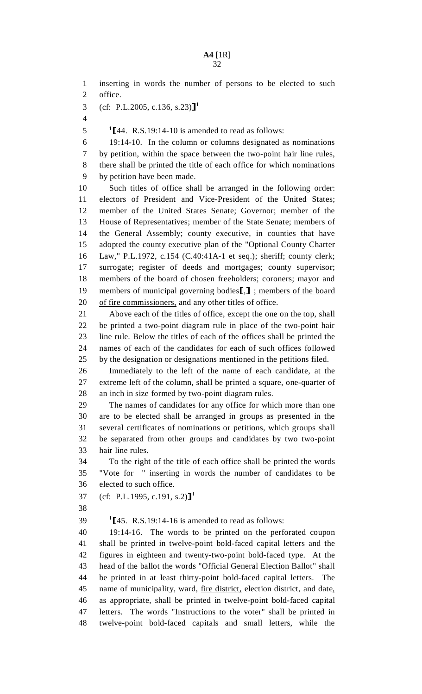1 inserting in words the number of persons to be elected to such 2 office. 3 (cf: P.L.2005, c.136, s.23)<sup>1</sup> 4  $1\frac{1}{44}$ . R.S.19:14-10 is amended to read as follows:<br>6 19:14-10. In the column or columns designated a 19:14-10. In the column or columns designated as nominations 7 by petition, within the space between the two-point hair line rules, 8 there shall be printed the title of each office for which nominations 9 by petition have been made. 10 Such titles of office shall be arranged in the following order: 11 electors of President and Vice-President of the United States; 12 member of the United States Senate; Governor; member of the 13 House of Representatives; member of the State Senate; members of 14 the General Assembly; county executive, in counties that have 15 adopted the county executive plan of the "Optional County Charter 16 Law," P.L.1972, c.154 (C.40:41A-1 et seq.); sheriff; county clerk; 17 surrogate; register of deeds and mortgages; county supervisor; 18 members of the board of chosen freeholders; coroners; mayor and 19 members of municipal governing bodies<sup>[1]</sup>; members of the board<br>20 of fire commissioners, and any other titles of office. of fire commissioners, and any other titles of office. 21 Above each of the titles of office, except the one on the top, shall 22 be printed a two-point diagram rule in place of the two-point hair 23 line rule. Below the titles of each of the offices shall be printed the 24 names of each of the candidates for each of such offices followed 25 by the designation or designations mentioned in the petitions filed. 26 Immediately to the left of the name of each candidate, at the 27 extreme left of the column, shall be printed a square, one-quarter of 28 an inch in size formed by two-point diagram rules. 29 The names of candidates for any office for which more than one 30 are to be elected shall be arranged in groups as presented in the 31 several certificates of nominations or petitions, which groups shall 32 be separated from other groups and candidates by two two-point 33 hair line rules. 34 To the right of the title of each office shall be printed the words 35 "Vote for " inserting in words the number of candidates to be 36 elected to such office. 37 (cf: P.L.1995, c.191, s.2)]<sup>1</sup> 38 1  $145.$  R.S.19:14-16 is amended to read as follows:<br>40 19:14-16. The words to be printed on the perfo 19:14-16. The words to be printed on the perforated coupon 41 shall be printed in twelve-point bold-faced capital letters and the 42 figures in eighteen and twenty-two-point bold-faced type. At the 43 head of the ballot the words "Official General Election Ballot" shall 44 be printed in at least thirty-point bold-faced capital letters. The 45 name of municipality, ward, <u>fire district</u>, election district, and date, 46 as appropriate, shall be printed in twelve-point bold-faced capital 47 letters. The words "Instructions to the voter" shall be printed in 48 twelve-point bold-faced capitals and small letters, while the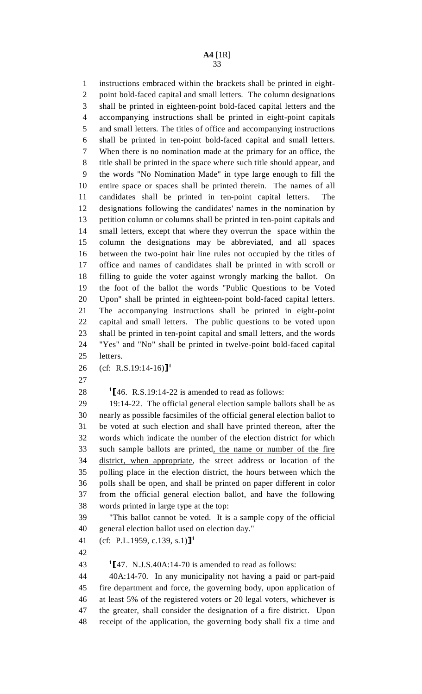1 instructions embraced within the brackets shall be printed in eight-2 point bold-faced capital and small letters. The column designations 3 shall be printed in eighteen-point bold-faced capital letters and the 4 accompanying instructions shall be printed in eight-point capitals 5 and small letters. The titles of office and accompanying instructions 6 shall be printed in ten-point bold-faced capital and small letters. 7 When there is no nomination made at the primary for an office, the 8 title shall be printed in the space where such title should appear, and 9 the words "No Nomination Made" in type large enough to fill the 10 entire space or spaces shall be printed therein. The names of all 11 candidates shall be printed in ten-point capital letters. The 12 designations following the candidates' names in the nomination by 13 petition column or columns shall be printed in ten-point capitals and 14 small letters, except that where they overrun the space within the 15 column the designations may be abbreviated, and all spaces 16 between the two-point hair line rules not occupied by the titles of 17 office and names of candidates shall be printed in with scroll or 18 filling to guide the voter against wrongly marking the ballot. On 19 the foot of the ballot the words "Public Questions to be Voted 20 Upon" shall be printed in eighteen-point bold-faced capital letters. 21 The accompanying instructions shall be printed in eight-point 22 capital and small letters. The public questions to be voted upon 23 shall be printed in ten-point capital and small letters, and the words 24 "Yes" and "No" shall be printed in twelve-point bold-faced capital 25 letters.

- 26 (cf: R.S.19:14-16)<sup>1</sup>
- 27

28  $\text{I}$  1  $\text{I}$  46. R.S.19:14-22 is amended to read as follows:<br>29 19:14-22. The official general election sample ball

29 19:14-22. The official general election sample ballots shall be as 30 nearly as possible facsimiles of the official general election ballot to 31 be voted at such election and shall have printed thereon, after the 32 words which indicate the number of the election district for which 33 such sample ballots are printed, the name or number of the fire 34 district, when appropriate, the street address or location of the 35 polling place in the election district, the hours between which the 36 polls shall be open, and shall be printed on paper different in color 37 from the official general election ballot, and have the following 38 words printed in large type at the top:

39 "This ballot cannot be voted. It is a sample copy of the official 40 general election ballot used on election day."

41 (cf: P.L.1959, c.139, s.1)]<sup>1</sup>

42

43  $\text{I}$ [47. N.J.S.40A:14-70 is amended to read as follows:<br>44  $\text{40A:14-70}$ . In any municipality not having a paid o

44 40A:14-70. In any municipality not having a paid or part-paid 45 fire department and force, the governing body, upon application of 46 at least 5% of the registered voters or 20 legal voters, whichever is 47 the greater, shall consider the designation of a fire district. Upon 48 receipt of the application, the governing body shall fix a time and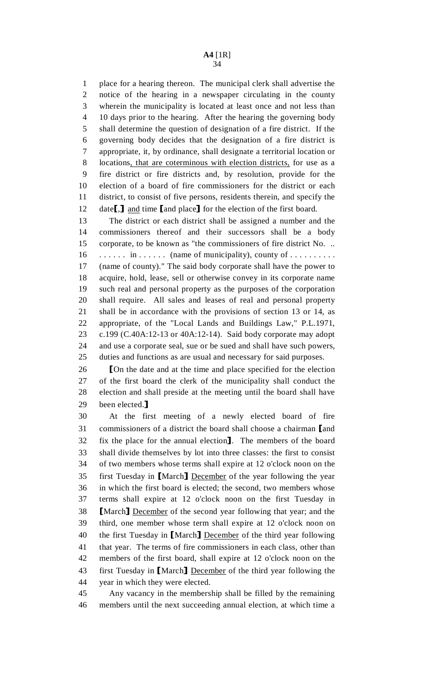1 place for a hearing thereon. The municipal clerk shall advertise the 2 notice of the hearing in a newspaper circulating in the county 3 wherein the municipality is located at least once and not less than 4 10 days prior to the hearing. After the hearing the governing body 5 shall determine the question of designation of a fire district. If the 6 governing body decides that the designation of a fire district is 7 appropriate, it, by ordinance, shall designate a territorial location or 8 locations, that are coterminous with election districts, for use as a 9 fire district or fire districts and, by resolution, provide for the 10 election of a board of fire commissioners for the district or each 11 district, to consist of five persons, residents therein, and specify the 12 date<sup>[1]</sup>, and time [and place] for the election of the first board.<br>13 The district or each district shall be assigned a number and

The district or each district shall be assigned a number and the 14 commissioners thereof and their successors shall be a body 15 corporate, to be known as "the commissioners of fire district No. .. 16 . . . . . . in . . . . . . (name of municipality), county of . . . . . . . . . . 17 (name of county)." The said body corporate shall have the power to 18 acquire, hold, lease, sell or otherwise convey in its corporate name 19 such real and personal property as the purposes of the corporation 20 shall require. All sales and leases of real and personal property 21 shall be in accordance with the provisions of section 13 or 14, as 22 appropriate, of the "Local Lands and Buildings Law," P.L.1971, 23 c.199 (C.40A:12-13 or 40A:12-14). Said body corporate may adopt 24 and use a corporate seal, sue or be sued and shall have such powers, 25 duties and functions as are usual and necessary for said purposes.

26 [On the date and at the time and place specified for the election of the first board the clerk of the municipality shall conduct the 27 of the first board the clerk of the municipality shall conduct the 28 election and shall preside at the meeting until the board shall have 29 been elected.]<br>30 At the fil

At the first meeting of a newly elected board of fire 31 commissioners of a district the board shall choose a chairman [and 32 fix the place for the annual election]. The members of the board 32 fix the place for the annual election]. The members of the board<br>33 shall divide themselves by lot into three classes: the first to consist shall divide themselves by lot into three classes: the first to consist 34 of two members whose terms shall expire at 12 o'clock noon on the 35 first Tuesday in [March] December of the year following the year in which the first board is elected: the second, two members whose in which the first board is elected; the second, two members whose 37 terms shall expire at 12 o'clock noon on the first Tuesday in **Same Solution I Alter Second Seart Solution** S39 [March] December of the second year following that year; and the 39 third, one member whose term shall expire at 12 o'clock noon on third, one member whose term shall expire at 12 o'clock noon on 40 the first Tuesday in [March] December of the third year following<br>41 that year. The terms of fire commissioners in each class, other than that year. The terms of fire commissioners in each class, other than 42 members of the first board, shall expire at 12 o'clock noon on the 43 first Tuesday in [March] December of the third year following the vear in which they were elected. year in which they were elected.

45 Any vacancy in the membership shall be filled by the remaining 46 members until the next succeeding annual election, at which time a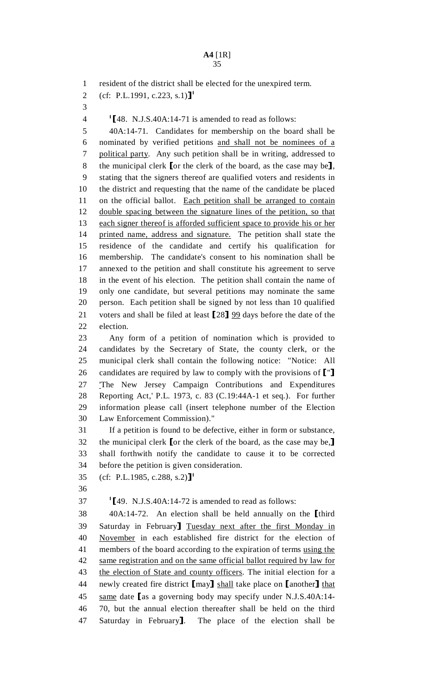1 resident of the district shall be elected for the unexpired term.

```
2 (cf: P.L.1991, c.223, s.1)]<sup>1</sup>
```
3

<sup>1</sup>[48. N.J.S.40A:14-71 is amended to read as follows:<br>5 40A:14-71. Candidates for membership on the boar

5 40A:14-71. Candidates for membership on the board shall be 6 nominated by verified petitions and shall not be nominees of a 7 political party. Any such petition shall be in writing, addressed to 8 the municipal clerk [or the clerk of the board, as the case may be],<br>9 stating that the signers thereof are qualified voters and residents in stating that the signers thereof are qualified voters and residents in 10 the district and requesting that the name of the candidate be placed 11 on the official ballot. Each petition shall be arranged to contain 12 double spacing between the signature lines of the petition, so that 13 each signer thereof is afforded sufficient space to provide his or her 14 printed name, address and signature. The petition shall state the 15 residence of the candidate and certify his qualification for 16 membership. The candidate's consent to his nomination shall be 17 annexed to the petition and shall constitute his agreement to serve 18 in the event of his election. The petition shall contain the name of 19 only one candidate, but several petitions may nominate the same 20 person. Each petition shall be signed by not less than 10 qualified 21 voters and shall be filed at least  $\llbracket 28 \rrbracket 99$  days before the date of the election. election.

23 Any form of a petition of nomination which is provided to 24 candidates by the Secretary of State, the county clerk, or the 25 municipal clerk shall contain the following notice: "Notice: All 26 candidates are required by law to comply with the provisions of ["]<br>27 The New Jersey Campaign Contributions and Expenditures The New Jersey Campaign Contributions and Expenditures 28 Reporting Act,' P.L. 1973, c. 83 (C.19:44A-1 et seq.). For further 29 information please call (insert telephone number of the Election 30 Law Enforcement Commission)."

31 If a petition is found to be defective, either in form or substance, 32 the municipal clerk [or the clerk of the board, as the case may be,]<br>33 shall forthwith notify the candidate to cause it to be corrected shall forthwith notify the candidate to cause it to be corrected 34 before the petition is given consideration.

- 35 (cf: P.L.1985, c.288, s.2)]<sup>1</sup>
- 36

 $1$ [49. N.J.S.40A:14-72 is amended to read as follows:<br>38  $40A:14-72$ . An election shall be held annually on

38 40A:14-72. An election shall be held annually on the [third<br>39 Saturday in February] Tuesday next after the first Monday in 39 Saturday in February] Tuesday next after the first Monday in<br>40 November in each established fire district for the election of November in each established fire district for the election of 41 members of the board according to the expiration of terms using the 42 same registration and on the same official ballot required by law for 43 the election of State and county officers. The initial election for a 44 newly created fire district  $[may]$  shall take place on  $[$  another  $]$  that 45 same date  $[$ as a governing body may specify under N.J.S.40A:14-45 same date [as a governing body may specify under N.J.S.40A:14-46 70, but the annual election thereafter shall be held on the third 46 70, but the annual election thereafter shall be held on the third 47 Saturday in February]. The place of the election shall be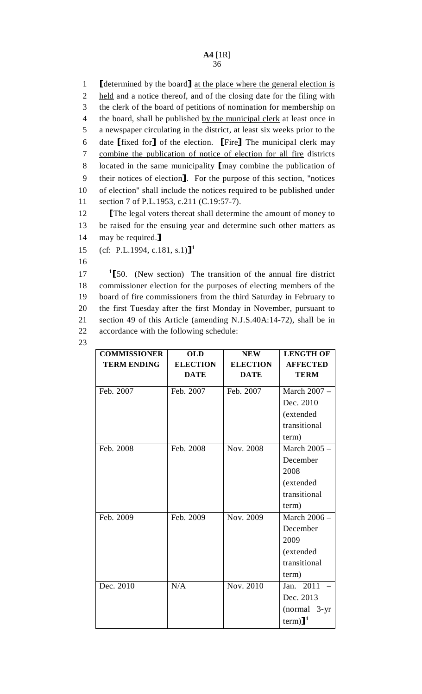1 [determined by the board] <u>at the place where the general election is</u><br>2 held and a notice thereof, and of the closing date for the filing with held and a notice thereof, and of the closing date for the filing with 3 the clerk of the board of petitions of nomination for membership on 4 the board, shall be published by the municipal clerk at least once in 5 a newspaper circulating in the district, at least six weeks prior to the 6 date  $[\text{fixed for}]$  of the election.  $[\text{Fire}]$  The municipal clerk may combine the publication of notice of election for all fire districts combine the publication of notice of election for all fire districts 8 located in the same municipality  $\lceil \text{may combine the publication of} \rceil$  their notices of election  $\lceil \text{or the purpose of this section.} \rceil$  intices 9 their notices of election]. For the purpose of this section, "notices 10 of election" shall include the notices required to be published under of election" shall include the notices required to be published under 11 section 7 of P.L.1953, c.211 (C.19:57-7).

12 The legal voters thereat shall determine the amount of money to<br>13 be raised for the ensuing vear and determine such other matters as be raised for the ensuing year and determine such other matters as

- 14 may be required. **]**<br>15 (cf: P.L.1994, c.1) (cf: P.L.1994, c.181, s.1)]<sup>1</sup>
- 16

17 <sup>1</sup>[50. (New section) The transition of the annual fire district 18 commissioner election for the purposes of electing members of the commissioner election for the purposes of electing members of the 19 board of fire commissioners from the third Saturday in February to 20 the first Tuesday after the first Monday in November, pursuant to 21 section 49 of this Article (amending N.J.S.40A:14-72), shall be in 22 accordance with the following schedule:

23

| <b>COMMISSIONER</b> | <b>OLD</b>      | <b>NEW</b>      | <b>LENGTH OF</b>       |
|---------------------|-----------------|-----------------|------------------------|
| <b>TERM ENDING</b>  | <b>ELECTION</b> | <b>ELECTION</b> | <b>AFFECTED</b>        |
|                     | <b>DATE</b>     | <b>DATE</b>     | <b>TERM</b>            |
| Feb. 2007           | Feb. 2007       | Feb. 2007       | March 2007 -           |
|                     |                 |                 | Dec. 2010              |
|                     |                 |                 | (extended              |
|                     |                 |                 | transitional           |
|                     |                 |                 | term)                  |
| Feb. 2008           | Feb. 2008       | Nov. 2008       | March 2005 -           |
|                     |                 |                 | December               |
|                     |                 |                 | 2008                   |
|                     |                 |                 | (extended              |
|                     |                 |                 | transitional           |
|                     |                 |                 | term)                  |
| Feb. 2009           | Feb. 2009       | Nov. 2009       | March 2006 -           |
|                     |                 |                 | December               |
|                     |                 |                 | 2009                   |
|                     |                 |                 | (extended              |
|                     |                 |                 | transitional           |
|                     |                 |                 | term)                  |
| Dec. 2010           | N/A             | Nov. 2010       | Jan. 2011              |
|                     |                 |                 | Dec. 2013              |
|                     |                 |                 | (normal 3-yr           |
|                     |                 |                 | $term)$ ] <sup>1</sup> |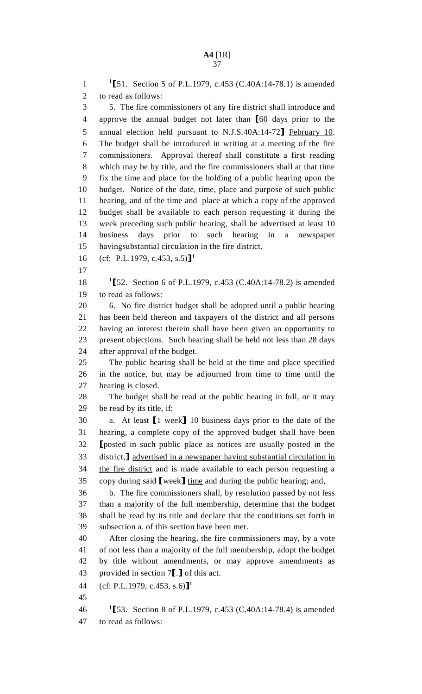1  $\text{T}_51$ . Section 5 of P.L.1979, c.453 (C.40A:14-78.1) is amended<br>2 to read as follows: to read as follows: 3 5. The fire commissioners of any fire district shall introduce and 4 approve the annual budget not later than [60 days prior to the<br>5 annual election held pursuant to N.J.S.40A:14-72] February 10. 5 annual election held pursuant to N.J.S.40A:14-72] February 10.<br>6 The budget shall be introduced in writing at a meeting of the fire The budget shall be introduced in writing at a meeting of the fire 7 commissioners. Approval thereof shall constitute a first reading 8 which may be by title, and the fire commissioners shall at that time 9 fix the time and place for the holding of a public hearing upon the 10 budget. Notice of the date, time, place and purpose of such public 11 hearing, and of the time and place at which a copy of the approved 12 budget shall be available to each person requesting it during the 13 week preceding such public hearing, shall be advertised at least 10 14 business days prior to such hearing in a newspaper 15 havingsubstantial circulation in the fire district. 16 (cf: P.L.1979, c.453, s.5)]<sup>1</sup> 17 18  $\text{T}_52.$  Section 6 of P.L.1979, c.453 (C.40A:14-78.2) is amended<br>19 to read as follows: to read as follows: 20 6. No fire district budget shall be adopted until a public hearing 21 has been held thereon and taxpayers of the district and all persons 22 having an interest therein shall have been given an opportunity to 23 present objections. Such hearing shall be held not less than 28 days 24 after approval of the budget. 25 The public hearing shall be held at the time and place specified 26 in the notice, but may be adjourned from time to time until the 27 hearing is closed. 28 The budget shall be read at the public hearing in full, or it may 29 be read by its title, if: 30 a. At least  $[1 \text{ week}]$   $\underline{10}$  business days prior to the date of the 31 hearing, a complete copy of the approved budget shall have been hearing, a complete copy of the approved budget shall have been 32 [posted in such public place as notices are usually posted in the district. I advertised in a newspaper having substantial circulation in 33 district, <u>diatentised in a newspaper having substantial circulation in</u><br>34 the fire district and is made available to each person requesting a the fire district and is made available to each person requesting a 35 copy during said  $[weak]$  time and during the public hearing; and,<br>36 b. The fire commissioners shall, by resolution passed by not le b. The fire commissioners shall, by resolution passed by not less 37 than a majority of the full membership, determine that the budget 38 shall be read by its title and declare that the conditions set forth in 39 subsection a. of this section have been met. 40 After closing the hearing, the fire commissioners may, by a vote 41 of not less than a majority of the full membership, adopt the budget 42 by title without amendments, or may approve amendments as 43 provided in section  $7$ [.] of this act.<br>44 (cf: P.L.1979, c.453, s.6)]<sup>1</sup>  $(cf: P.L.1979, c.453, s.6)$ <sup>1</sup> 45 <sup>1</sup>[53. Section 8 of P.L.1979, c.453 (C.40A:14-78.4) is amended<br>47 to read as follows: to read as follows: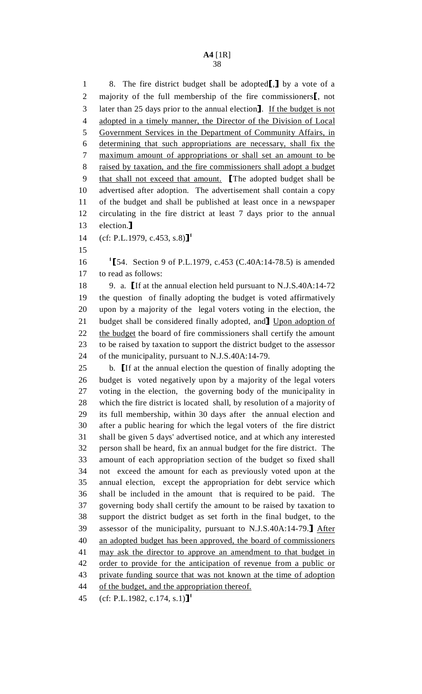1 8. The fire district budget shall be adopted[,] by a vote of a<br>2 majority of the full membership of the fire commissioners[, not 2 majority of the full membership of the fire commissioners<sup>[1]</sup>, not later than 25 days prior to the annual election<sup>1</sup>. If the budget is not 3 later than 25 days prior to the annual election]. If the budget is not<br>4 adopted in a timely manner, the Director of the Division of Local adopted in a timely manner, the Director of the Division of Local 5 Government Services in the Department of Community Affairs, in 6 determining that such appropriations are necessary, shall fix the 7 maximum amount of appropriations or shall set an amount to be 8 raised by taxation, and the fire commissioners shall adopt a budget 9 that shall not exceed that amount. The adopted budget shall be advertised after adoption. The advertisement shall contain a copy advertised after adoption. The advertisement shall contain a copy 11 of the budget and shall be published at least once in a newspaper 12 circulating in the fire district at least 7 days prior to the annual 13 election.]<br>14  $(cf: PL<sub>1</sub>$ <sup>14</sup>

 $(cf: P.L.1979, c.453, s.8)$ <sup>1</sup>

15

16 <sup>1</sup>[54. Section 9 of P.L.1979, c.453 (C.40A:14-78.5) is amended<br>17 to read as follows: to read as follows:

18 9. a. If at the annual election held pursuant to N.J.S.40A:14-72<br>19 the question of finally adopting the budget is voted affirmatively the question of finally adopting the budget is voted affirmatively 20 upon by a majority of the legal voters voting in the election, the 21 budget shall be considered finally adopted, and **I** Upon adoption of the budget the board of fire commissioners shall certify the amount the budget the board of fire commissioners shall certify the amount 23 to be raised by taxation to support the district budget to the assessor 24 of the municipality, pursuant to N.J.S.40A:14-79.

25 b. If at the annual election the question of finally adopting the 26 budget is voted negatively upon by a majority of the legal voters budget is voted negatively upon by a majority of the legal voters 27 voting in the election, the governing body of the municipality in 28 which the fire district is located shall, by resolution of a majority of 29 its full membership, within 30 days after the annual election and 30 after a public hearing for which the legal voters of the fire district 31 shall be given 5 days' advertised notice, and at which any interested 32 person shall be heard, fix an annual budget for the fire district. The 33 amount of each appropriation section of the budget so fixed shall 34 not exceed the amount for each as previously voted upon at the 35 annual election, except the appropriation for debt service which 36 shall be included in the amount that is required to be paid. The 37 governing body shall certify the amount to be raised by taxation to 38 support the district budget as set forth in the final budget, to the 39 assessor of the municipality, pursuant to N.J.S.40A:14-79.] After<br>40 an adopted budget has been approved, the board of commissioners an adopted budget has been approved, the board of commissioners 41 may ask the director to approve an amendment to that budget in 42 order to provide for the anticipation of revenue from a public or 43 private funding source that was not known at the time of adoption 44 of the budget, and the appropriation thereof.

45 (cf: P.L.1982, c.174, s.1)]<sup>1</sup>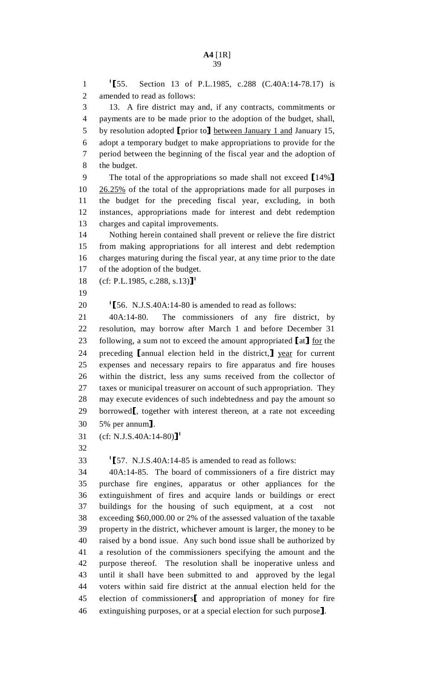1  $\text{I}\$  1[55. Section 13 of P.L.1985, c.288 (C.40A:14-78.17) is<br>2 amended to read as follows: amended to read as follows: 3 13. A fire district may and, if any contracts, commitments or 4 payments are to be made prior to the adoption of the budget, shall, 5 by resolution adopted [prior to] <u>between January 1 and</u> January 15,<br>6 adopt a temporary budget to make appropriations to provide for the adopt a temporary budget to make appropriations to provide for the 7 period between the beginning of the fiscal year and the adoption of 8 the budget. 9 The total of the appropriations so made shall not exceed [14%]<br>10 26.25% of the total of the appropriations made for all purposes in  $26.25\%$  of the total of the appropriations made for all purposes in 11 the budget for the preceding fiscal year, excluding, in both 12 instances, appropriations made for interest and debt redemption 13 charges and capital improvements. 14 Nothing herein contained shall prevent or relieve the fire district 15 from making appropriations for all interest and debt redemption 16 charges maturing during the fiscal year, at any time prior to the date 17 of the adoption of the budget. 18 (cf: P.L.1985, c.288, s.13)]<sup>1</sup> 19 20  $\text{I}$  1 [56. N.J.S.40A:14-80 is amended to read as follows:<br>21  $\text{40A:14-80}$ . The commissioners of any fire d The commissioners of any fire district, by 22 resolution, may borrow after March 1 and before December 31 23 following, a sum not to exceed the amount appropriated  $\lceil \frac{\text{at}}{\text{at}} \rceil$  for the 24 preceding  $\lceil \frac{\text{annual}}{\text{at}} \rceil$  annual election held in the district. **I** vear for current 24 preceding [annual election held in the district,] year for current<br>25 expenses and necessary repairs to fire apparatus and fire houses expenses and necessary repairs to fire apparatus and fire houses 26 within the district, less any sums received from the collector of 27 taxes or municipal treasurer on account of such appropriation. They 28 may execute evidences of such indebtedness and pay the amount so 29 borrowed<sup>[</sup>, together with interest thereon, at a rate not exceeding  $30$  5% per annum<sup>1</sup>. 30 5% per annum].<br>31 (cf: N.J.S.40A:1)  $(cf: N.J.S.40A:14-80)$ <sup>1</sup> 32 1  $157.$  N.J.S.40A:14-85 is amended to read as follows:<br>34  $40A:14-85$ . The board of commissioners of a fire d 34 40A:14-85. The board of commissioners of a fire district may 35 purchase fire engines, apparatus or other appliances for the 36 extinguishment of fires and acquire lands or buildings or erect 37 buildings for the housing of such equipment, at a cost not 38 exceeding \$60,000.00 or 2% of the assessed valuation of the taxable 39 property in the district, whichever amount is larger, the money to be 40 raised by a bond issue. Any such bond issue shall be authorized by 41 a resolution of the commissioners specifying the amount and the 42 purpose thereof. The resolution shall be inoperative unless and 43 until it shall have been submitted to and approved by the legal 44 voters within said fire district at the annual election held for the 45 election of commissioners<sup>[</sup> and appropriation of money for fire<br>46 extinguishing purposes, or at a special election for such purpose<sup>1</sup>. extinguishing purposes, or at a special election for such purpose].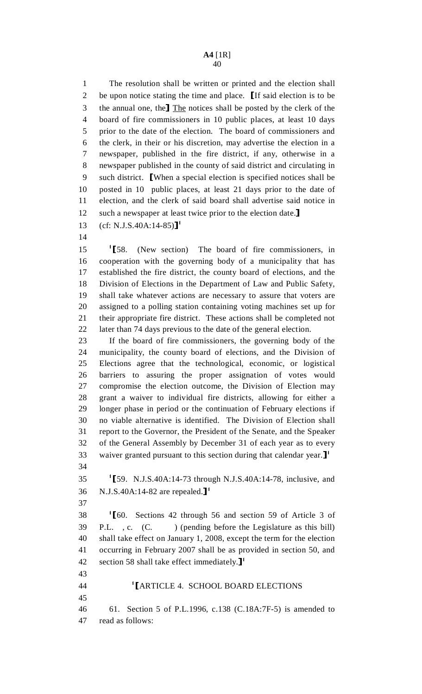1 The resolution shall be written or printed and the election shall 2 be upon notice stating the time and place. If said election is to be<br>3 the annual one, the The notices shall be posted by the clerk of the 3 the annual one, the The notices shall be posted by the clerk of the<br>4 board of fire commissioners in 10 public places, at least 10 days board of fire commissioners in 10 public places, at least 10 days 5 prior to the date of the election. The board of commissioners and 6 the clerk, in their or his discretion, may advertise the election in a 7 newspaper, published in the fire district, if any, otherwise in a 8 newspaper published in the county of said district and circulating in 9 such district. **[When a special election is specified notices shall be** 10 posted in 10 public places, at least 21 days prior to the date of posted in 10 public places, at least 21 days prior to the date of 11 election, and the clerk of said board shall advertise said notice in 12 such a newspaper at least twice prior to the election date.]<br>13 (cf: N.J.S.40A:14-85)<sup>1</sup>

- $(cf: N.J.S.40A:14-85)$ <sup>1</sup>
- 14

15 <sup>1</sup>[58. (New section) The board of fire commissioners, in<br>16 cooperation with the governing body of a municipality that has 16 cooperation with the governing body of a municipality that has 17 established the fire district, the county board of elections, and the 18 Division of Elections in the Department of Law and Public Safety, 19 shall take whatever actions are necessary to assure that voters are 20 assigned to a polling station containing voting machines set up for 21 their appropriate fire district. These actions shall be completed not 22 later than 74 days previous to the date of the general election.

23 If the board of fire commissioners, the governing body of the 24 municipality, the county board of elections, and the Division of 25 Elections agree that the technological, economic, or logistical 26 barriers to assuring the proper assignation of votes would 27 compromise the election outcome, the Division of Election may 28 grant a waiver to individual fire districts, allowing for either a 29 longer phase in period or the continuation of February elections if 30 no viable alternative is identified. The Division of Election shall 31 report to the Governor, the President of the Senate, and the Speaker 32 of the General Assembly by December 31 of each year as to every 33 waiver granted pursuant to this section during that calendar year. $\mathbf{J}^1$ 34

1  $159. N.J.S.40A:14-73$  through N.J.S.40A:14-78, inclusive, and<br>36 N.J.S.40A:14-82 are repealed.  $1^1$ N.J.S.40A:14-82 are repealed. $J<sup>1</sup>$ 

37

 $\overline{43}$ 

1 1 160. Sections 42 through 56 and section 59 of Article 3 of<br>39 P.L., c. (C.) (pending before the Legislature as this bill) ) (pending before the Legislature as this bill) 40 shall take effect on January 1, 2008, except the term for the election 41 occurring in February 2007 shall be as provided in section 50, and 42 section 58 shall take effect immediately. $\mathbf{J}^1$ 

| $+1$ |                                                                |
|------|----------------------------------------------------------------|
| 44   | <sup>1</sup> [ARTICLE 4. SCHOOL BOARD ELECTIONS]               |
| 45   |                                                                |
|      | 46 61. Section 5 of P.L.1996, c.138 (C.18A:7F-5) is amended to |
|      | 47 read as follows:                                            |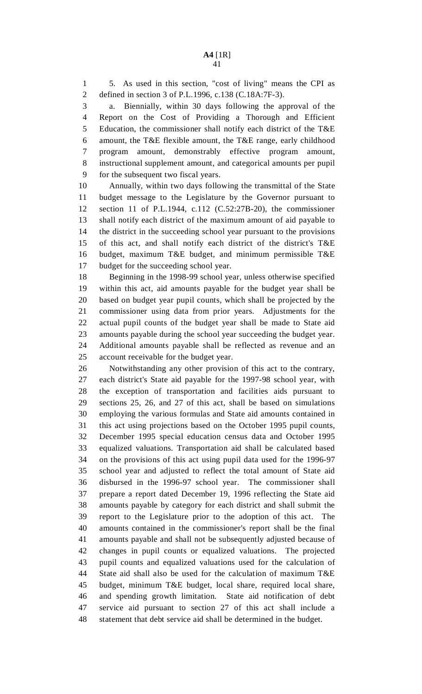1 5. As used in this section, "cost of living" means the CPI as 2 defined in section 3 of P.L.1996, c.138 (C.18A:7F-3).

3 a. Biennially, within 30 days following the approval of the 4 Report on the Cost of Providing a Thorough and Efficient 5 Education, the commissioner shall notify each district of the T&E 6 amount, the T&E flexible amount, the T&E range, early childhood 7 program amount, demonstrably effective program amount, 8 instructional supplement amount, and categorical amounts per pupil 9 for the subsequent two fiscal years.

10 Annually, within two days following the transmittal of the State 11 budget message to the Legislature by the Governor pursuant to 12 section 11 of P.L.1944, c.112 (C.52:27B-20), the commissioner 13 shall notify each district of the maximum amount of aid payable to 14 the district in the succeeding school year pursuant to the provisions 15 of this act, and shall notify each district of the district's T&E 16 budget, maximum T&E budget, and minimum permissible T&E 17 budget for the succeeding school year.

18 Beginning in the 1998-99 school year, unless otherwise specified 19 within this act, aid amounts payable for the budget year shall be 20 based on budget year pupil counts, which shall be projected by the 21 commissioner using data from prior years. Adjustments for the 22 actual pupil counts of the budget year shall be made to State aid 23 amounts payable during the school year succeeding the budget year. 24 Additional amounts payable shall be reflected as revenue and an 25 account receivable for the budget year.

26 Notwithstanding any other provision of this act to the contrary, 27 each district's State aid payable for the 1997-98 school year, with 28 the exception of transportation and facilities aids pursuant to 29 sections 25, 26, and 27 of this act, shall be based on simulations 30 employing the various formulas and State aid amounts contained in 31 this act using projections based on the October 1995 pupil counts, 32 December 1995 special education census data and October 1995 33 equalized valuations. Transportation aid shall be calculated based 34 on the provisions of this act using pupil data used for the 1996-97 35 school year and adjusted to reflect the total amount of State aid 36 disbursed in the 1996-97 school year. The commissioner shall 37 prepare a report dated December 19, 1996 reflecting the State aid 38 amounts payable by category for each district and shall submit the 39 report to the Legislature prior to the adoption of this act. The 40 amounts contained in the commissioner's report shall be the final 41 amounts payable and shall not be subsequently adjusted because of 42 changes in pupil counts or equalized valuations. The projected 43 pupil counts and equalized valuations used for the calculation of 44 State aid shall also be used for the calculation of maximum T&E 45 budget, minimum T&E budget, local share, required local share, 46 and spending growth limitation. State aid notification of debt 47 service aid pursuant to section 27 of this act shall include a 48 statement that debt service aid shall be determined in the budget.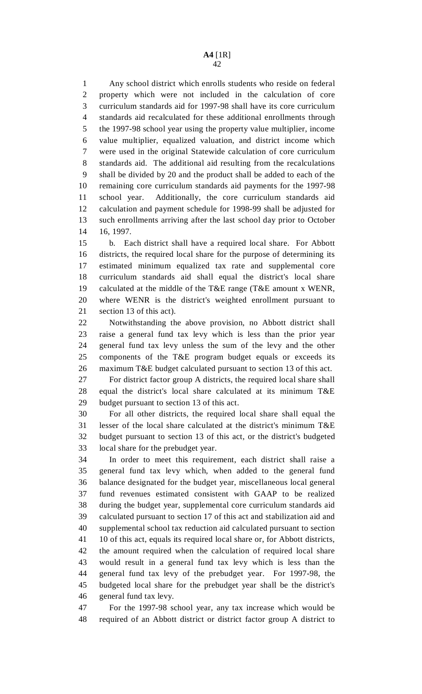1 Any school district which enrolls students who reside on federal 2 property which were not included in the calculation of core 3 curriculum standards aid for 1997-98 shall have its core curriculum 4 standards aid recalculated for these additional enrollments through 5 the 1997-98 school year using the property value multiplier, income 6 value multiplier, equalized valuation, and district income which 7 were used in the original Statewide calculation of core curriculum 8 standards aid. The additional aid resulting from the recalculations 9 shall be divided by 20 and the product shall be added to each of the 10 remaining core curriculum standards aid payments for the 1997-98 11 school year. Additionally, the core curriculum standards aid 12 calculation and payment schedule for 1998-99 shall be adjusted for 13 such enrollments arriving after the last school day prior to October 14 16, 1997.

15 b. Each district shall have a required local share. For Abbott 16 districts, the required local share for the purpose of determining its 17 estimated minimum equalized tax rate and supplemental core 18 curriculum standards aid shall equal the district's local share 19 calculated at the middle of the T&E range (T&E amount x WENR, 20 where WENR is the district's weighted enrollment pursuant to 21 section 13 of this act).

22 Notwithstanding the above provision, no Abbott district shall 23 raise a general fund tax levy which is less than the prior year 24 general fund tax levy unless the sum of the levy and the other 25 components of the T&E program budget equals or exceeds its 26 maximum T&E budget calculated pursuant to section 13 of this act.

27 For district factor group A districts, the required local share shall 28 equal the district's local share calculated at its minimum T&E 29 budget pursuant to section 13 of this act.

30 For all other districts, the required local share shall equal the 31 lesser of the local share calculated at the district's minimum T&E 32 budget pursuant to section 13 of this act, or the district's budgeted 33 local share for the prebudget year.

34 In order to meet this requirement, each district shall raise a 35 general fund tax levy which, when added to the general fund 36 balance designated for the budget year, miscellaneous local general 37 fund revenues estimated consistent with GAAP to be realized 38 during the budget year, supplemental core curriculum standards aid 39 calculated pursuant to section 17 of this act and stabilization aid and 40 supplemental school tax reduction aid calculated pursuant to section 41 10 of this act, equals its required local share or, for Abbott districts, 42 the amount required when the calculation of required local share 43 would result in a general fund tax levy which is less than the 44 general fund tax levy of the prebudget year. For 1997-98, the 45 budgeted local share for the prebudget year shall be the district's 46 general fund tax levy.

47 For the 1997-98 school year, any tax increase which would be 48 required of an Abbott district or district factor group A district to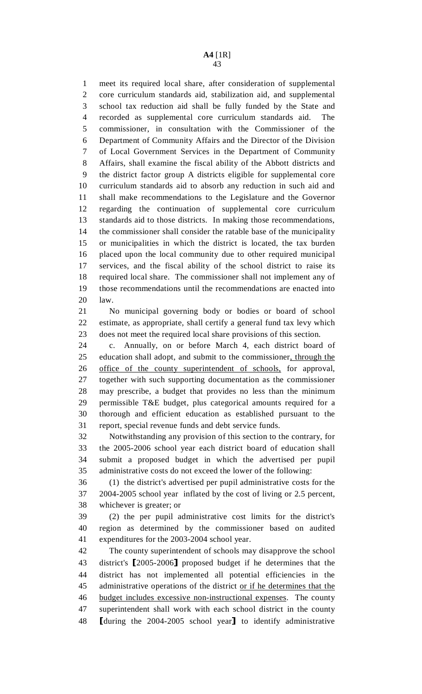1 meet its required local share, after consideration of supplemental 2 core curriculum standards aid, stabilization aid, and supplemental 3 school tax reduction aid shall be fully funded by the State and 4 recorded as supplemental core curriculum standards aid. The 5 commissioner, in consultation with the Commissioner of the 6 Department of Community Affairs and the Director of the Division 7 of Local Government Services in the Department of Community 8 Affairs, shall examine the fiscal ability of the Abbott districts and 9 the district factor group A districts eligible for supplemental core 10 curriculum standards aid to absorb any reduction in such aid and 11 shall make recommendations to the Legislature and the Governor 12 regarding the continuation of supplemental core curriculum 13 standards aid to those districts. In making those recommendations, 14 the commissioner shall consider the ratable base of the municipality 15 or municipalities in which the district is located, the tax burden 16 placed upon the local community due to other required municipal 17 services, and the fiscal ability of the school district to raise its 18 required local share. The commissioner shall not implement any of 19 those recommendations until the recommendations are enacted into 20 law.

21 No municipal governing body or bodies or board of school 22 estimate, as appropriate, shall certify a general fund tax levy which 23 does not meet the required local share provisions of this section.

24 c. Annually, on or before March 4, each district board of 25 education shall adopt, and submit to the commissioner, through the 26 office of the county superintendent of schools, for approval, 27 together with such supporting documentation as the commissioner 28 may prescribe, a budget that provides no less than the minimum 29 permissible T&E budget, plus categorical amounts required for a 30 thorough and efficient education as established pursuant to the 31 report, special revenue funds and debt service funds.

32 Notwithstanding any provision of this section to the contrary, for 33 the 2005-2006 school year each district board of education shall 34 submit a proposed budget in which the advertised per pupil 35 administrative costs do not exceed the lower of the following:

36 (1) the district's advertised per pupil administrative costs for the 37 2004-2005 school year inflated by the cost of living or 2.5 percent, 38 whichever is greater; or

39 (2) the per pupil administrative cost limits for the district's 40 region as determined by the commissioner based on audited 41 expenditures for the 2003-2004 school year.

42 The county superintendent of schools may disapprove the school 43 district's [2005-2006] proposed budget if he determines that the<br>44 district has not implemented all potential efficiencies in the district has not implemented all potential efficiencies in the 45 administrative operations of the district or if he determines that the 46 budget includes excessive non-instructional expenses. The county 47 superintendent shall work with each school district in the county 48 [during the 2004-2005 school year] to identify administrative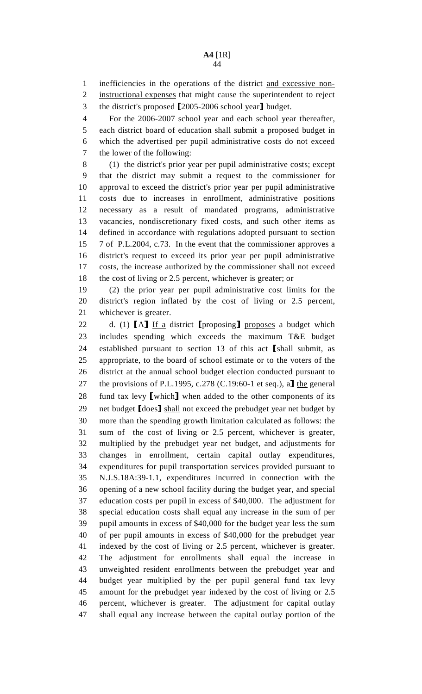#### **A4** [1R] 44

1 inefficiencies in the operations of the district and excessive non-

2 instructional expenses that might cause the superintendent to reject

3 the district's proposed [2005-2006 school year] budget.<br>4 For the 2006-2007 school year and each school year

For the 2006-2007 school year and each school year thereafter, 5 each district board of education shall submit a proposed budget in 6 which the advertised per pupil administrative costs do not exceed 7 the lower of the following:

8 (1) the district's prior year per pupil administrative costs; except 9 that the district may submit a request to the commissioner for 10 approval to exceed the district's prior year per pupil administrative 11 costs due to increases in enrollment, administrative positions 12 necessary as a result of mandated programs, administrative 13 vacancies, nondiscretionary fixed costs, and such other items as 14 defined in accordance with regulations adopted pursuant to section 15 7 of P.L.2004, c.73. In the event that the commissioner approves a 16 district's request to exceed its prior year per pupil administrative 17 costs, the increase authorized by the commissioner shall not exceed 18 the cost of living or 2.5 percent, whichever is greater; or

19 (2) the prior year per pupil administrative cost limits for the 20 district's region inflated by the cost of living or 2.5 percent, 21 whichever is greater.

22 d. (1)  $[A]$  If a district [proposing] proposes a budget which<br>23 includes spending which exceeds the maximum T&E budget includes spending which exceeds the maximum T&E budget 24 established pursuant to section 13 of this act [shall submit, as appropriate, to the board of school estimate or to the voters of the appropriate, to the board of school estimate or to the voters of the 26 district at the annual school budget election conducted pursuant to 27 the provisions of P.L.1995, c.278 (C.19:60-1 et seq.), a] the general<br>28 fund tax levy I which I when added to the other components of its 28 fund tax levy [which] when added to the other components of its<br>29 net budget I does I shall not exceed the prebudget vear net budget by 29 net budget  $[does]$  shall not exceed the prebudget year net budget by<br>30 more than the spending growth limitation calculated as follows: the more than the spending growth limitation calculated as follows: the 31 sum of the cost of living or 2.5 percent, whichever is greater, 32 multiplied by the prebudget year net budget, and adjustments for 33 changes in enrollment, certain capital outlay expenditures, 34 expenditures for pupil transportation services provided pursuant to 35 N.J.S.18A:39-1.1, expenditures incurred in connection with the 36 opening of a new school facility during the budget year, and special 37 education costs per pupil in excess of \$40,000. The adjustment for 38 special education costs shall equal any increase in the sum of per 39 pupil amounts in excess of \$40,000 for the budget year less the sum 40 of per pupil amounts in excess of \$40,000 for the prebudget year 41 indexed by the cost of living or 2.5 percent, whichever is greater. 42 The adjustment for enrollments shall equal the increase in 43 unweighted resident enrollments between the prebudget year and 44 budget year multiplied by the per pupil general fund tax levy 45 amount for the prebudget year indexed by the cost of living or 2.5 46 percent, whichever is greater. The adjustment for capital outlay 47 shall equal any increase between the capital outlay portion of the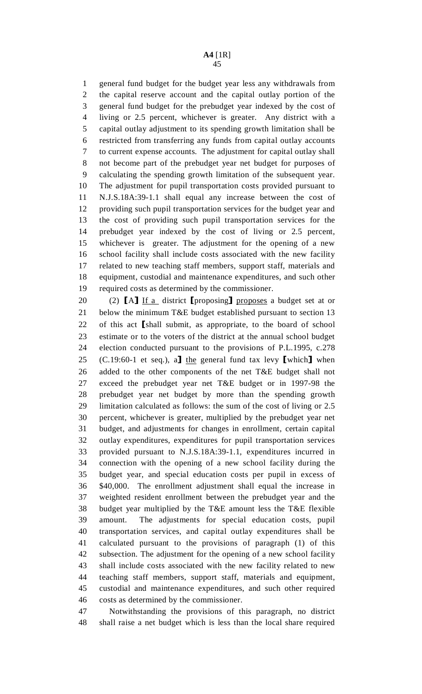1 general fund budget for the budget year less any withdrawals from 2 the capital reserve account and the capital outlay portion of the 3 general fund budget for the prebudget year indexed by the cost of 4 living or 2.5 percent, whichever is greater. Any district with a 5 capital outlay adjustment to its spending growth limitation shall be 6 restricted from transferring any funds from capital outlay accounts 7 to current expense accounts. The adjustment for capital outlay shall 8 not become part of the prebudget year net budget for purposes of 9 calculating the spending growth limitation of the subsequent year. 10 The adjustment for pupil transportation costs provided pursuant to 11 N.J.S.18A:39-1.1 shall equal any increase between the cost of 12 providing such pupil transportation services for the budget year and 13 the cost of providing such pupil transportation services for the 14 prebudget year indexed by the cost of living or 2.5 percent, 15 whichever is greater. The adjustment for the opening of a new 16 school facility shall include costs associated with the new facility 17 related to new teaching staff members, support staff, materials and 18 equipment, custodial and maintenance expenditures, and such other 19 required costs as determined by the commissioner.

20 (2)  $[A]$  If a district [proposing] proposes a budget set at or 21 below the minimum T&E budget established pursuant to section 13 below the minimum T&E budget established pursuant to section 13 22 of this act [shall submit, as appropriate, to the board of school<br>23 estimate or to the voters of the district at the annual school budget estimate or to the voters of the district at the annual school budget 24 election conducted pursuant to the provisions of P.L.1995, c.278 25 (C.19:60-1 et seq.), a] the general fund tax levy [which] when<br>26 added to the other components of the net T&E budget shall not added to the other components of the net T&E budget shall not 27 exceed the prebudget year net T&E budget or in 1997-98 the 28 prebudget year net budget by more than the spending growth 29 limitation calculated as follows: the sum of the cost of living or 2.5 30 percent, whichever is greater, multiplied by the prebudget year net 31 budget, and adjustments for changes in enrollment, certain capital 32 outlay expenditures, expenditures for pupil transportation services 33 provided pursuant to N.J.S.18A:39-1.1, expenditures incurred in 34 connection with the opening of a new school facility during the 35 budget year, and special education costs per pupil in excess of 36 \$40,000. The enrollment adjustment shall equal the increase in 37 weighted resident enrollment between the prebudget year and the 38 budget year multiplied by the T&E amount less the T&E flexible 39 amount. The adjustments for special education costs, pupil 40 transportation services, and capital outlay expenditures shall be 41 calculated pursuant to the provisions of paragraph (1) of this 42 subsection. The adjustment for the opening of a new school facility 43 shall include costs associated with the new facility related to new 44 teaching staff members, support staff, materials and equipment, 45 custodial and maintenance expenditures, and such other required 46 costs as determined by the commissioner.

47 Notwithstanding the provisions of this paragraph, no district 48 shall raise a net budget which is less than the local share required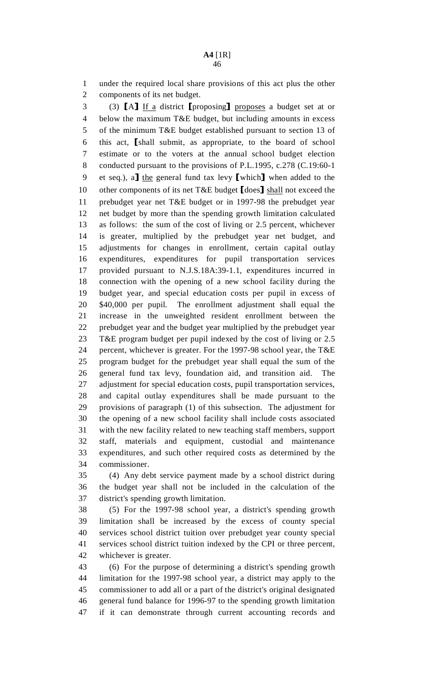1 under the required local share provisions of this act plus the other 2 components of its net budget.

3 (3)  $[A]$  If a district [proposing] proposes a budget set at or below the maximum T&E budget, but including amounts in excess below the maximum T&E budget, but including amounts in excess 5 of the minimum T&E budget established pursuant to section 13 of 6 this act, [shall submit, as appropriate, to the board of school estimate or to the voters at the annual school budget election 8 conducted pursuant to the provisions of P.L.1995, c.278 (C.19:60-1 9 et seq.), a] the general fund tax levy [which] when added to the 10 other components of its net T&E budget  $\lceil \text{does} \rceil$  shall not exceed the 10 other components of its net T&E budget [does] shall not exceed the<br>11 oriebudget vear net T&E budget or in 1997-98 the prebudget vear 11 prebudget year net T&E budget or in 1997-98 the prebudget year 12 net budget by more than the spending growth limitation calculated 13 as follows: the sum of the cost of living or 2.5 percent, whichever 14 is greater, multiplied by the prebudget year net budget, and 15 adjustments for changes in enrollment, certain capital outlay 16 expenditures, expenditures for pupil transportation services 17 provided pursuant to N.J.S.18A:39-1.1, expenditures incurred in 18 connection with the opening of a new school facility during the 19 budget year, and special education costs per pupil in excess of 20 \$40,000 per pupil. The enrollment adjustment shall equal the 21 increase in the unweighted resident enrollment between the 22 prebudget year and the budget year multiplied by the prebudget year 23 T&E program budget per pupil indexed by the cost of living or 2.5 24 percent, whichever is greater. For the 1997-98 school year, the T&E 25 program budget for the prebudget year shall equal the sum of the 26 general fund tax levy, foundation aid, and transition aid. The 27 adjustment for special education costs, pupil transportation services, 28 and capital outlay expenditures shall be made pursuant to the 29 provisions of paragraph (1) of this subsection. The adjustment for 30 the opening of a new school facility shall include costs associated 31 with the new facility related to new teaching staff members, support 32 staff, materials and equipment, custodial and maintenance 33 expenditures, and such other required costs as determined by the 34 commissioner.

35 (4) Any debt service payment made by a school district during 36 the budget year shall not be included in the calculation of the 37 district's spending growth limitation.

38 (5) For the 1997-98 school year, a district's spending growth 39 limitation shall be increased by the excess of county special 40 services school district tuition over prebudget year county special 41 services school district tuition indexed by the CPI or three percent, 42 whichever is greater.

43 (6) For the purpose of determining a district's spending growth 44 limitation for the 1997-98 school year, a district may apply to the 45 commissioner to add all or a part of the district's original designated 46 general fund balance for 1996-97 to the spending growth limitation 47 if it can demonstrate through current accounting records and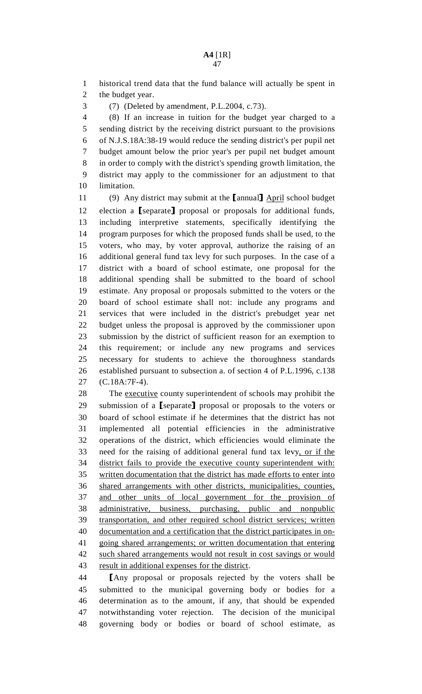1 historical trend data that the fund balance will actually be spent in 2 the budget year.

3 (7) (Deleted by amendment, P.L.2004, c.73).

4 (8) If an increase in tuition for the budget year charged to a 5 sending district by the receiving district pursuant to the provisions 6 of N.J.S.18A:38-19 would reduce the sending district's per pupil net 7 budget amount below the prior year's per pupil net budget amount 8 in order to comply with the district's spending growth limitation, the 9 district may apply to the commissioner for an adjustment to that 10 limitation.

11 (9) Any district may submit at the [annual] April school budget<br>12 election a [separate] proposal or proposals for additional funds. 12 election a [separate] proposal or proposals for additional funds,<br>13 including interpretive statements, specifically identifying the including interpretive statements, specifically identifying the 14 program purposes for which the proposed funds shall be used, to the 15 voters, who may, by voter approval, authorize the raising of an 16 additional general fund tax levy for such purposes. In the case of a 17 district with a board of school estimate, one proposal for the 18 additional spending shall be submitted to the board of school 19 estimate. Any proposal or proposals submitted to the voters or the 20 board of school estimate shall not: include any programs and 21 services that were included in the district's prebudget year net 22 budget unless the proposal is approved by the commissioner upon 23 submission by the district of sufficient reason for an exemption to 24 this requirement; or include any new programs and services 25 necessary for students to achieve the thoroughness standards 26 established pursuant to subsection a. of section 4 of P.L.1996, c.138 27 (C.18A:7F-4).

28 The executive county superintendent of schools may prohibit the 29 submission of a [separate] proposal or proposals to the voters or<br>30 board of school estimate if he determines that the district has not board of school estimate if he determines that the district has not 31 implemented all potential efficiencies in the administrative 32 operations of the district, which efficiencies would eliminate the 33 need for the raising of additional general fund tax levy, or if the 34 district fails to provide the executive county superintendent with: 35 written documentation that the district has made efforts to enter into 36 shared arrangements with other districts, municipalities, counties, 37 and other units of local government for the provision of 38 administrative, business, purchasing, public and nonpublic 39 transportation, and other required school district services; written 40 documentation and a certification that the district participates in on-41 going shared arrangements; or written documentation that entering 42 such shared arrangements would not result in cost savings or would 43 result in additional expenses for the district.

44 [Any proposal or proposals rejected by the voters shall be submitted to the municipal governing body or bodies for a submitted to the municipal governing body or bodies for a 46 determination as to the amount, if any, that should be expended 47 notwithstanding voter rejection. The decision of the municipal 48 governing body or bodies or board of school estimate, as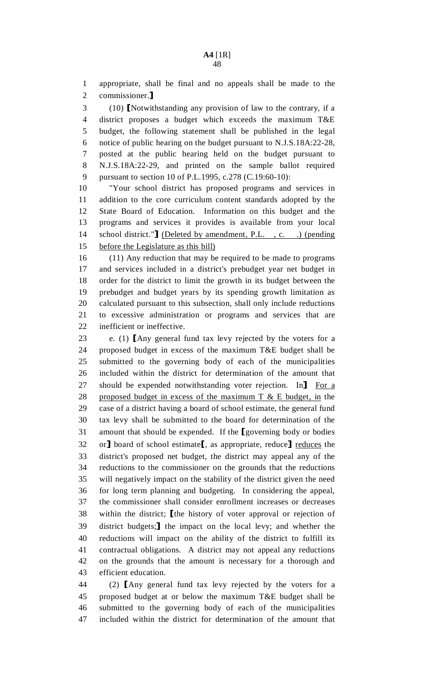1 appropriate, shall be final and no appeals shall be made to the 2 commissioner.]<br>3 (10) **I**Notwit

3 (10) INotwithstanding any provision of law to the contrary, if a<br>4 district proposes a budget which exceeds the maximum T&E district proposes a budget which exceeds the maximum  $T\&E$ 5 budget, the following statement shall be published in the legal 6 notice of public hearing on the budget pursuant to N.J.S.18A:22-28, 7 posted at the public hearing held on the budget pursuant to 8 N.J.S.18A:22-29, and printed on the sample ballot required 9 pursuant to section 10 of P.L.1995, c.278 (C.19:60-10):

10 "Your school district has proposed programs and services in 11 addition to the core curriculum content standards adopted by the 12 State Board of Education. Information on this budget and the 13 programs and services it provides is available from your local 14 school district."**]** (Deleted by amendment, P.L., c. .) (pending<br>15 before the Legislature as this bill) before the Legislature as this bill)

16 (11) Any reduction that may be required to be made to programs 17 and services included in a district's prebudget year net budget in 18 order for the district to limit the growth in its budget between the 19 prebudget and budget years by its spending growth limitation as 20 calculated pursuant to this subsection, shall only include reductions 21 to excessive administration or programs and services that are 22 inefficient or ineffective.

23 e. (1) [Any general fund tax levy rejected by the voters for a<br>24 proposed budget in excess of the maximum T&E budget shall be proposed budget in excess of the maximum T&E budget shall be 25 submitted to the governing body of each of the municipalities 26 included within the district for determination of the amount that 27 should be expended notwithstanding voter rejection. In For a<br>28 proposed budget in excess of the maximum T & E budget, in the proposed budget in excess of the maximum  $T \& E$  budget, in the 29 case of a district having a board of school estimate, the general fund 30 tax levy shall be submitted to the board for determination of the 31 amount that should be expended. If the [governing body or bodies or] board of school estimate [asset appropriate, reduce] reduces the 32 or] board of school estimate[, as appropriate, reduce] <u>reduces</u> the district's proposed net budget, the district may appeal any of the district's proposed net budget, the district may appeal any of the 34 reductions to the commissioner on the grounds that the reductions 35 will negatively impact on the stability of the district given the need 36 for long term planning and budgeting. In considering the appeal, 37 the commissioner shall consider enrollment increases or decreases 38 within the district; [the history of voter approval or rejection of district budgets: I the impact on the local levy: and whether the 39 district budgets; I the impact on the local levy; and whether the reductions will impact on the ability of the district to fulfill its reductions will impact on the ability of the district to fulfill its 41 contractual obligations. A district may not appeal any reductions 42 on the grounds that the amount is necessary for a thorough and 43 efficient education.

44 (2) [Any general fund tax levy rejected by the voters for a<br>45 proposed budget at or below the maximum T&E budget shall be proposed budget at or below the maximum T&E budget shall be 46 submitted to the governing body of each of the municipalities 47 included within the district for determination of the amount that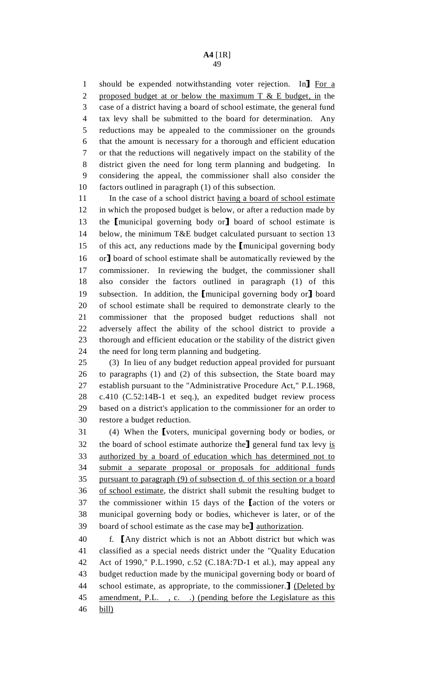1 should be expended notwithstanding voter rejection. In For a<br>2 proposed budget at or below the maximum T & E budget, in the proposed budget at or below the maximum  $T \& E$  budget, in the 3 case of a district having a board of school estimate, the general fund 4 tax levy shall be submitted to the board for determination. Any 5 reductions may be appealed to the commissioner on the grounds 6 that the amount is necessary for a thorough and efficient education 7 or that the reductions will negatively impact on the stability of the 8 district given the need for long term planning and budgeting. In 9 considering the appeal, the commissioner shall also consider the 10 factors outlined in paragraph (1) of this subsection.

11 In the case of a school district having a board of school estimate 12 in which the proposed budget is below, or after a reduction made by 13 the Imunicipal governing body or l board of school estimate is<br>14 below, the minimum T&E budget calculated pursuant to section 13 below, the minimum T&E budget calculated pursuant to section 13 15 of this act, any reductions made by the [municipal governing body<br>16 or] board of school estimate shall be automatically reviewed by the 16 or J board of school estimate shall be automatically reviewed by the commissioner. In reviewing the budget, the commissioner shall commissioner. In reviewing the budget, the commissioner shall 18 also consider the factors outlined in paragraph (1) of this 19 subsection. In addition, the [municipal governing body or] board<br>20 of school estimate shall be required to demonstrate clearly to the 20 of school estimate shall be required to demonstrate clearly to the 21 commissioner that the proposed budget reductions shall not 22 adversely affect the ability of the school district to provide a 23 thorough and efficient education or the stability of the district given 24 the need for long term planning and budgeting.

25 (3) In lieu of any budget reduction appeal provided for pursuant 26 to paragraphs (1) and (2) of this subsection, the State board may 27 establish pursuant to the "Administrative Procedure Act," P.L.1968, 28 c.410 (C.52:14B-1 et seq.), an expedited budget review process 29 based on a district's application to the commissioner for an order to 30 restore a budget reduction.

31 (4) When the [voters, municipal governing body or bodies, or<br>32 the board of school estimate authorize the level fund tax levy is 32 the board of school estimate authorize the general fund tax levy  $\underline{\text{is}}$ <br>33 authorized by a board of education which has determined not to authorized by a board of education which has determined not to 34 submit a separate proposal or proposals for additional funds 35 pursuant to paragraph (9) of subsection d. of this section or a board 36 of school estimate, the district shall submit the resulting budget to 37 the commissioner within 15 days of the **[action of the voters or** 38 municipal governing body or bodies, whichever is later, or of the municipal governing body or bodies, whichever is later, or of the 39 board of school estimate as the case may be<sup>l</sup> authorization.<br>40 f. **I** Any district which is not an Abbott district but w

40 f. [Any district which is not an Abbott district but which was<br>41 classified as a special needs district under the "Ouality Education" 41 classified as a special needs district under the "Quality Education 42 Act of 1990," P.L.1990, c.52 (C.18A:7D-1 et al.), may appeal any 43 budget reduction made by the municipal governing body or board of 44 school estimate, as appropriate, to the commissioner. I (Deleted by amendment, P.L. c. .) (pending before the Legislature as this amendment, P.L., c...) (pending before the Legislature as this 46 bill)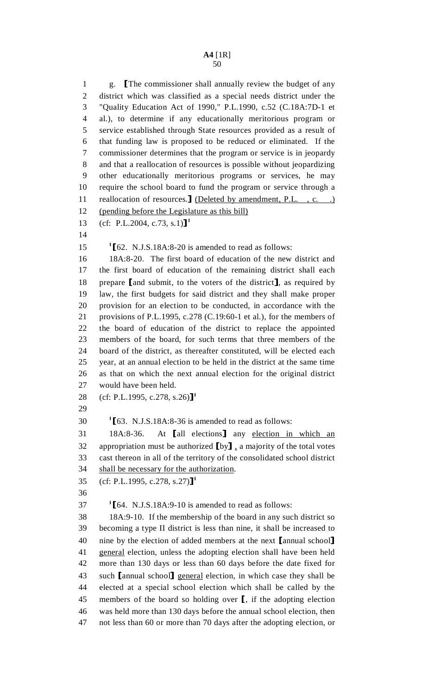1 g. The commissioner shall annually review the budget of any<br>2 district which was classified as a special needs district under the district which was classified as a special needs district under the 3 "Quality Education Act of 1990," P.L.1990, c.52 (C.18A:7D-1 et 4 al.), to determine if any educationally meritorious program or 5 service established through State resources provided as a result of 6 that funding law is proposed to be reduced or eliminated. If the 7 commissioner determines that the program or service is in jeopardy 8 and that a reallocation of resources is possible without jeopardizing 9 other educationally meritorious programs or services, he may 10 require the school board to fund the program or service through a 11 reallocation of resources. <u>J (Deleted by amendment, P.L., c. .)</u><br>12 (pending before the Legislature as this bill) (pending before the Legislature as this bill) 13 (cf: P.L.2004, c.73, s.1)]<sup>1</sup> 14 15 <sup>1</sup>[62. N.J.S.18A:8-20 is amended to read as follows:<br>16 18A:8-20. The first board of education of the new 16 18A:8-20. The first board of education of the new district and 17 the first board of education of the remaining district shall each 18 prepare [and submit, to the voters of the district], as required by<br>19 law, the first budgets for said district and they shall make proper law, the first budgets for said district and they shall make proper 20 provision for an election to be conducted, in accordance with the 21 provisions of P.L.1995, c.278 (C.19:60-1 et al.), for the members of 22 the board of education of the district to replace the appointed 23 members of the board, for such terms that three members of the 24 board of the district, as thereafter constituted, will be elected each 25 year, at an annual election to be held in the district at the same time 26 as that on which the next annual election for the original district 27 would have been held. 28 (cf: P.L.1995, c.278, s.26)<sup>1</sup> 29 1  $163.$  N.J.S.18A:8-36 is amended to read as follows:<br>31 18A:8-36. At [all elections] any election in 31 18A:8-36. At [all elections] any <u>election in which an</u><br>32 appropriation must be authorized [by], a majority of the total votes 32 appropriation must be authorized  $[by]$ , a majority of the total votes<br>33 cast thereon in all of the territory of the consolidated school district cast thereon in all of the territory of the consolidated school district 34 shall be necessary for the authorization. 35 (cf: P.L.1995, c.278, s.27)]<sup>1</sup> 36  $164.$  N.J.S.18A:9-10 is amended to read as follows:<br>38 18A:9-10. If the membership of the board in any suc-18A:9-10. If the membership of the board in any such district so 39 becoming a type II district is less than nine, it shall be increased to 40 nine by the election of added members at the next [annual school]<br>41 general election, unless the adopting election shall have been held general election, unless the adopting election shall have been held 42 more than 130 days or less than 60 days before the date fixed for 43 such [annual school] general election, in which case they shall be elected at a special school election which shall be called by the elected at a special school election which shall be called by the 45 members of the board so holding over  $\llbracket$ , if the adopting election<br>46 was held more than 130 days before the annual school election, then was held more than 130 days before the annual school election, then 47 not less than 60 or more than 70 days after the adopting election, or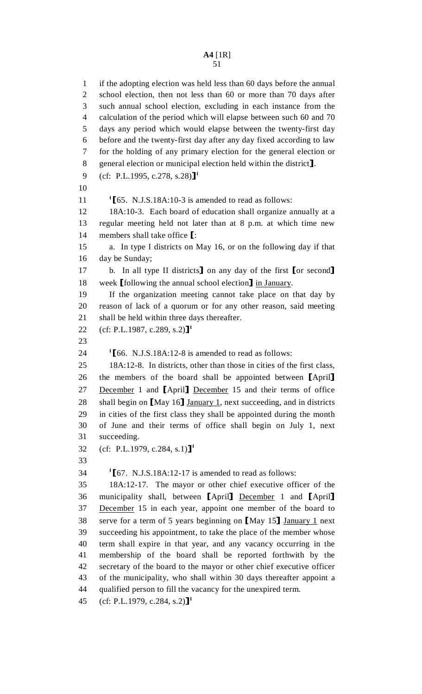1 if the adopting election was held less than 60 days before the annual 2 school election, then not less than 60 or more than 70 days after 3 such annual school election, excluding in each instance from the 4 calculation of the period which will elapse between such 60 and 70 5 days any period which would elapse between the twenty-first day 6 before and the twenty-first day after any day fixed according to law 7 for the holding of any primary election for the general election or 8 general election or municipal election held within the district].<br>9 (cf: P.L.1995, c.278, s.28)]<sup>1</sup> (cf: P.L.1995, c.278, s.28)]<sup>1</sup> 10 11  $\frac{1}{65}$ . N.J.S.18A:10-3 is amended to read as follows:<br>12 18A:10-3. Each board of education shall organize a 12 18A:10-3. Each board of education shall organize annually at a 13 regular meeting held not later than at 8 p.m. at which time new 14 members shall take office  $\left[ \begin{array}{cc} 15 \\ 1 \end{array} \right]$  a. In type I districts on I a. In type I districts on May 16, or on the following day if that 16 day be Sunday; 17 b. In all type II districts on any day of the first [or second]<br>18 week [following the annual school election] in January. 18 week [following the annual school election] in January.<br>19 11 11 11 11 12 11 12 11 12 11 12 11 12 11 12 11 12 11 12 11 12 11 12 11 12 11 12 11 12 11 12 11 12 11 12 1 If the organization meeting cannot take place on that day by 20 reason of lack of a quorum or for any other reason, said meeting 21 shall be held within three days thereafter. 22 (cf: P.L.1987, c.289, s.2)]<sup>1</sup> 23 24  $\text{I}$  56. N.J.S.18A:12-8 is amended to read as follows:<br>25 18A:12-8. In districts, other than those in cities of th 18A:12-8. In districts, other than those in cities of the first class, 26 the members of the board shall be appointed between [April]<br>27 December 1 and [April] December 15 and their terms of office 27 December 1 and [April] December 15 and their terms of office<br>28 shall begin on [May 16] January 1, next succeeding, and in districts 28 shall begin on [May 16] January 1, next succeeding, and in districts<br>29 in cities of the first class they shall be appointed during the month 29 in cities of the first class they shall be appointed during the month 30 of June and their terms of office shall begin on July 1, next 31 succeeding. 32 (cf: P.L.1979, c.284, s.1)]<sup>1</sup> 33  $167.$  N.J.S.18A:12-17 is amended to read as follows:<br>35 18A:12-17. The mayor or other chief executive off 18A:12-17. The mayor or other chief executive officer of the 36 municipality shall, between [April] December 1 and [April] 37 December 15 in each year, appoint one member of the board to December 15 in each year, appoint one member of the board to 38 serve for a term of 5 years beginning on [May 15] January 1 next<br>39 succeeding his appointment, to take the place of the member whose succeeding his appointment, to take the place of the member whose 40 term shall expire in that year, and any vacancy occurring in the 41 membership of the board shall be reported forthwith by the 42 secretary of the board to the mayor or other chief executive officer 43 of the municipality, who shall within 30 days thereafter appoint a 44 qualified person to fill the vacancy for the unexpired term. 45 (cf: P.L.1979, c.284, s.2)]<sup>1</sup>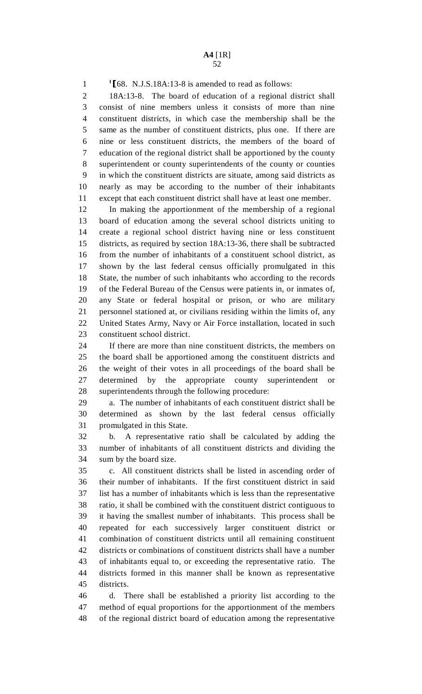<sup>1</sup>[68. N.J.S.18A:13-8 is amended to read as follows:<br>2 18A:13-8. The board of education of a regional d

18A:13-8. The board of education of a regional district shall 3 consist of nine members unless it consists of more than nine 4 constituent districts, in which case the membership shall be the 5 same as the number of constituent districts, plus one. If there are 6 nine or less constituent districts, the members of the board of 7 education of the regional district shall be apportioned by the county 8 superintendent or county superintendents of the county or counties 9 in which the constituent districts are situate, among said districts as 10 nearly as may be according to the number of their inhabitants 11 except that each constituent district shall have at least one member.

12 In making the apportionment of the membership of a regional 13 board of education among the several school districts uniting to 14 create a regional school district having nine or less constituent 15 districts, as required by section 18A:13-36, there shall be subtracted 16 from the number of inhabitants of a constituent school district, as 17 shown by the last federal census officially promulgated in this 18 State, the number of such inhabitants who according to the records 19 of the Federal Bureau of the Census were patients in, or inmates of, 20 any State or federal hospital or prison, or who are military 21 personnel stationed at, or civilians residing within the limits of, any 22 United States Army, Navy or Air Force installation, located in such 23 constituent school district.

24 If there are more than nine constituent districts, the members on 25 the board shall be apportioned among the constituent districts and 26 the weight of their votes in all proceedings of the board shall be 27 determined by the appropriate county superintendent or 28 superintendents through the following procedure:

29 a. The number of inhabitants of each constituent district shall be 30 determined as shown by the last federal census officially 31 promulgated in this State.

32 b. A representative ratio shall be calculated by adding the 33 number of inhabitants of all constituent districts and dividing the 34 sum by the board size.

35 c. All constituent districts shall be listed in ascending order of 36 their number of inhabitants. If the first constituent district in said 37 list has a number of inhabitants which is less than the representative 38 ratio, it shall be combined with the constituent district contiguous to 39 it having the smallest number of inhabitants. This process shall be 40 repeated for each successively larger constituent district or 41 combination of constituent districts until all remaining constituent 42 districts or combinations of constituent districts shall have a number 43 of inhabitants equal to, or exceeding the representative ratio. The 44 districts formed in this manner shall be known as representative 45 districts.

46 d. There shall be established a priority list according to the 47 method of equal proportions for the apportionment of the members 48 of the regional district board of education among the representative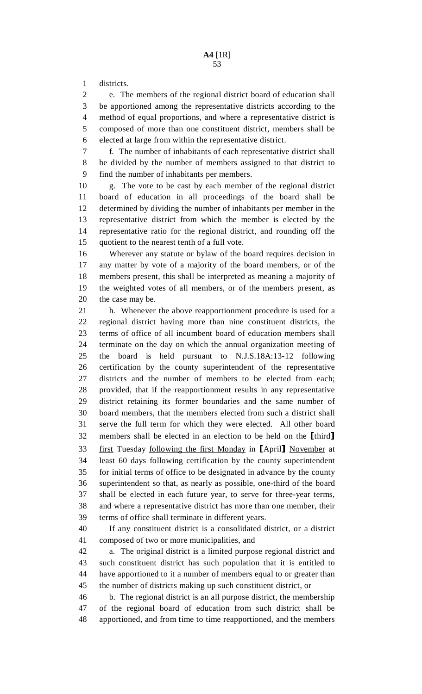1 districts.

2 e. The members of the regional district board of education shall 3 be apportioned among the representative districts according to the 4 method of equal proportions, and where a representative district is 5 composed of more than one constituent district, members shall be 6 elected at large from within the representative district.

7 f. The number of inhabitants of each representative district shall 8 be divided by the number of members assigned to that district to 9 find the number of inhabitants per members.

10 g. The vote to be cast by each member of the regional district 11 board of education in all proceedings of the board shall be 12 determined by dividing the number of inhabitants per member in the 13 representative district from which the member is elected by the 14 representative ratio for the regional district, and rounding off the 15 quotient to the nearest tenth of a full vote.

16 Wherever any statute or bylaw of the board requires decision in 17 any matter by vote of a majority of the board members, or of the 18 members present, this shall be interpreted as meaning a majority of 19 the weighted votes of all members, or of the members present, as 20 the case may be.

21 h. Whenever the above reapportionment procedure is used for a 22 regional district having more than nine constituent districts, the 23 terms of office of all incumbent board of education members shall 24 terminate on the day on which the annual organization meeting of 25 the board is held pursuant to N.J.S.18A:13-12 following 26 certification by the county superintendent of the representative 27 districts and the number of members to be elected from each; 28 provided, that if the reapportionment results in any representative 29 district retaining its former boundaries and the same number of 30 board members, that the members elected from such a district shall 31 serve the full term for which they were elected. All other board 32 members shall be elected in an election to be held on the [third]<br>33 first Tuesday following the first Monday in [April] November at 33 first Tuesday <u>following the first Monday</u> in [April] November at least 60 days following certification by the county superintendent least 60 days following certification by the county superintendent 35 for initial terms of office to be designated in advance by the county 36 superintendent so that, as nearly as possible, one-third of the board 37 shall be elected in each future year, to serve for three-year terms, 38 and where a representative district has more than one member, their 39 terms of office shall terminate in different years.

40 If any constituent district is a consolidated district, or a district 41 composed of two or more municipalities, and

42 a. The original district is a limited purpose regional district and 43 such constituent district has such population that it is entitled to 44 have apportioned to it a number of members equal to or greater than 45 the number of districts making up such constituent district, or

46 b. The regional district is an all purpose district, the membership 47 of the regional board of education from such district shall be 48 apportioned, and from time to time reapportioned, and the members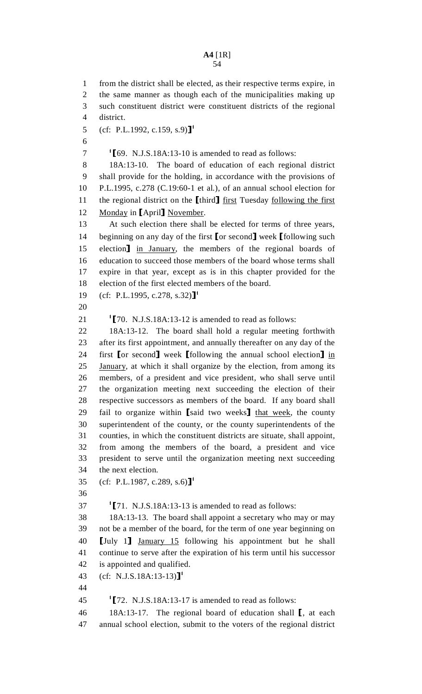# **A4** [1R]

54

1 from the district shall be elected, as their respective terms expire, in 2 the same manner as though each of the municipalities making up 3 such constituent district were constituent districts of the regional 4 district. 5 (cf: P.L.1992, c.159, s.9)]<sup>1</sup> 6  $169.$  N.J.S.18A:13-10 is amended to read as follows:<br>8 18A:13-10. The board of education of each region 18A:13-10. The board of education of each regional district 9 shall provide for the holding, in accordance with the provisions of 10 P.L.1995, c.278 (C.19:60-1 et al.), of an annual school election for 11 the regional district on the [third] <u>first</u> Tuesday <u>following the first</u> 12 Monday in [April] November. 12 Monday in [April] November.<br>13 At such election there shall At such election there shall be elected for terms of three years, 14 beginning on any day of the first [or second] week [following such<br>15 election] in January, the members of the regional boards of 15 election in January, the members of the regional boards of education to succeed those members of the board whose terms shall education to succeed those members of the board whose terms shall 17 expire in that year, except as is in this chapter provided for the 18 election of the first elected members of the board. 19 (cf: P.L.1995, c.278, s.32)<sup>1</sup> 20 21  $\text{I}$  [70. N.J.S.18A:13-12 is amended to read as follows:<br>22 18A:13-12. The board shall hold a regular meeting 18A:13-12. The board shall hold a regular meeting forthwith 23 after its first appointment, and annually thereafter on any day of the 24 first [or second] week [following the annual school election] in 25 January, at which it shall organize by the election, from among its January, at which it shall organize by the election, from among its 26 members, of a president and vice president, who shall serve until 27 the organization meeting next succeeding the election of their 28 respective successors as members of the board. If any board shall 29 fail to organize within [said two weeks] that week, the county<br>30 superintendent of the county or the county superintendents of the superintendent of the county, or the county superintendents of the 31 counties, in which the constituent districts are situate, shall appoint, 32 from among the members of the board, a president and vice 33 president to serve until the organization meeting next succeeding 34 the next election. 35 (cf: P.L.1987, c.289, s.6)<sup>1</sup> 36 27  $\text{I}[71. N.J.S.18A:13-13]$  is amended to read as follows:<br>38 18A:13-13. The board shall appoint a secretary who n 18A:13-13. The board shall appoint a secretary who may or may 39 not be a member of the board, for the term of one year beginning on 40 [July 1] <u>January 15</u> following his appointment but he shall<br>41 continue to serve after the expiration of his term until his successor continue to serve after the expiration of his term until his successor 42 is appointed and qualified. 43 (cf: N.J.S.18A:13-13)]<sup>1</sup> 44 15<sup>1</sup> 172. N.J.S.18A:13-17 is amended to read as follows:<br>46 18A:13-17. The regional board of education shall 18A:13-17. The regional board of education shall [, at each annual school election, submit to the voters of the regional district annual school election, submit to the voters of the regional district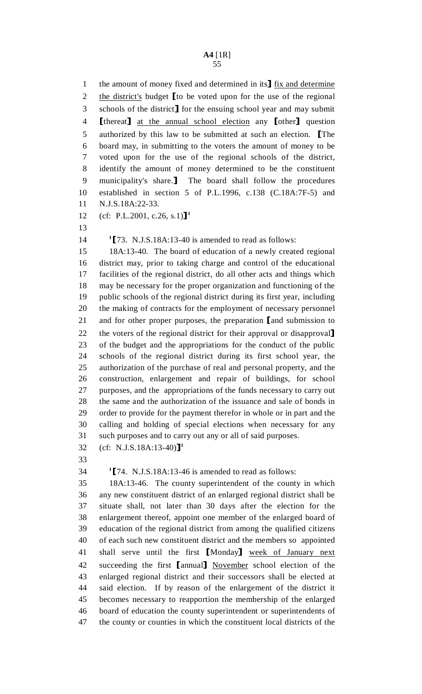1 the amount of money fixed and determined in its<sup>1</sup> fix and determine<br>2 the district's budget  $\lceil \text{to be voted upon for the use of the regional} \rceil$ 2 the district's budget [to be voted upon for the use of the regional<br>3 schools of the district] for the ensuing school year and may submit 3 schools of the district] for the ensuing school year and may submit<br>4 **I** thereat 1 at the annual school election any **I** other 1 question 4 [thereat] <u>at the annual school election</u> any [other] question<br>5 authorized by this law to be submitted at such an election. The 5 authorized by this law to be submitted at such an election. The<br>6 board may, in submitting to the voters the amount of money to be 6 board may, in submitting to the voters the amount of money to be 7 voted upon for the use of the regional schools of the district, 8 identify the amount of money determined to be the constituent 9 municipality's share.] The board shall follow the procedures<br>10 established in section 5 of P.L.1996. c.138 (C.18A:7F-5) and established in section 5 of P.L.1996, c.138 (C.18A:7F-5) and 11 N.J.S.18A:22-33.

12 (cf: P.L.2001, c.26, s.1)]<sup>1</sup>

13

14 <sup>1</sup>[73. N.J.S.18A:13-40 is amended to read as follows:<br>15 18A:13-40. The board of education of a newly create

15 18A:13-40. The board of education of a newly created regional 16 district may, prior to taking charge and control of the educational 17 facilities of the regional district, do all other acts and things which 18 may be necessary for the proper organization and functioning of the 19 public schools of the regional district during its first year, including 20 the making of contracts for the employment of necessary personnel 21 and for other proper purposes, the preparation [and submission to the voters of the regional district for their approval or disapproval 22 the voters of the regional district for their approval or disapproval 23 of the budget and the appropriations for the conduct of the public 23 of the budget and the appropriations for the conduct of the public 24 schools of the regional district during its first school year, the 25 authorization of the purchase of real and personal property, and the 26 construction, enlargement and repair of buildings, for school 27 purposes, and the appropriations of the funds necessary to carry out 28 the same and the authorization of the issuance and sale of bonds in 29 order to provide for the payment therefor in whole or in part and the 30 calling and holding of special elections when necessary for any 31 such purposes and to carry out any or all of said purposes.

32 (cf: N.J.S.18A:13-40)]<sup>1</sup>

33

 $1$ [74. N.J.S.18A:13-46 is amended to read as follows:<br>35 18A:13-46. The county superintendent of the counts

18A:13-46. The county superintendent of the county in which 36 any new constituent district of an enlarged regional district shall be 37 situate shall, not later than 30 days after the election for the 38 enlargement thereof, appoint one member of the enlarged board of 39 education of the regional district from among the qualified citizens 40 of each such new constituent district and the members so appointed 41 shall serve until the first [Monday] week of January next<br>42 succeeding the first [annual] November school election of the 42 succeeding the first [annual] November school election of the<br>43 enlarged regional district and their successors shall be elected at enlarged regional district and their successors shall be elected at 44 said election. If by reason of the enlargement of the district it 45 becomes necessary to reapportion the membership of the enlarged 46 board of education the county superintendent or superintendents of 47 the county or counties in which the constituent local districts of the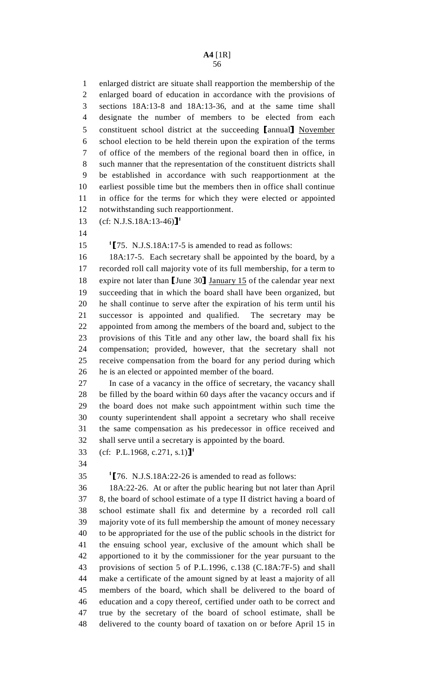1 enlarged district are situate shall reapportion the membership of the 2 enlarged board of education in accordance with the provisions of 3 sections 18A:13-8 and 18A:13-36, and at the same time shall 4 designate the number of members to be elected from each 5 constituent school district at the succeeding [annual] November 6 school election to be held therein upon the expiration of the terms school election to be held therein upon the expiration of the terms 7 of office of the members of the regional board then in office, in 8 such manner that the representation of the constituent districts shall 9 be established in accordance with such reapportionment at the 10 earliest possible time but the members then in office shall continue 11 in office for the terms for which they were elected or appointed 12 notwithstanding such reapportionment.

13  $(cf: N.J.S.18A:13-46)$ <sup>1</sup>

14

15 <sup>1</sup>[75. N.J.S.18A:17-5 is amended to read as follows:<br>16 18A:17-5. Each secretary shall be appointed by the

16 18A:17-5. Each secretary shall be appointed by the board, by a 17 recorded roll call majority vote of its full membership, for a term to 18 expire not later than [June 30] January 15 of the calendar year next<br>19 succeeding that in which the board shall have been organized, but succeeding that in which the board shall have been organized, but 20 he shall continue to serve after the expiration of his term until his 21 successor is appointed and qualified. The secretary may be 22 appointed from among the members of the board and, subject to the 23 provisions of this Title and any other law, the board shall fix his 24 compensation; provided, however, that the secretary shall not 25 receive compensation from the board for any period during which 26 he is an elected or appointed member of the board.

27 In case of a vacancy in the office of secretary, the vacancy shall 28 be filled by the board within 60 days after the vacancy occurs and if 29 the board does not make such appointment within such time the 30 county superintendent shall appoint a secretary who shall receive 31 the same compensation as his predecessor in office received and 32 shall serve until a secretary is appointed by the board.

33 (cf: P.L.1968, c.271, s.1)]<sup>1</sup>

34

1  $\llbracket 76. \text{ N.J.S.18A:22-26 is amended to read as follows: 18A:22-26. At or after the public hearing but not later.$ 

36 18A:22-26. At or after the public hearing but not later than April 37 8, the board of school estimate of a type II district having a board of 38 school estimate shall fix and determine by a recorded roll call 39 majority vote of its full membership the amount of money necessary 40 to be appropriated for the use of the public schools in the district for 41 the ensuing school year, exclusive of the amount which shall be 42 apportioned to it by the commissioner for the year pursuant to the 43 provisions of section 5 of P.L.1996, c.138 (C.18A:7F-5) and shall 44 make a certificate of the amount signed by at least a majority of all 45 members of the board, which shall be delivered to the board of 46 education and a copy thereof, certified under oath to be correct and 47 true by the secretary of the board of school estimate, shall be 48 delivered to the county board of taxation on or before April 15 in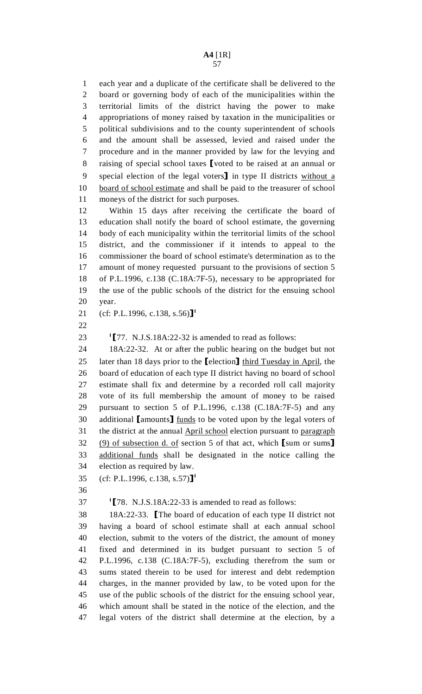1 each year and a duplicate of the certificate shall be delivered to the 2 board or governing body of each of the municipalities within the 3 territorial limits of the district having the power to make 4 appropriations of money raised by taxation in the municipalities or 5 political subdivisions and to the county superintendent of schools 6 and the amount shall be assessed, levied and raised under the 7 procedure and in the manner provided by law for the levying and 8 raising of special school taxes [voted to be raised at an annual or special election of the legal voters] in type II districts without a 9 special election of the legal voters] in type II districts without a<br>10 board of school estimate and shall be paid to the treasurer of school board of school estimate and shall be paid to the treasurer of school 11 moneys of the district for such purposes.

12 Within 15 days after receiving the certificate the board of 13 education shall notify the board of school estimate, the governing 14 body of each municipality within the territorial limits of the school 15 district, and the commissioner if it intends to appeal to the 16 commissioner the board of school estimate's determination as to the 17 amount of money requested pursuant to the provisions of section 5 18 of P.L.1996, c.138 (C.18A:7F-5), necessary to be appropriated for 19 the use of the public schools of the district for the ensuing school 20 year.

21 (cf: P.L.1996, c.138, s.56)]<sup>1</sup>

22

23  $\text{I}[77. N.J.S.18A:22-32]$  is amended to read as follows:<br>24 18A:22-32. At or after the public hearing on the bud

18A:22-32. At or after the public hearing on the budget but not 25 later than 18 days prior to the [election] third Tuesday in April, the 26 board of education of each type II district having no board of school board of education of each type II district having no board of school 27 estimate shall fix and determine by a recorded roll call majority 28 vote of its full membership the amount of money to be raised 29 pursuant to section 5 of P.L.1996, c.138 (C.18A:7F-5) and any 30 additional [amounts] funds to be voted upon by the legal voters of<br>31 the district at the annual April school election pursuant to paragraph the district at the annual April school election pursuant to paragraph  $\frac{(9) \text{ of subsection d. of section 5 of that act, which } \text{[sum or sums]} \text{ additional funds shall be designated in the notice calling the...}$ additional funds shall be designated in the notice calling the 34 election as required by law.

35 (cf: P.L.1996, c.138, s.57)]<sup>1</sup>

36

<sup>1</sup>[78. N.J.S.18A:22-33 is amended to read as follows:<br>38 18A:22-33. The board of education of each type II

38 18A:22-33. [The board of education of each type II district not having a board of school estimate shall at each annual school 40 election, submit to the voters of the district, the amount of money 41 fixed and determined in its budget pursuant to section 5 of 42 P.L.1996, c.138 (C.18A:7F-5), excluding therefrom the sum or 43 sums stated therein to be used for interest and debt redemption 44 charges, in the manner provided by law, to be voted upon for the 45 use of the public schools of the district for the ensuing school year, 46 which amount shall be stated in the notice of the election, and the 47 legal voters of the district shall determine at the election, by a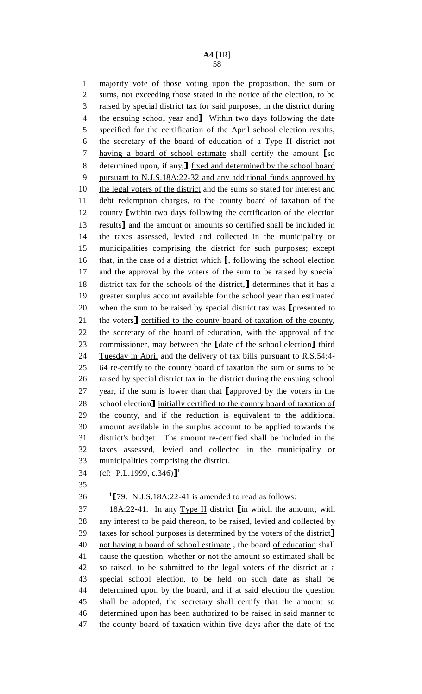## **A4** [1R]

58

1 majority vote of those voting upon the proposition, the sum or 2 sums, not exceeding those stated in the notice of the election, to be 3 raised by special district tax for said purposes, in the district during 4 the ensuing school year and **Within two days following the date**<br>5 specified for the certification of the April school election results. 5 specified for the certification of the April school election results, 6 the secretary of the board of education of a Type II district not 7 having a board of school estimate shall certify the amount [so determined upon, if any, ] fixed and determined by the school board 8 determined upon, if any, I <u>fixed and determined by the school board</u><br>9 nursuant to N.J.S.18A:22-32 and any additional funds approved by pursuant to N.J.S.18A:22-32 and any additional funds approved by 10 the legal voters of the district and the sums so stated for interest and 11 debt redemption charges, to the county board of taxation of the 12 county [within two days following the certification of the election<br>13 results and the amount or amounts so certified shall be included in 13 results] and the amount or amounts so certified shall be included in<br>14 the taxes assessed, levied and collected in the municipality or 14 the taxes assessed, levied and collected in the municipality or 15 municipalities comprising the district for such purposes; except 16 that, in the case of a district which  $\Gamma$ , following the school election 17 and the approval by the voters of the sum to be raised by special and the approval by the voters of the sum to be raised by special 18 district tax for the schools of the district, determines that it has a greater surplus account available for the school year than estimated greater surplus account available for the school year than estimated 20 when the sum to be raised by special district tax was [presented to 21 the voters] certified to the county board of taxation of the county. 21 the voters] certified to the county board of taxation of the county,<br>22 the secretary of the board of education, with the approval of the the secretary of the board of education, with the approval of the 23 commissioner, may between the [date of the school election] third<br>24 Tuesday in April and the delivery of tax bills pursuant to R.S.54:4-Tuesday in April and the delivery of tax bills pursuant to R.S.54:4-25 64 re-certify to the county board of taxation the sum or sums to be 26 raised by special district tax in the district during the ensuing school 27 year, if the sum is lower than that [approved by the voters in the 28 school election] initially certified to the county board of taxation of 28 school election] initially certified to the county board of taxation of<br>29 the county, and if the reduction is equivalent to the additional the county, and if the reduction is equivalent to the additional 30 amount available in the surplus account to be applied towards the 31 district's budget. The amount re-certified shall be included in the 32 taxes assessed, levied and collected in the municipality or 33 municipalities comprising the district. 34 (cf: P.L.1999, c.346)]<sup>1</sup>

35

1 36  $\text{I}$  [79. N.J.S.18A:22-41 is amended to read as follows:<br>37 18A:22-41. In any Type II district  $\text{I}$  in which the am 37 18A:22-41. In any <u>Type II</u> district  $\lim_{x \to 0}$  which the amount, with any interest to be paid thereon, to be raised, levied and collected by any interest to be paid thereon, to be raised, levied and collected by 39 taxes for school purposes is determined by the voters of the district]<br>40 not having a board of school estimate, the board of education shall not having a board of school estimate, the board of education shall 41 cause the question, whether or not the amount so estimated shall be 42 so raised, to be submitted to the legal voters of the district at a 43 special school election, to be held on such date as shall be 44 determined upon by the board, and if at said election the question 45 shall be adopted, the secretary shall certify that the amount so 46 determined upon has been authorized to be raised in said manner to 47 the county board of taxation within five days after the date of the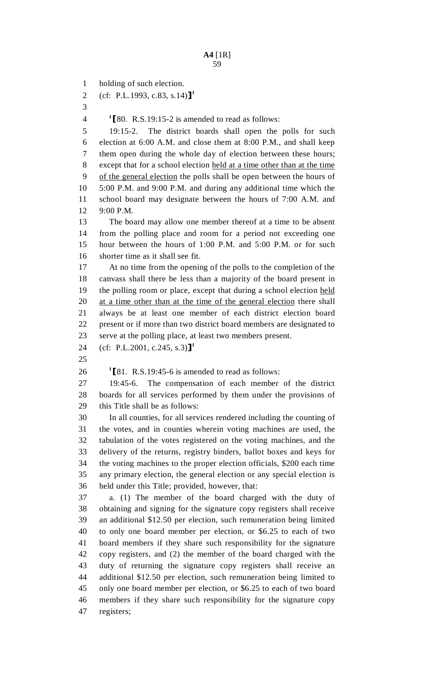1 holding of such election.

2 (cf: P.L.1993, c.83, s.14)]<sup>1</sup>

3

1  $\left\{\n \begin{array}{l}\n 180. \text{ R.S.19:15-2 is amended to read as follows: } \\
19:15-2. \text{ The district boards shall open the } \\
\end{array}\n \right\}$ 

The district boards shall open the polls for such 6 election at 6:00 A.M. and close them at 8:00 P.M., and shall keep 7 them open during the whole day of election between these hours; 8 except that for a school election held at a time other than at the time 9 of the general election the polls shall be open between the hours of 10 5:00 P.M. and 9:00 P.M. and during any additional time which the 11 school board may designate between the hours of 7:00 A.M. and 12 9:00 P.M.

13 The board may allow one member thereof at a time to be absent 14 from the polling place and room for a period not exceeding one 15 hour between the hours of 1:00 P.M. and 5:00 P.M. or for such 16 shorter time as it shall see fit.

17 At no time from the opening of the polls to the completion of the 18 canvass shall there be less than a majority of the board present in 19 the polling room or place, except that during a school election held 20 at a time other than at the time of the general election there shall 21 always be at least one member of each district election board 22 present or if more than two district board members are designated to 23 serve at the polling place, at least two members present.

24 (cf: P.L.2001, c.245, s.3)]<sup>1</sup>

25

26  $\text{I}$ [81. R.S.19:45-6 is amended to read as follows:<br>27 19:45-6. The compensation of each member

The compensation of each member of the district 28 boards for all services performed by them under the provisions of 29 this Title shall be as follows:

30 In all counties, for all services rendered including the counting of 31 the votes, and in counties wherein voting machines are used, the 32 tabulation of the votes registered on the voting machines, and the 33 delivery of the returns, registry binders, ballot boxes and keys for 34 the voting machines to the proper election officials, \$200 each time 35 any primary election, the general election or any special election is 36 held under this Title; provided, however, that:

37 a. (1) The member of the board charged with the duty of 38 obtaining and signing for the signature copy registers shall receive 39 an additional \$12.50 per election, such remuneration being limited 40 to only one board member per election, or \$6.25 to each of two 41 board members if they share such responsibility for the signature 42 copy registers, and (2) the member of the board charged with the 43 duty of returning the signature copy registers shall receive an 44 additional \$12.50 per election, such remuneration being limited to 45 only one board member per election, or \$6.25 to each of two board 46 members if they share such responsibility for the signature copy 47 registers;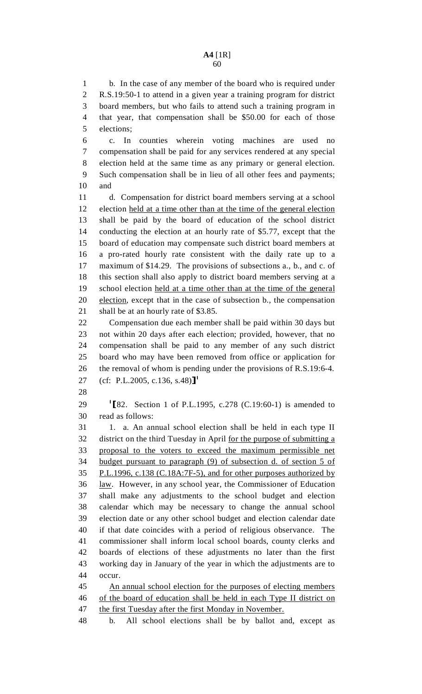#### **A4** [1R] 60

1 b. In the case of any member of the board who is required under 2 R.S.19:50-1 to attend in a given year a training program for district 3 board members, but who fails to attend such a training program in 4 that year, that compensation shall be \$50.00 for each of those 5 elections;

6 c. In counties wherein voting machines are used no 7 compensation shall be paid for any services rendered at any special 8 election held at the same time as any primary or general election. 9 Such compensation shall be in lieu of all other fees and payments; 10 and

11 d. Compensation for district board members serving at a school 12 election held at a time other than at the time of the general election 13 shall be paid by the board of education of the school district 14 conducting the election at an hourly rate of \$5.77, except that the 15 board of education may compensate such district board members at 16 a pro-rated hourly rate consistent with the daily rate up to a 17 maximum of \$14.29. The provisions of subsections a., b., and c. of 18 this section shall also apply to district board members serving at a 19 school election held at a time other than at the time of the general 20 election, except that in the case of subsection b., the compensation 21 shall be at an hourly rate of \$3.85.

22 Compensation due each member shall be paid within 30 days but 23 not within 20 days after each election; provided, however, that no 24 compensation shall be paid to any member of any such district 25 board who may have been removed from office or application for 26 the removal of whom is pending under the provisions of R.S.19:6-4. 27 (cf: P.L.2005, c.136, s.48)]<sup>1</sup>

28

29  $\frac{1}{82}$ . Section 1 of P.L.1995, c.278 (C.19:60-1) is amended to read as follows: read as follows:

31 1. a. An annual school election shall be held in each type II 32 district on the third Tuesday in April for the purpose of submitting a 33 proposal to the voters to exceed the maximum permissible net 34 budget pursuant to paragraph (9) of subsection d. of section 5 of 35 P.L.1996, c.138 (C.18A:7F-5), and for other purposes authorized by 36 law. However, in any school year, the Commissioner of Education 37 shall make any adjustments to the school budget and election 38 calendar which may be necessary to change the annual school 39 election date or any other school budget and election calendar date 40 if that date coincides with a period of religious observance. The 41 commissioner shall inform local school boards, county clerks and 42 boards of elections of these adjustments no later than the first 43 working day in January of the year in which the adjustments are to 44 occur.

45 An annual school election for the purposes of electing members 46 of the board of education shall be held in each Type II district on 47 the first Tuesday after the first Monday in November.

48 b. All school elections shall be by ballot and, except as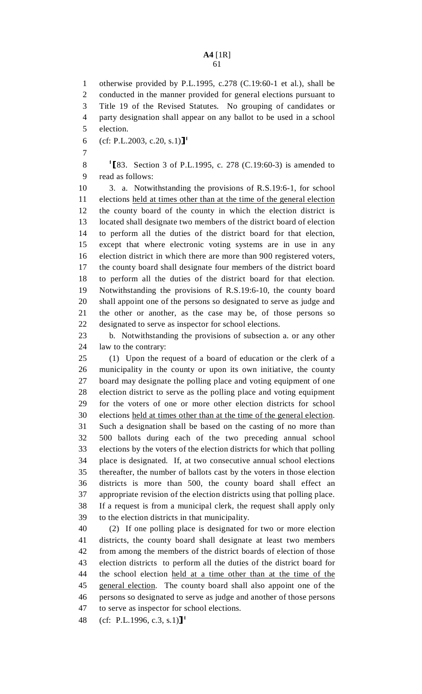#### **A4** [1R] 61

5 election.

6 (cf: P.L.2003, c.20, s.1)]<sup>1</sup>

7

8  $\frac{1}{83}$ . Section 3 of P.L.1995, c. 278 (C.19:60-3) is amended to read as follows: read as follows:

10 3. a. Notwithstanding the provisions of R.S.19:6-1, for school 11 elections held at times other than at the time of the general election 12 the county board of the county in which the election district is 13 located shall designate two members of the district board of election 14 to perform all the duties of the district board for that election, 15 except that where electronic voting systems are in use in any 16 election district in which there are more than 900 registered voters, 17 the county board shall designate four members of the district board 18 to perform all the duties of the district board for that election. 19 Notwithstanding the provisions of R.S.19:6-10, the county board 20 shall appoint one of the persons so designated to serve as judge and 21 the other or another, as the case may be, of those persons so 22 designated to serve as inspector for school elections.

23 b. Notwithstanding the provisions of subsection a. or any other 24 law to the contrary:

25 (1) Upon the request of a board of education or the clerk of a 26 municipality in the county or upon its own initiative, the county 27 board may designate the polling place and voting equipment of one 28 election district to serve as the polling place and voting equipment 29 for the voters of one or more other election districts for school 30 elections held at times other than at the time of the general election. 31 Such a designation shall be based on the casting of no more than 32 500 ballots during each of the two preceding annual school 33 elections by the voters of the election districts for which that polling 34 place is designated. If, at two consecutive annual school elections 35 thereafter, the number of ballots cast by the voters in those election 36 districts is more than 500, the county board shall effect an 37 appropriate revision of the election districts using that polling place. 38 If a request is from a municipal clerk, the request shall apply only 39 to the election districts in that municipality.

40 (2) If one polling place is designated for two or more election 41 districts, the county board shall designate at least two members 42 from among the members of the district boards of election of those 43 election districts to perform all the duties of the district board for 44 the school election held at a time other than at the time of the 45 general election. The county board shall also appoint one of the 46 persons so designated to serve as judge and another of those persons 47 to serve as inspector for school elections.

48 (cf: P.L.1996, c.3, s.1)]<sup>1</sup>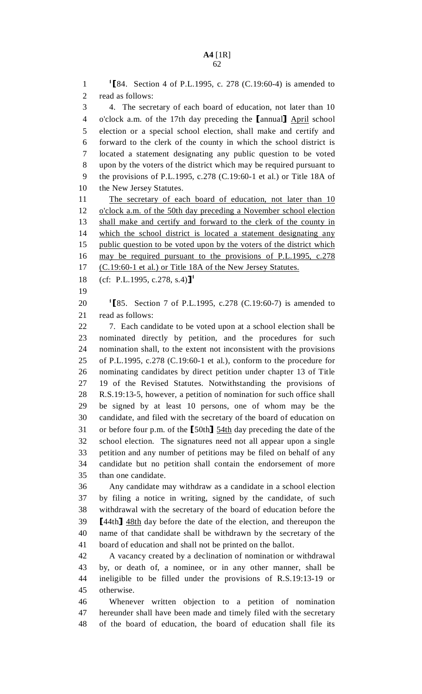1  $\frac{1}{2}$  [84. Section 4 of P.L.1995, c. 278 (C.19:60-4) is amended to read as follows: read as follows: 3 4. The secretary of each board of education, not later than 10 4 o'clock a.m. of the 17th day preceding the [annual] April school<br>5 election or a special school election, shall make and certify and 5 election or a special school election, shall make and certify and 6 forward to the clerk of the county in which the school district is 7 located a statement designating any public question to be voted 8 upon by the voters of the district which may be required pursuant to 9 the provisions of P.L.1995, c.278 (C.19:60-1 et al.) or Title 18A of 10 the New Jersey Statutes. 11 The secretary of each board of education, not later than 10 12 o'clock a.m. of the 50th day preceding a November school election 13 shall make and certify and forward to the clerk of the county in 14 which the school district is located a statement designating any 15 public question to be voted upon by the voters of the district which 16 may be required pursuant to the provisions of P.L.1995, c.278 17 (C.19:60-1 et al.) or Title 18A of the New Jersey Statutes. 18 (cf: P.L.1995, c.278, s.4)]<sup>1</sup> 19 20  $\text{I}$  [85. Section 7 of P.L.1995, c.278 (C.19:60-7) is amended to read as follows: read as follows: school election. The signatures need not all appear upon a single 36 Any candidate may withdraw as a candidate in a school election 37 by filing a notice in writing, signed by the candidate, of such 38 withdrawal with the secretary of the board of education before the 39  $[44th]$   $\frac{48th}{148th}$  day before the date of the election, and thereupon the 40 name of that candidate shall be withdrawn by the secretary of the name of that candidate shall be withdrawn by the secretary of the 41 board of education and shall not be printed on the ballot. 42 A vacancy created by a declination of nomination or withdrawal 43 by, or death of, a nominee, or in any other manner, shall be 44 ineligible to be filled under the provisions of R.S.19:13-19 or 45 otherwise. 46 Whenever written objection to a petition of nomination 47 hereunder shall have been made and timely filed with the secretary

48 of the board of education, the board of education shall file its

22 7. Each candidate to be voted upon at a school election shall be 23 nominated directly by petition, and the procedures for such 24 nomination shall, to the extent not inconsistent with the provisions 25 of P.L.1995, c.278 (C.19:60-1 et al.), conform to the procedure for 26 nominating candidates by direct petition under chapter 13 of Title 27 19 of the Revised Statutes. Notwithstanding the provisions of 28 R.S.19:13-5, however, a petition of nomination for such office shall 29 be signed by at least 10 persons, one of whom may be the 30 candidate, and filed with the secretary of the board of education on 31 or before four p.m. of the [50th]  $\underline{54th}$  day preceding the date of the<br>32 school election. The signatures need not all appear upon a single 33 petition and any number of petitions may be filed on behalf of any 34 candidate but no petition shall contain the endorsement of more 35 than one candidate.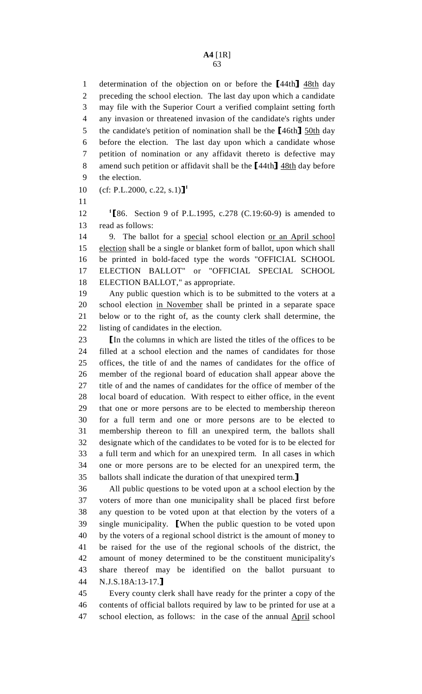1 determination of the objection on or before the [44th]  $\frac{48\text{th}}{48\text{th}}$  day<br>2 preceding the school election. The last day upon which a candidate preceding the school election. The last day upon which a candidate 3 may file with the Superior Court a verified complaint setting forth 4 any invasion or threatened invasion of the candidate's rights under 5 the candidate's petition of nomination shall be the  $[46th]$   $\underline{50th}$  day<br>6 before the election. The last day upon which a candidate whose before the election. The last day upon which a candidate whose 7 petition of nomination or any affidavit thereto is defective may 8 amend such petition or affidavit shall be the  $[44th]$   $\frac{48th}{148th}$  day before<br>9 the election. the election.

10 (cf: P.L.2000, c.22, s.1)]<sup>1</sup>

11

12  $\text{I\&86.}$  Section 9 of P.L.1995, c.278 (C.19:60-9) is amended to read as follows: read as follows:

14 9. The ballot for a special school election or an April school 15 election shall be a single or blanket form of ballot, upon which shall 16 be printed in bold-faced type the words "OFFICIAL SCHOOL 17 ELECTION BALLOT" or "OFFICIAL SPECIAL SCHOOL 18 ELECTION BALLOT," as appropriate.

19 Any public question which is to be submitted to the voters at a 20 school election in November shall be printed in a separate space 21 below or to the right of, as the county clerk shall determine, the 22 listing of candidates in the election.

23 In the columns in which are listed the titles of the offices to be filled at a school election and the names of candidates for those filled at a school election and the names of candidates for those 25 offices, the title of and the names of candidates for the office of 26 member of the regional board of education shall appear above the 27 title of and the names of candidates for the office of member of the 28 local board of education. With respect to either office, in the event 29 that one or more persons are to be elected to membership thereon 30 for a full term and one or more persons are to be elected to 31 membership thereon to fill an unexpired term, the ballots shall 32 designate which of the candidates to be voted for is to be elected for 33 a full term and which for an unexpired term. In all cases in which 34 one or more persons are to be elected for an unexpired term, the

35 ballots shall indicate the duration of that unexpired term.<br>36 All public questions to be voted upon at a school elect All public questions to be voted upon at a school election by the 37 voters of more than one municipality shall be placed first before 38 any question to be voted upon at that election by the voters of a 39 single municipality. **[When the public question to be voted upon** 40 by the voters of a regional school district is the amount of money to by the voters of a regional school district is the amount of money to 41 be raised for the use of the regional schools of the district, the 42 amount of money determined to be the constituent municipality's 43 share thereof may be identified on the ballot pursuant to 44 N.J.S.18A:13-17.]<br>45 Every county cl

Every county clerk shall have ready for the printer a copy of the 46 contents of official ballots required by law to be printed for use at a 47 school election, as follows: in the case of the annual April school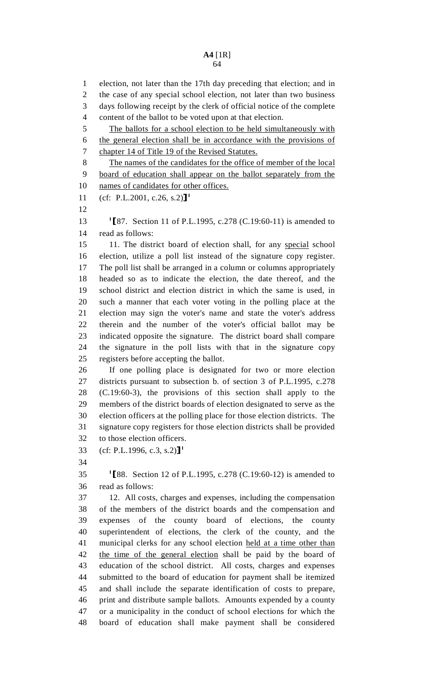1 election, not later than the 17th day preceding that election; and in 2 the case of any special school election, not later than two business 3 days following receipt by the clerk of official notice of the complete 4 content of the ballot to be voted upon at that election.

5 The ballots for a school election to be held simultaneously with 6 the general election shall be in accordance with the provisions of

7 chapter 14 of Title 19 of the Revised Statutes.

8 The names of the candidates for the office of member of the local 9 board of education shall appear on the ballot separately from the 10 names of candidates for other offices.

11 (cf: P.L.2001, c.26, s.2)]<sup>1</sup>

12

13  $\text{I\&87.}$  Section 11 of P.L.1995, c.278 (C.19:60-11) is amended to read as follows: read as follows:

15 11. The district board of election shall, for any special school 16 election, utilize a poll list instead of the signature copy register. 17 The poll list shall be arranged in a column or columns appropriately 18 headed so as to indicate the election, the date thereof, and the 19 school district and election district in which the same is used, in 20 such a manner that each voter voting in the polling place at the 21 election may sign the voter's name and state the voter's address 22 therein and the number of the voter's official ballot may be 23 indicated opposite the signature. The district board shall compare 24 the signature in the poll lists with that in the signature copy 25 registers before accepting the ballot.

26 If one polling place is designated for two or more election 27 districts pursuant to subsection b. of section 3 of P.L.1995, c.278 28 (C.19:60-3), the provisions of this section shall apply to the 29 members of the district boards of election designated to serve as the 30 election officers at the polling place for those election districts. The 31 signature copy registers for those election districts shall be provided 32 to those election officers.

33 (cf: P.L.1996, c.3, s.2)]<sup>1</sup>

34

1  $\left[ 88. \right]$  Section 12 of P.L.1995, c.278 (C.19:60-12) is amended to read as follows: read as follows:

37 12. All costs, charges and expenses, including the compensation 38 of the members of the district boards and the compensation and 39 expenses of the county board of elections, the county 40 superintendent of elections, the clerk of the county, and the 41 municipal clerks for any school election held at a time other than 42 the time of the general election shall be paid by the board of 43 education of the school district. All costs, charges and expenses 44 submitted to the board of education for payment shall be itemized 45 and shall include the separate identification of costs to prepare, 46 print and distribute sample ballots. Amounts expended by a county 47 or a municipality in the conduct of school elections for which the 48 board of education shall make payment shall be considered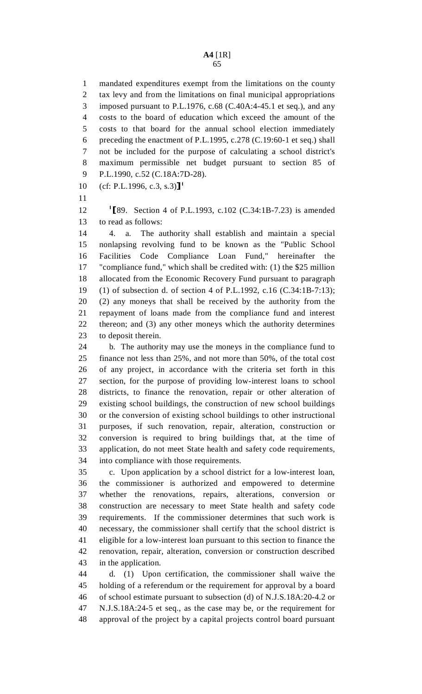1 mandated expenditures exempt from the limitations on the county 2 tax levy and from the limitations on final municipal appropriations 3 imposed pursuant to P.L.1976, c.68 (C.40A:4-45.1 et seq.), and any 4 costs to the board of education which exceed the amount of the 5 costs to that board for the annual school election immediately 6 preceding the enactment of P.L.1995, c.278 (C.19:60-1 et seq.) shall 7 not be included for the purpose of calculating a school district's 8 maximum permissible net budget pursuant to section 85 of 9 P.L.1990, c.52 (C.18A:7D-28).

10 (cf: P.L.1996, c.3, s.3)]<sup>1</sup>

11

12 <sup>1</sup>[89. Section 4 of P.L.1993, c.102 (C.34:1B-7.23) is amended<br>13 to read as follows: to read as follows:

14 4. a. The authority shall establish and maintain a special 15 nonlapsing revolving fund to be known as the "Public School 16 Facilities Code Compliance Loan Fund," hereinafter the 17 "compliance fund," which shall be credited with: (1) the \$25 million 18 allocated from the Economic Recovery Fund pursuant to paragraph 19 (1) of subsection d. of section 4 of P.L.1992, c.16 (C.34:1B-7:13); 20 (2) any moneys that shall be received by the authority from the 21 repayment of loans made from the compliance fund and interest 22 thereon; and (3) any other moneys which the authority determines 23 to deposit therein.

24 b. The authority may use the moneys in the compliance fund to 25 finance not less than 25%, and not more than 50%, of the total cost 26 of any project, in accordance with the criteria set forth in this 27 section, for the purpose of providing low-interest loans to school 28 districts, to finance the renovation, repair or other alteration of 29 existing school buildings, the construction of new school buildings 30 or the conversion of existing school buildings to other instructional 31 purposes, if such renovation, repair, alteration, construction or 32 conversion is required to bring buildings that, at the time of 33 application, do not meet State health and safety code requirements, 34 into compliance with those requirements.

35 c. Upon application by a school district for a low-interest loan, 36 the commissioner is authorized and empowered to determine 37 whether the renovations, repairs, alterations, conversion or 38 construction are necessary to meet State health and safety code 39 requirements. If the commissioner determines that such work is 40 necessary, the commissioner shall certify that the school district is 41 eligible for a low-interest loan pursuant to this section to finance the 42 renovation, repair, alteration, conversion or construction described 43 in the application.

44 d. (1) Upon certification, the commissioner shall waive the 45 holding of a referendum or the requirement for approval by a board 46 of school estimate pursuant to subsection (d) of N.J.S.18A:20-4.2 or 47 N.J.S.18A:24-5 et seq., as the case may be, or the requirement for 48 approval of the project by a capital projects control board pursuant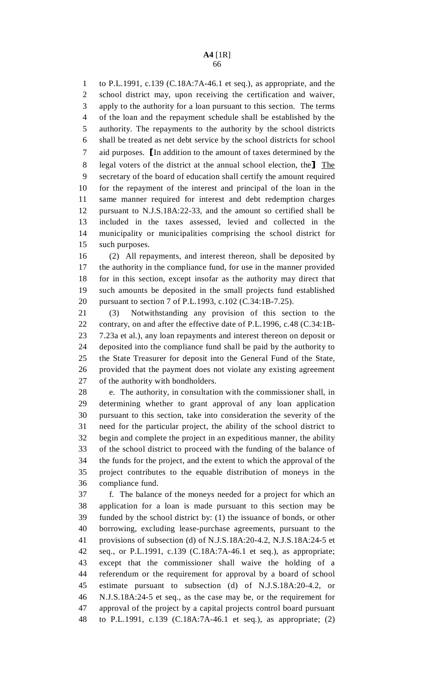1 to P.L.1991, c.139 (C.18A:7A-46.1 et seq.), as appropriate, and the 2 school district may, upon receiving the certification and waiver, 3 apply to the authority for a loan pursuant to this section. The terms 4 of the loan and the repayment schedule shall be established by the 5 authority. The repayments to the authority by the school districts 6 shall be treated as net debt service by the school districts for school 7 aid purposes. In addition to the amount of taxes determined by the<br>8 legal voters of the district at the annual school election, the<sup>1</sup> The 8 legal voters of the district at the annual school election, the The secretary of the board of education shall certify the amount required secretary of the board of education shall certify the amount required 10 for the repayment of the interest and principal of the loan in the 11 same manner required for interest and debt redemption charges 12 pursuant to N.J.S.18A:22-33, and the amount so certified shall be 13 included in the taxes assessed, levied and collected in the 14 municipality or municipalities comprising the school district for 15 such purposes.

16 (2) All repayments, and interest thereon, shall be deposited by 17 the authority in the compliance fund, for use in the manner provided 18 for in this section, except insofar as the authority may direct that 19 such amounts be deposited in the small projects fund established 20 pursuant to section 7 of P.L.1993, c.102 (C.34:1B-7.25).

21 (3) Notwithstanding any provision of this section to the 22 contrary, on and after the effective date of P.L.1996, c.48 (C.34:1B-23 7.23a et al.), any loan repayments and interest thereon on deposit or 24 deposited into the compliance fund shall be paid by the authority to 25 the State Treasurer for deposit into the General Fund of the State, 26 provided that the payment does not violate any existing agreement 27 of the authority with bondholders.

28 e. The authority, in consultation with the commissioner shall, in 29 determining whether to grant approval of any loan application 30 pursuant to this section, take into consideration the severity of the 31 need for the particular project, the ability of the school district to 32 begin and complete the project in an expeditious manner, the ability 33 of the school district to proceed with the funding of the balance of 34 the funds for the project, and the extent to which the approval of the 35 project contributes to the equable distribution of moneys in the 36 compliance fund.

37 f. The balance of the moneys needed for a project for which an 38 application for a loan is made pursuant to this section may be 39 funded by the school district by: (1) the issuance of bonds, or other 40 borrowing, excluding lease-purchase agreements, pursuant to the 41 provisions of subsection (d) of N.J.S.18A:20-4.2, N.J.S.18A:24-5 et 42 seq., or P.L.1991, c.139 (C.18A:7A-46.1 et seq.), as appropriate; 43 except that the commissioner shall waive the holding of a 44 referendum or the requirement for approval by a board of school 45 estimate pursuant to subsection (d) of N.J.S.18A:20-4.2, or 46 N.J.S.18A:24-5 et seq., as the case may be, or the requirement for 47 approval of the project by a capital projects control board pursuant 48 to P.L.1991, c.139 (C.18A:7A-46.1 et seq.), as appropriate; (2)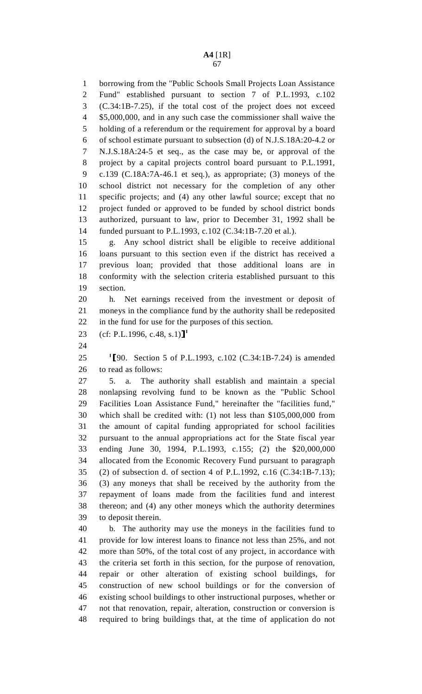1 borrowing from the "Public Schools Small Projects Loan Assistance 2 Fund" established pursuant to section 7 of P.L.1993, c.102 3 (C.34:1B-7.25), if the total cost of the project does not exceed 4 \$5,000,000, and in any such case the commissioner shall waive the 5 holding of a referendum or the requirement for approval by a board 6 of school estimate pursuant to subsection (d) of N.J.S.18A:20-4.2 or 7 N.J.S.18A:24-5 et seq., as the case may be, or approval of the 8 project by a capital projects control board pursuant to P.L.1991, 9 c.139 (C.18A:7A-46.1 et seq.), as appropriate; (3) moneys of the 10 school district not necessary for the completion of any other 11 specific projects; and (4) any other lawful source; except that no 12 project funded or approved to be funded by school district bonds 13 authorized, pursuant to law, prior to December 31, 1992 shall be 14 funded pursuant to P.L.1993, c.102 (C.34:1B-7.20 et al.).

15 g. Any school district shall be eligible to receive additional 16 loans pursuant to this section even if the district has received a 17 previous loan; provided that those additional loans are in 18 conformity with the selection criteria established pursuant to this 19 section.

20 h. Net earnings received from the investment or deposit of 21 moneys in the compliance fund by the authority shall be redeposited 22 in the fund for use for the purposes of this section.

23 (cf: P.L.1996, c.48, s.1)]<sup>1</sup>

24

25  $\text{I}$ [90. Section 5 of P.L.1993, c.102 (C.34:1B-7.24) is amended 26 to read as follows: to read as follows:

27 5. a. The authority shall establish and maintain a special 28 nonlapsing revolving fund to be known as the "Public School 29 Facilities Loan Assistance Fund," hereinafter the "facilities fund," 30 which shall be credited with: (1) not less than \$105,000,000 from 31 the amount of capital funding appropriated for school facilities 32 pursuant to the annual appropriations act for the State fiscal year 33 ending June 30, 1994, P.L.1993, c.155; (2) the \$20,000,000 34 allocated from the Economic Recovery Fund pursuant to paragraph 35 (2) of subsection d. of section 4 of P.L.1992, c.16 (C.34:1B-7.13); 36 (3) any moneys that shall be received by the authority from the 37 repayment of loans made from the facilities fund and interest 38 thereon; and (4) any other moneys which the authority determines 39 to deposit therein.

40 b. The authority may use the moneys in the facilities fund to 41 provide for low interest loans to finance not less than 25%, and not 42 more than 50%, of the total cost of any project, in accordance with 43 the criteria set forth in this section, for the purpose of renovation, 44 repair or other alteration of existing school buildings, for 45 construction of new school buildings or for the conversion of 46 existing school buildings to other instructional purposes, whether or 47 not that renovation, repair, alteration, construction or conversion is 48 required to bring buildings that, at the time of application do not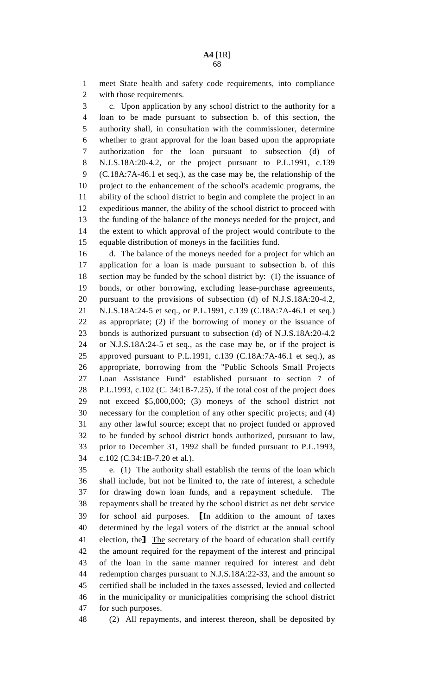1 meet State health and safety code requirements, into compliance 2 with those requirements.

3 c. Upon application by any school district to the authority for a 4 loan to be made pursuant to subsection b. of this section, the 5 authority shall, in consultation with the commissioner, determine 6 whether to grant approval for the loan based upon the appropriate 7 authorization for the loan pursuant to subsection (d) of 8 N.J.S.18A:20-4.2, or the project pursuant to P.L.1991, c.139 9 (C.18A:7A-46.1 et seq.), as the case may be, the relationship of the 10 project to the enhancement of the school's academic programs, the 11 ability of the school district to begin and complete the project in an 12 expeditious manner, the ability of the school district to proceed with 13 the funding of the balance of the moneys needed for the project, and 14 the extent to which approval of the project would contribute to the 15 equable distribution of moneys in the facilities fund.

16 d. The balance of the moneys needed for a project for which an 17 application for a loan is made pursuant to subsection b. of this 18 section may be funded by the school district by: (1) the issuance of 19 bonds, or other borrowing, excluding lease-purchase agreements, 20 pursuant to the provisions of subsection (d) of N.J.S.18A:20-4.2, 21 N.J.S.18A:24-5 et seq., or P.L.1991, c.139 (C.18A:7A-46.1 et seq.) 22 as appropriate; (2) if the borrowing of money or the issuance of 23 bonds is authorized pursuant to subsection (d) of N.J.S.18A:20-4.2 24 or N.J.S.18A:24-5 et seq., as the case may be, or if the project is 25 approved pursuant to P.L.1991, c.139 (C.18A:7A-46.1 et seq.), as 26 appropriate, borrowing from the "Public Schools Small Projects 27 Loan Assistance Fund" established pursuant to section 7 of 28 P.L.1993, c.102 (C. 34:1B-7.25), if the total cost of the project does 29 not exceed \$5,000,000; (3) moneys of the school district not 30 necessary for the completion of any other specific projects; and (4) 31 any other lawful source; except that no project funded or approved 32 to be funded by school district bonds authorized, pursuant to law, 33 prior to December 31, 1992 shall be funded pursuant to P.L.1993, 34 c.102 (C.34:1B-7.20 et al.).

35 e. (1) The authority shall establish the terms of the loan which 36 shall include, but not be limited to, the rate of interest, a schedule 37 for drawing down loan funds, and a repayment schedule. The 38 repayments shall be treated by the school district as net debt service 39 for school aid purposes. In addition to the amount of taxes 40 determined by the legal voters of the district at the annual school determined by the legal voters of the district at the annual school 41 election, the The secretary of the board of education shall certify<br>42 the amount required for the repayment of the interest and principal the amount required for the repayment of the interest and principal 43 of the loan in the same manner required for interest and debt 44 redemption charges pursuant to N.J.S.18A:22-33, and the amount so 45 certified shall be included in the taxes assessed, levied and collected 46 in the municipality or municipalities comprising the school district 47 for such purposes.

48 (2) All repayments, and interest thereon, shall be deposited by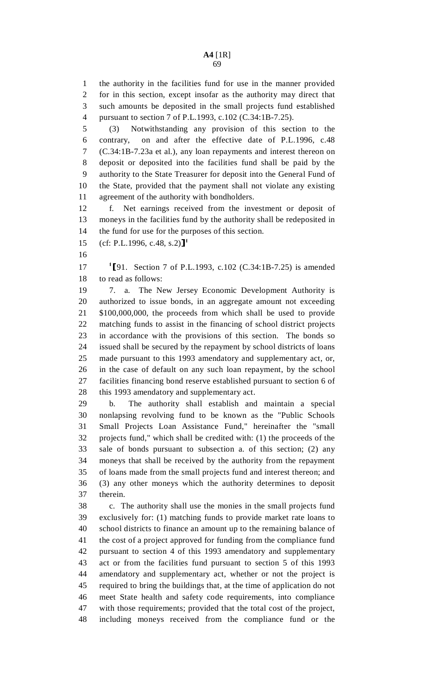1 the authority in the facilities fund for use in the manner provided 2 for in this section, except insofar as the authority may direct that 3 such amounts be deposited in the small projects fund established 4 pursuant to section 7 of P.L.1993, c.102 (C.34:1B-7.25).

5 (3) Notwithstanding any provision of this section to the 6 contrary, on and after the effective date of P.L.1996, c.48 7 (C.34:1B-7.23a et al.), any loan repayments and interest thereon on 8 deposit or deposited into the facilities fund shall be paid by the 9 authority to the State Treasurer for deposit into the General Fund of 10 the State, provided that the payment shall not violate any existing 11 agreement of the authority with bondholders.

12 f. Net earnings received from the investment or deposit of 13 moneys in the facilities fund by the authority shall be redeposited in 14 the fund for use for the purposes of this section.

15 (cf: P.L.1996, c.48, s.2)]<sup>1</sup>

16

17 <sup>1</sup>[91. Section 7 of P.L.1993, c.102 (C.34:1B-7.25) is amended 18 to read as follows: to read as follows:

19 7. a. The New Jersey Economic Development Authority is 20 authorized to issue bonds, in an aggregate amount not exceeding 21 \$100,000,000, the proceeds from which shall be used to provide 22 matching funds to assist in the financing of school district projects 23 in accordance with the provisions of this section. The bonds so 24 issued shall be secured by the repayment by school districts of loans 25 made pursuant to this 1993 amendatory and supplementary act, or, 26 in the case of default on any such loan repayment, by the school 27 facilities financing bond reserve established pursuant to section 6 of 28 this 1993 amendatory and supplementary act.

29 b. The authority shall establish and maintain a special 30 nonlapsing revolving fund to be known as the "Public Schools 31 Small Projects Loan Assistance Fund," hereinafter the "small 32 projects fund," which shall be credited with: (1) the proceeds of the 33 sale of bonds pursuant to subsection a. of this section; (2) any 34 moneys that shall be received by the authority from the repayment 35 of loans made from the small projects fund and interest thereon; and 36 (3) any other moneys which the authority determines to deposit 37 therein.

38 c. The authority shall use the monies in the small projects fund 39 exclusively for: (1) matching funds to provide market rate loans to 40 school districts to finance an amount up to the remaining balance of 41 the cost of a project approved for funding from the compliance fund 42 pursuant to section 4 of this 1993 amendatory and supplementary 43 act or from the facilities fund pursuant to section 5 of this 1993 44 amendatory and supplementary act, whether or not the project is 45 required to bring the buildings that, at the time of application do not 46 meet State health and safety code requirements, into compliance 47 with those requirements; provided that the total cost of the project, 48 including moneys received from the compliance fund or the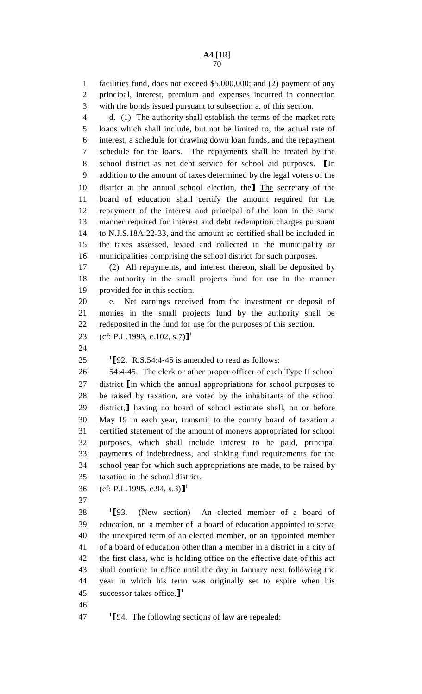1 facilities fund, does not exceed \$5,000,000; and (2) payment of any 2 principal, interest, premium and expenses incurred in connection 3 with the bonds issued pursuant to subsection a. of this section.

4 d. (1) The authority shall establish the terms of the market rate 5 loans which shall include, but not be limited to, the actual rate of 6 interest, a schedule for drawing down loan funds, and the repayment 7 schedule for the loans. The repayments shall be treated by the 8 school district as net debt service for school aid purposes. In addition to the amount of taxes determined by the legal voters of the addition to the amount of taxes determined by the legal voters of the 10 district at the annual school election, the The secretary of the 11 board of education shall certify the amount required for the board of education shall certify the amount required for the 12 repayment of the interest and principal of the loan in the same 13 manner required for interest and debt redemption charges pursuant 14 to N.J.S.18A:22-33, and the amount so certified shall be included in 15 the taxes assessed, levied and collected in the municipality or 16 municipalities comprising the school district for such purposes.

17 (2) All repayments, and interest thereon, shall be deposited by 18 the authority in the small projects fund for use in the manner 19 provided for in this section.

20 e. Net earnings received from the investment or deposit of 21 monies in the small projects fund by the authority shall be 22 redeposited in the fund for use for the purposes of this section.

23 (cf: P.L.1993, c.102, s.7)]<sup>1</sup>

24

25  $\text{I}$  [92. R.S.54:4-45 is amended to read as follows:<br>26  $\text{54:4-45}$ . The clerk or other proper officer of each

54:4-45. The clerk or other proper officer of each Type II school 27 district [in which the annual appropriations for school purposes to 28 be raised by taxation, are voted by the inhabitants of the school be raised by taxation, are voted by the inhabitants of the school 29 district, having no board of school estimate shall, on or before<br>30 May 19 in each year, transmit to the county board of taxation a May 19 in each year, transmit to the county board of taxation a 31 certified statement of the amount of moneys appropriated for school 32 purposes, which shall include interest to be paid, principal 33 payments of indebtedness, and sinking fund requirements for the 34 school year for which such appropriations are made, to be raised by 35 taxation in the school district.

- 36 (cf: P.L.1995, c.94, s.3)]<sup>1</sup>
- 37

1  $\left[93\right]$ . (New section) An elected member of a board of education appointed to serve education, or a member of a board of education appointed to serve 40 the unexpired term of an elected member, or an appointed member 41 of a board of education other than a member in a district in a city of 42 the first class, who is holding office on the effective date of this act 43 shall continue in office until the day in January next following the 44 year in which his term was originally set to expire when his 45 successor takes office. $J^1$ 

46

 $11$ <sup>1</sup>[94. The following sections of law are repealed: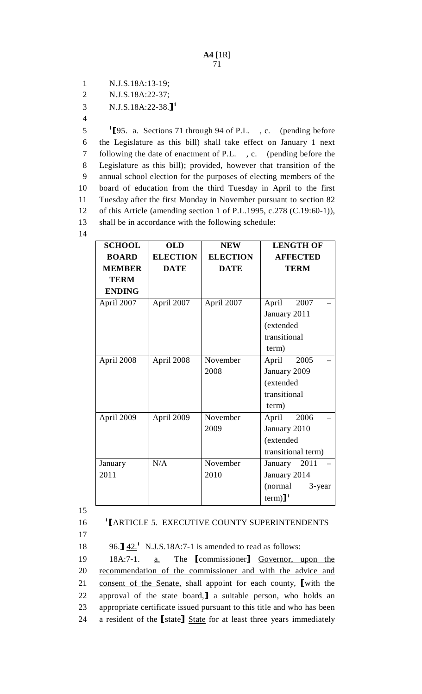1 N.J.S.18A:13-19;

2 N.J.S.18A:22-37;

3 N.J.S.18A:22-38.<sup>1</sup>

4

1 1 5  $\frac{1}{2}$  1 1 through 94 of P.L., c. (pending before the Legislature as this bill) shall take effect on January 1 next 6 the Legislature as this bill) shall take effect on January 1 next 7 following the date of enactment of P.L. , c. (pending before the 8 Legislature as this bill); provided, however that transition of the 9 annual school election for the purposes of electing members of the 10 board of education from the third Tuesday in April to the first 11 Tuesday after the first Monday in November pursuant to section 82 12 of this Article (amending section 1 of P.L.1995, c.278 (C.19:60-1)), shall be in accordance with the following schedule: 13 14

| <b>SCHOOL</b> | <b>OLD</b>      | <b>NEW</b>      | <b>LENGTH OF</b>       |
|---------------|-----------------|-----------------|------------------------|
| <b>BOARD</b>  | <b>ELECTION</b> | <b>ELECTION</b> | <b>AFFECTED</b>        |
| <b>MEMBER</b> | <b>DATE</b>     | <b>DATE</b>     | <b>TERM</b>            |
| <b>TERM</b>   |                 |                 |                        |
| <b>ENDING</b> |                 |                 |                        |
| April 2007    | April 2007      | April 2007      | April<br>2007          |
|               |                 |                 | January 2011           |
|               |                 |                 | (extended              |
|               |                 |                 | transitional           |
|               |                 |                 | term)                  |
| April 2008    | April 2008      | November        | April<br>2005          |
|               |                 | 2008            | January 2009           |
|               |                 |                 | (extended              |
|               |                 |                 | transitional           |
|               |                 |                 | term)                  |
| April 2009    | April 2009      | November        | April<br>2006          |
|               |                 | 2009            | January 2010           |
|               |                 |                 | (extended              |
|               |                 |                 | transitional term)     |
| January       | N/A             | November        | January 2011           |
| 2011          |                 | 2010            | January 2014           |
|               |                 |                 | (normal)<br>$3$ -year  |
|               |                 |                 | $term)$ ] <sup>1</sup> |

15

16 <sup>1</sup>[ARTICLE 5. EXECUTIVE COUNTY SUPERINTENDENTS

17

96.]  $\frac{42.1}{18}$  N.J.S.18A:7-1 is amended to read as follows:<br>19 18A:7-1. a. The [commissioner] Governor, u

19 18A:7-1. <u>a.</u> The **[**commissioner] <u>Governor, upon the</u><br>20 recommendation of the commissioner and with the advice and recommendation of the commissioner and with the advice and 21 consent of the Senate, shall appoint for each county, [with the 22 approval of the state board,] a suitable person, who holds an 22 approval of the state board, a suitable person, who holds an appropriate certificate issued pursuant to this title and who has been appropriate certificate issued pursuant to this title and who has been 24 a resident of the [state] State for at least three years immediately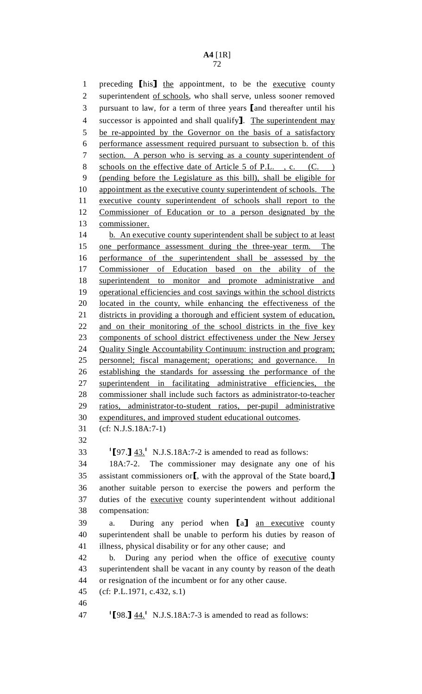## **A4** [1R]

72

1 preceding [his] the appointment, to be the executive county<br>2 superintendent of schools, who shall serve, unless sooner removed superintendent of schools, who shall serve, unless sooner removed 3 pursuant to law, for a term of three years [and thereafter until his<br>4 successor is appointed and shall qualify]. The superintendent may 4 successor is appointed and shall qualify. The superintendent may<br>5 be re-appointed by the Governor on the basis of a satisfactory be re-appointed by the Governor on the basis of a satisfactory 6 performance assessment required pursuant to subsection b. of this 7 section. A person who is serving as a county superintendent of 8 schools on the effective date of Article 5 of P.L., c. (C.) 9 (pending before the Legislature as this bill), shall be eligible for 10 appointment as the executive county superintendent of schools. The 11 executive county superintendent of schools shall report to the 12 Commissioner of Education or to a person designated by the 13 commissioner. 14 b. An executive county superintendent shall be subject to at least 15 one performance assessment during the three-year term. The 16 performance of the superintendent shall be assessed by the 17 Commissioner of Education based on the ability of the 18 superintendent to monitor and promote administrative and 19 operational efficiencies and cost savings within the school districts 20 located in the county, while enhancing the effectiveness of the 21 districts in providing a thorough and efficient system of education, 22 and on their monitoring of the school districts in the five key 23 components of school district effectiveness under the New Jersey 24 Quality Single Accountability Continuum: instruction and program; 25 personnel; fiscal management; operations; and governance. In 26 establishing the standards for assessing the performance of the 27 superintendent in facilitating administrative efficiencies, the 28 commissioner shall include such factors as administrator-to-teacher 29 ratios, administrator-to-student ratios, per-pupil administrative 30 expenditures, and improved student educational outcomes. 31 (cf: N.J.S.18A:7-1) 32  $1$ [97.]  $43.1$  N.J.S.18A:7-2 is amended to read as follows: 34 18A:7-2. The commissioner may designate any one of his 35 assistant commissioners or [, with the approval of the State board,]<br>36 another suitable person to exercise the powers and perform the another suitable person to exercise the powers and perform the 37 duties of the executive county superintendent without additional 38 compensation: 39 a. During any period when [a] <u>an executive</u> county<br>40 superintendent shall be unable to perform his duties by reason of superintendent shall be unable to perform his duties by reason of 41 illness, physical disability or for any other cause; and 42 b. During any period when the office of executive county 43 superintendent shall be vacant in any county by reason of the death 44 or resignation of the incumbent or for any other cause. 45 (cf: P.L.1971, c.432, s.1) 46 47  $[98.]\,\underline{44.}^1$  N.J.S.18A:7-3 is amended to read as follows: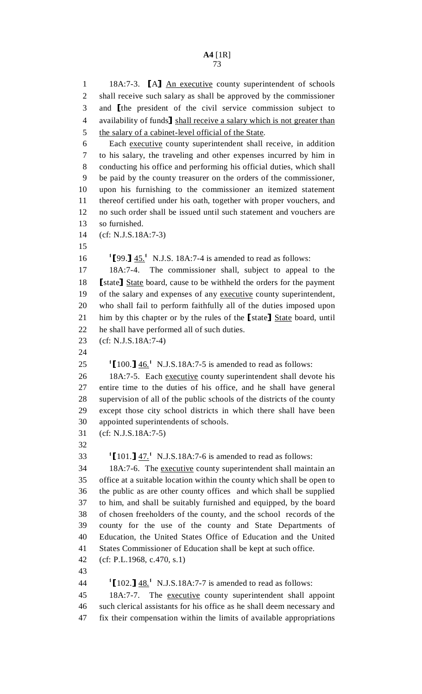1 18A:7-3. [A] <u>An executive</u> county superintendent of schools<br>2 shall receive such salary as shall be approved by the commissioner shall receive such salary as shall be approved by the commissioner 3 and [the president of the civil service commission subject to availability of funds] shall receive a salary which is not greater than 4 availability of funds] shall receive a salary which is not greater than<br>5 the salary of a cabinet-level official of the State. the salary of a cabinet-level official of the State. 6 Each executive county superintendent shall receive, in addition 7 to his salary, the traveling and other expenses incurred by him in 8 conducting his office and performing his official duties, which shall 9 be paid by the county treasurer on the orders of the commissioner, 10 upon his furnishing to the commissioner an itemized statement 11 thereof certified under his oath, together with proper vouchers, and 12 no such order shall be issued until such statement and vouchers are 13 so furnished. 14 (cf: N.J.S.18A:7-3) 15 16  $\text{I}$ [99.]  $\frac{45.1}{10}$  N.J.S. 18A:7-4 is amended to read as follows: 17 18A:7-4. The commissioner shall, subject to appeal to the 18 [state] State board, cause to be withheld the orders for the payment<br>19 of the salary and expenses of any executive county superintendent. of the salary and expenses of any executive county superintendent, 20 who shall fail to perform faithfully all of the duties imposed upon 21 him by this chapter or by the rules of the [state] State board, until<br>22 he shall have performed all of such duties. he shall have performed all of such duties. 23 (cf: N.J.S.18A:7-4) 24 25  $\frac{1}{100}$   $\frac{1}{46}$ , N.J.S.18A:7-5 is amended to read as follows: 26 18A:7-5. Each executive county superintendent shall devote his 27 entire time to the duties of his office, and he shall have general 28 supervision of all of the public schools of the districts of the county 29 except those city school districts in which there shall have been 30 appointed superintendents of schools. 31 (cf: N.J.S.18A:7-5) 32  $101.\overline{)47}$ . N.J.S.18A:7-6 is amended to read as follows: 34 18A:7-6. The executive county superintendent shall maintain an 35 office at a suitable location within the county which shall be open to 36 the public as are other county offices and which shall be supplied 37 to him, and shall be suitably furnished and equipped, by the board 38 of chosen freeholders of the county, and the school records of the 39 county for the use of the county and State Departments of 40 Education, the United States Office of Education and the United 41 States Commissioner of Education shall be kept at such office. 42 (cf: P.L.1968, c.470, s.1) 43 44  $\left[102.\right] \frac{48.1}{25}$  N.J.S.18A:7-7 is amended to read as follows: 45 18A:7-7. The executive county superintendent shall appoint 46 such clerical assistants for his office as he shall deem necessary and 47 fix their compensation within the limits of available appropriations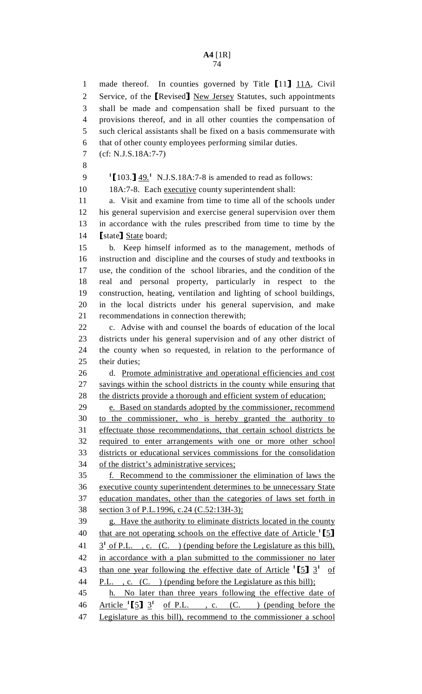74

1 made thereof. In counties governed by Title [11]  $11\text{A}$ , Civil<br>2 Service, of the *Revised* New Jersey Statutes, such appointments 2 Service, of the [Revised] New Jersey Statutes, such appointments<br>3 shall be made and compensation shall be fixed pursuant to the shall be made and compensation shall be fixed pursuant to the 4 provisions thereof, and in all other counties the compensation of 5 such clerical assistants shall be fixed on a basis commensurate with 6 that of other county employees performing similar duties. 7 (cf: N.J.S.18A:7-7) 8  $\frac{1}{2}$   $\left[\frac{103.1 \times 9.1}{2 \times 10^{-11}}\right]$  N.J.S.18A:7-8 is amended to read as follows: 10 18A:7-8. Each executive county superintendent shall: 11 a. Visit and examine from time to time all of the schools under 12 his general supervision and exercise general supervision over them 13 in accordance with the rules prescribed from time to time by the 14 **[state]** <u>State</u> board;<br>15 b. Keep himsel b. Keep himself informed as to the management, methods of 16 instruction and discipline and the courses of study and textbooks in 17 use, the condition of the school libraries, and the condition of the 18 real and personal property, particularly in respect to the 19 construction, heating, ventilation and lighting of school buildings, 20 in the local districts under his general supervision, and make 21 recommendations in connection therewith; 22 c. Advise with and counsel the boards of education of the local 23 districts under his general supervision and of any other district of 24 the county when so requested, in relation to the performance of 25 their duties; 26 d. Promote administrative and operational efficiencies and cost 27 savings within the school districts in the county while ensuring that 28 the districts provide a thorough and efficient system of education; 29 e. Based on standards adopted by the commissioner, recommend 30 to the commissioner, who is hereby granted the authority to 31 effectuate those recommendations, that certain school districts be 32 required to enter arrangements with one or more other school 33 districts or educational services commissions for the consolidation 34 of the district's administrative services; 35 f. Recommend to the commissioner the elimination of laws the 36 executive county superintendent determines to be unnecessary State 37 education mandates, other than the categories of laws set forth in 38 section 3 of P.L.1996, c.24 (C.52:13H-3); 39 g. Have the authority to eliminate districts located in the county 40 that are not operating schools on the effective date of Article  $\lceil 5 \rceil$ <br>41  $\lceil 3^1 \rceil$  of P.L. . c. (C. ) (pending before the Legislature as this bill).  $3<sup>1</sup>$  of P.L. , c. (C. ) (pending before the Legislature as this bill), 42 in accordance with a plan submitted to the commissioner no later 43 than one year following the effective date of Article  $\left[5\right]$   $3^1$  of 44 P.L., c. (C.) (pending before the Legislature as this bill); 45 h. No later than three years following the effective date of 46 Article  $\begin{bmatrix} 5 \end{bmatrix}$  3<sup>1</sup> of P.L., c. (C.) (pending before the 47 Legislature as this bill), recommend to the commissioner a school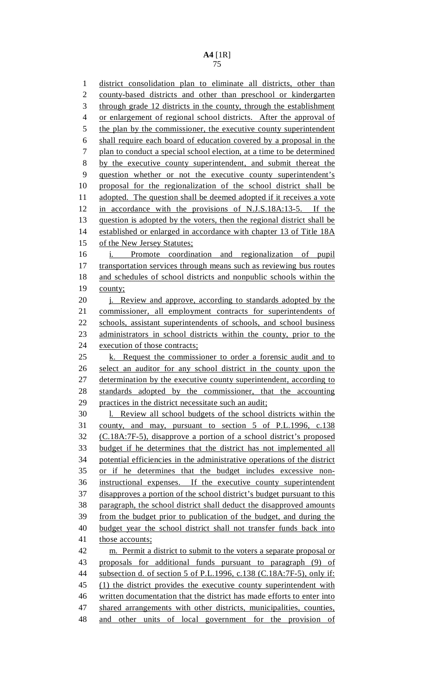1 district consolidation plan to eliminate all districts, other than 2 county-based districts and other than preschool or kindergarten 3 through grade 12 districts in the county, through the establishment 4 or enlargement of regional school districts. After the approval of 5 the plan by the commissioner, the executive county superintendent 6 shall require each board of education covered by a proposal in the 7 plan to conduct a special school election, at a time to be determined 8 by the executive county superintendent, and submit thereat the 9 question whether or not the executive county superintendent's 10 proposal for the regionalization of the school district shall be 11 adopted. The question shall be deemed adopted if it receives a vote 12 in accordance with the provisions of N.J.S.18A:13-5. If the 13 question is adopted by the voters, then the regional district shall be 14 established or enlarged in accordance with chapter 13 of Title 18A 15 of the New Jersey Statutes; 16 i. Promote coordination and regionalization of pupil 17 transportation services through means such as reviewing bus routes 18 and schedules of school districts and nonpublic schools within the 19 county; 20 **j.** Review and approve, according to standards adopted by the 21 commissioner, all employment contracts for superintendents of 22 schools, assistant superintendents of schools, and school business 23 administrators in school districts within the county, prior to the 24 execution of those contracts; 25 k. Request the commissioner to order a forensic audit and to 26 select an auditor for any school district in the county upon the 27 determination by the executive county superintendent, according to 28 standards adopted by the commissioner, that the accounting 29 practices in the district necessitate such an audit; 30 l. Review all school budgets of the school districts within the 31 county, and may, pursuant to section 5 of P.L.1996, c.138 32 (C.18A:7F-5), disapprove a portion of a school district's proposed 33 budget if he determines that the district has not implemented all 34 potential efficiencies in the administrative operations of the district 35 or if he determines that the budget includes excessive non-36 instructional expenses. If the executive county superintendent 37 disapproves a portion of the school district's budget pursuant to this 38 paragraph, the school district shall deduct the disapproved amounts 39 from the budget prior to publication of the budget, and during the 40 budget year the school district shall not transfer funds back into 41 those accounts; 42 m. Permit a district to submit to the voters a separate proposal or 43 proposals for additional funds pursuant to paragraph (9) of 44 subsection d. of section 5 of P.L.1996, c.138 (C.18A:7F-5), only if: 45 (1) the district provides the executive county superintendent with 46 written documentation that the district has made efforts to enter into 47 shared arrangements with other districts, municipalities, counties, 48 and other units of local government for the provision of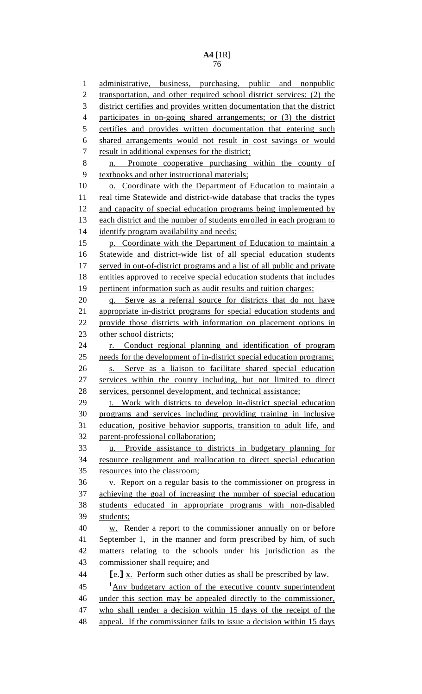1 administrative, business, purchasing, public and nonpublic 2 transportation, and other required school district services; (2) the 3 district certifies and provides written documentation that the district 4 participates in on-going shared arrangements; or (3) the district 5 certifies and provides written documentation that entering such 6 shared arrangements would not result in cost savings or would 7 result in additional expenses for the district; 8 n. Promote cooperative purchasing within the county of 9 textbooks and other instructional materials; 10 o. Coordinate with the Department of Education to maintain a 11 real time Statewide and district-wide database that tracks the types 12 and capacity of special education programs being implemented by 13 each district and the number of students enrolled in each program to 14 identify program availability and needs; 15 p. Coordinate with the Department of Education to maintain a 16 Statewide and district-wide list of all special education students 17 served in out-of-district programs and a list of all public and private 18 entities approved to receive special education students that includes 19 pertinent information such as audit results and tuition charges; 20 q. Serve as a referral source for districts that do not have 21 appropriate in-district programs for special education students and 22 provide those districts with information on placement options in 23 other school districts; 24 r. Conduct regional planning and identification of program 25 needs for the development of in-district special education programs; 26 s. Serve as a liaison to facilitate shared special education 27 services within the county including, but not limited to direct 28 services, personnel development, and technical assistance; 29 t. Work with districts to develop in-district special education 30 programs and services including providing training in inclusive 31 education, positive behavior supports, transition to adult life, and 32 parent-professional collaboration; 33 u. Provide assistance to districts in budgetary planning for 34 resource realignment and reallocation to direct special education 35 resources into the classroom; 36 v. Report on a regular basis to the commissioner on progress in 37 achieving the goal of increasing the number of special education 38 students educated in appropriate programs with non-disabled 39 students; 40 w. Render a report to the commissioner annually on or before 41 September 1, in the manner and form prescribed by him, of such 42 matters relating to the schools under his jurisdiction as the 43 commissioner shall require; and<br>44 **Fe.1** x. Perform such other div 44 **[e.]**  $\underline{x}$ . Perform such other duties as shall be prescribed by law.<br>45 <sup>1</sup>Any budgetary action of the executive county superintender  $<sup>1</sup>$ Any budgetary action of the executive county superintendent</sup> 46 under this section may be appealed directly to the commissioner, 47 who shall render a decision within 15 days of the receipt of the 48 appeal. If the commissioner fails to issue a decision within 15 days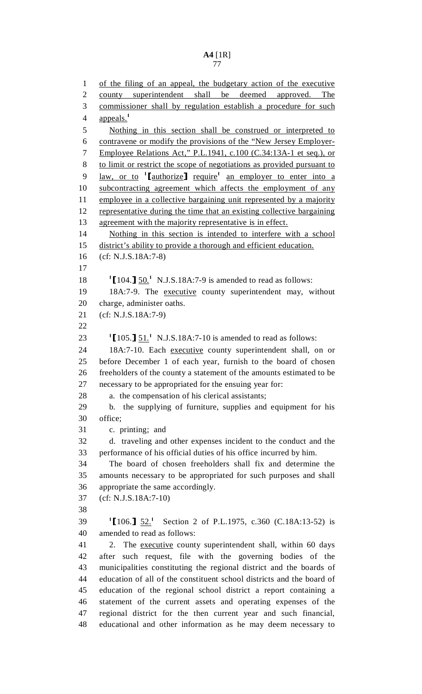1 of the filing of an appeal, the budgetary action of the executive 2 county superintendent shall be deemed approved. The 3 commissioner shall by regulation establish a procedure for such 4 appeals.<sup>1</sup> 5 Nothing in this section shall be construed or interpreted to 6 contravene or modify the provisions of the "New Jersey Employer-7 Employee Relations Act," P.L.1941, c.100 (C.34:13A-1 et seq.), or 8 to limit or restrict the scope of negotiations as provided pursuant to  $\frac{1}{2}$   $\frac{1}{2}$   $\frac{1}{2}$   $\frac{1}{2}$   $\frac{1}{2}$   $\frac{1}{2}$   $\frac{1}{2}$   $\frac{1}{2}$   $\frac{1}{2}$   $\frac{1}{2}$   $\frac{1}{2}$   $\frac{1}{2}$   $\frac{1}{2}$   $\frac{1}{2}$   $\frac{1}{2}$   $\frac{1}{2}$   $\frac{1}{2}$   $\frac{1}{2}$   $\frac{1}{2}$   $\frac{1}{2}$   $\frac{1}{2}$   $\frac{1}{2}$  10 subcontracting agreement which affects the employment of any 11 employee in a collective bargaining unit represented by a majority 12 representative during the time that an existing collective bargaining 13 agreement with the majority representative is in effect. 14 Nothing in this section is intended to interfere with a school 15 district's ability to provide a thorough and efficient education. 16 (cf: N.J.S.18A:7-8) 17 18  $\left[104.\right] \frac{50.1}{20.17 \text{ N.J.S.18A:7-9}}$  is amended to read as follows: 19 18A:7-9. The executive county superintendent may, without 20 charge, administer oaths. 21 (cf: N.J.S.18A:7-9) 22 23  $\frac{1}{2}$  [105.]  $\frac{51.1}{2}$  N.J.S.18A:7-10 is amended to read as follows: 24 18A:7-10. Each executive county superintendent shall, on or 25 before December 1 of each year, furnish to the board of chosen 26 freeholders of the county a statement of the amounts estimated to be 27 necessary to be appropriated for the ensuing year for: 28 a. the compensation of his clerical assistants; 29 b. the supplying of furniture, supplies and equipment for his 30 office; 31 c. printing; and 32 d. traveling and other expenses incident to the conduct and the 33 performance of his official duties of his office incurred by him. 34 The board of chosen freeholders shall fix and determine the 35 amounts necessary to be appropriated for such purposes and shall 36 appropriate the same accordingly. 37 (cf: N.J.S.18A:7-10) 38 39 <sup>1</sup>[106.] <u>52.</u><sup>1</sup> Section 2 of P.L.1975, c.360 (C.18A:13-52) is 40 amended to read as follows: 41 2. The executive county superintendent shall, within 60 days 42 after such request, file with the governing bodies of the 43 municipalities constituting the regional district and the boards of 44 education of all of the constituent school districts and the board of 45 education of the regional school district a report containing a 46 statement of the current assets and operating expenses of the 47 regional district for the then current year and such financial, 48 educational and other information as he may deem necessary to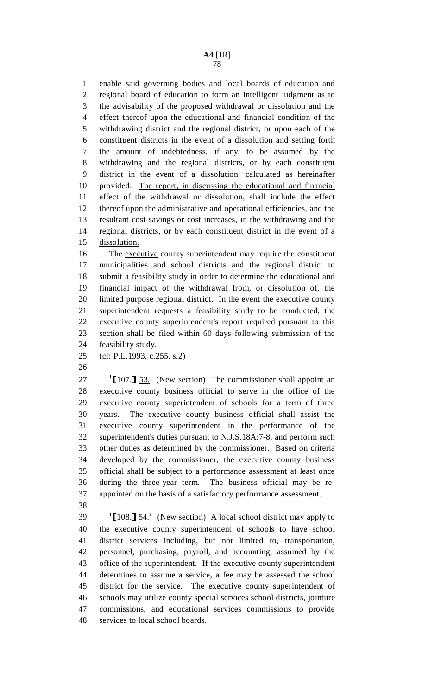1 enable said governing bodies and local boards of education and 2 regional board of education to form an intelligent judgment as to 3 the advisability of the proposed withdrawal or dissolution and the 4 effect thereof upon the educational and financial condition of the 5 withdrawing district and the regional district, or upon each of the 6 constituent districts in the event of a dissolution and setting forth 7 the amount of indebtedness, if any, to be assumed by the 8 withdrawing and the regional districts, or by each constituent 9 district in the event of a dissolution, calculated as hereinafter 10 provided. The report, in discussing the educational and financial 11 effect of the withdrawal or dissolution, shall include the effect 12 thereof upon the administrative and operational efficiencies, and the 13 resultant cost savings or cost increases, in the withdrawing and the 14 regional districts, or by each constituent district in the event of a 15 dissolution.

16 The executive county superintendent may require the constituent 17 municipalities and school districts and the regional district to 18 submit a feasibility study in order to determine the educational and 19 financial impact of the withdrawal from, or dissolution of, the 20 limited purpose regional district. In the event the executive county 21 superintendent requests a feasibility study to be conducted, the 22 executive county superintendent's report required pursuant to this 23 section shall be filed within 60 days following submission of the 24 feasibility study.

25 (cf: P.L.1993, c.255, s.2)

26

27  $\left[107.\right]$   $\frac{53.1}{27}$  (New section) The commissioner shall appoint an 28 executive county business official to serve in the office of the 29 executive county superintendent of schools for a term of three 30 years. The executive county business official shall assist the 31 executive county superintendent in the performance of the 32 superintendent's duties pursuant to N.J.S.18A:7-8, and perform such 33 other duties as determined by the commissioner. Based on criteria 34 developed by the commissioner, the executive county business 35 official shall be subject to a performance assessment at least once 36 during the three-year term. The business official may be re-37 appointed on the basis of a satisfactory performance assessment.

38

 $108.$ ]  $\underline{54.}$ <sup>1</sup> (New section) A local school district may apply to 40 the executive county superintendent of schools to have school 41 district services including, but not limited to, transportation, 42 personnel, purchasing, payroll, and accounting, assumed by the 43 office of the superintendent. If the executive county superintendent 44 determines to assume a service, a fee may be assessed the school 45 district for the service. The executive county superintendent of 46 schools may utilize county special services school districts, jointure 47 commissions, and educational services commissions to provide 48 services to local school boards.